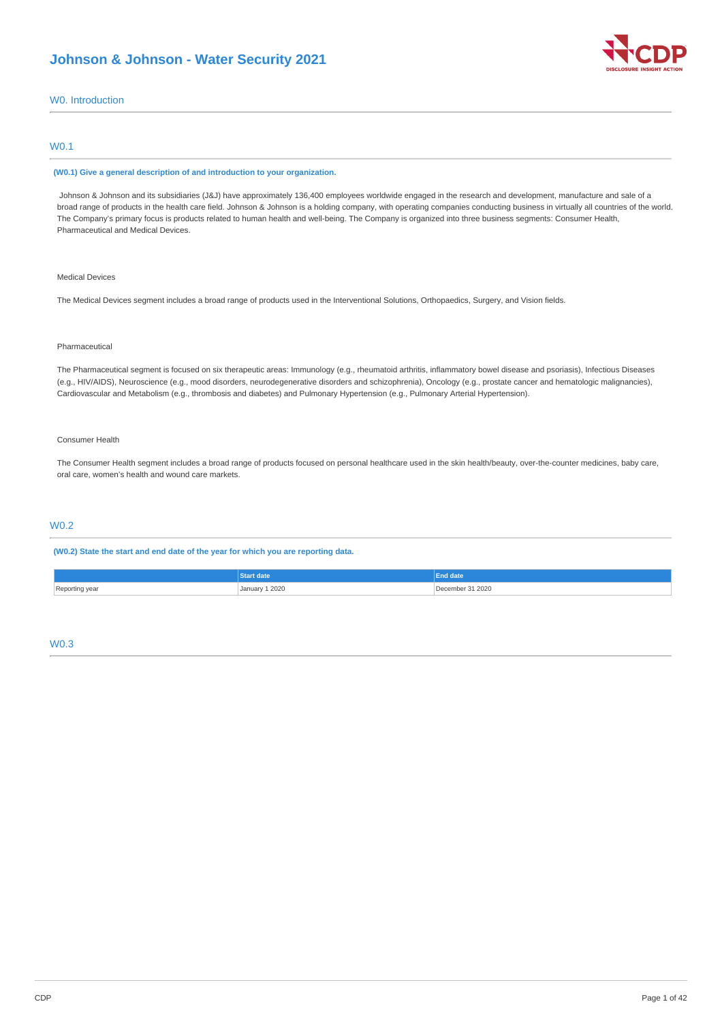# **Johnson & Johnson - Water Security 2021**



# W0. Introduction

# W0.1

#### **(W0.1) Give a general description of and introduction to your organization.**

Johnson & Johnson and its subsidiaries (J&J) have approximately 136,400 employees worldwide engaged in the research and development, manufacture and sale of a broad range of products in the health care field. Johnson & Johnson is a holding company, with operating companies conducting business in virtually all countries of the world. The Company's primary focus is products related to human health and well-being. The Company is organized into three business segments: Consumer Health, Pharmaceutical and Medical Devices.

# Medical Devices

The Medical Devices segment includes a broad range of products used in the Interventional Solutions, Orthopaedics, Surgery, and Vision fields.

### Pharmaceutical

The Pharmaceutical segment is focused on six therapeutic areas: Immunology (e.g., rheumatoid arthritis, inflammatory bowel disease and psoriasis), Infectious Diseases (e.g., HIV/AIDS), Neuroscience (e.g., mood disorders, neurodegenerative disorders and schizophrenia), Oncology (e.g., prostate cancer and hematologic malignancies), Cardiovascular and Metabolism (e.g., thrombosis and diabetes) and Pulmonary Hypertension (e.g., Pulmonary Arterial Hypertension).

### Consumer Health

The Consumer Health segment includes a broad range of products focused on personal healthcare used in the skin health/beauty, over-the-counter medicines, baby care, oral care, women's health and wound care markets.

# W0.2

**(W0.2) State the start and end date of the year for which you are reporting data.**

|                | - -<br>raate   | End date              |
|----------------|----------------|-----------------------|
| Reporting year | January 1 2020 | 31 2020<br>≧∩emr<br>. |

# W0.3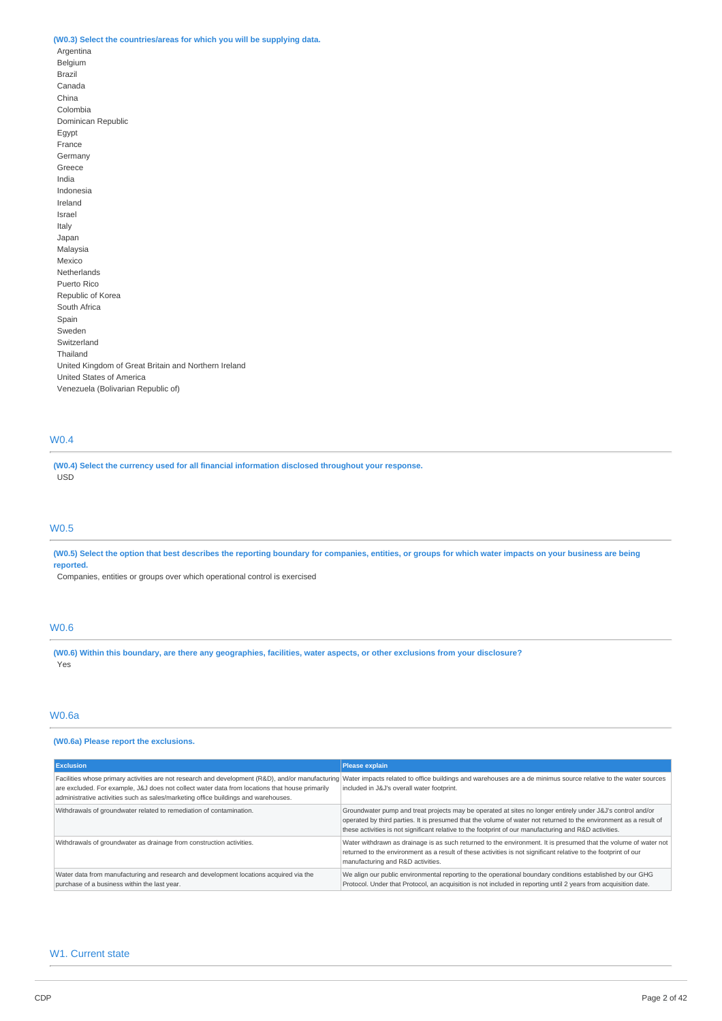# **(W0.3) Select the countries/areas for which you will be supplying data.**

Argentina Belgium Brazil Canada China Colombia Dominican Republic Egypt France Germany Greece India Indonesia Ireland Israel Italy Japan Malaysia Mexico Netherlands Puerto Rico Republic of Korea South Africa Spain Sweden Switzerland Thailand United Kingdom of Great Britain and Northern Ireland United States of America Venezuela (Bolivarian Republic of)

# W0.4

**(W0.4) Select the currency used for all financial information disclosed throughout your response.** USD

# W0.5

(W0.5) Select the option that best describes the reporting boundary for companies, entities, or groups for which water impacts on your business are being **reported.**

Companies, entities or groups over which operational control is exercised

# W0.6

(W0.6) Within this boundary, are there any geographies, facilities, water aspects, or other exclusions from your disclosure? Yes

# W0.6a

# **(W0.6a) Please report the exclusions.**

| <b>Exclusion</b>                                                                                                                                                                     | <b>Please explain</b>                                                                                                                                                                                                                                                                                                                     |
|--------------------------------------------------------------------------------------------------------------------------------------------------------------------------------------|-------------------------------------------------------------------------------------------------------------------------------------------------------------------------------------------------------------------------------------------------------------------------------------------------------------------------------------------|
| are excluded. For example, J&J does not collect water data from locations that house primarily<br>administrative activities such as sales/marketing office buildings and warehouses. | Facilities whose primary activities are not research and development (R&D), and/or manufacturing Water impacts related to office buildings and warehouses are a de minimus source relative to the water sources<br>included in J&J's overall water footprint.                                                                             |
| Withdrawals of groundwater related to remediation of contamination.                                                                                                                  | Groundwater pump and treat projects may be operated at sites no longer entirely under J&J's control and/or<br>operated by third parties. It is presumed that the volume of water not returned to the environment as a result of<br>these activities is not significant relative to the footprint of our manufacturing and R&D activities. |
| Withdrawals of groundwater as drainage from construction activities.                                                                                                                 | Water withdrawn as drainage is as such returned to the environment. It is presumed that the volume of water not<br>returned to the environment as a result of these activities is not significant relative to the footprint of our<br>manufacturing and R&D activities.                                                                   |
| Water data from manufacturing and research and development locations acquired via the<br>purchase of a business within the last year.                                                | We align our public environmental reporting to the operational boundary conditions established by our GHG<br>Protocol. Under that Protocol, an acquisition is not included in reporting until 2 years from acquisition date.                                                                                                              |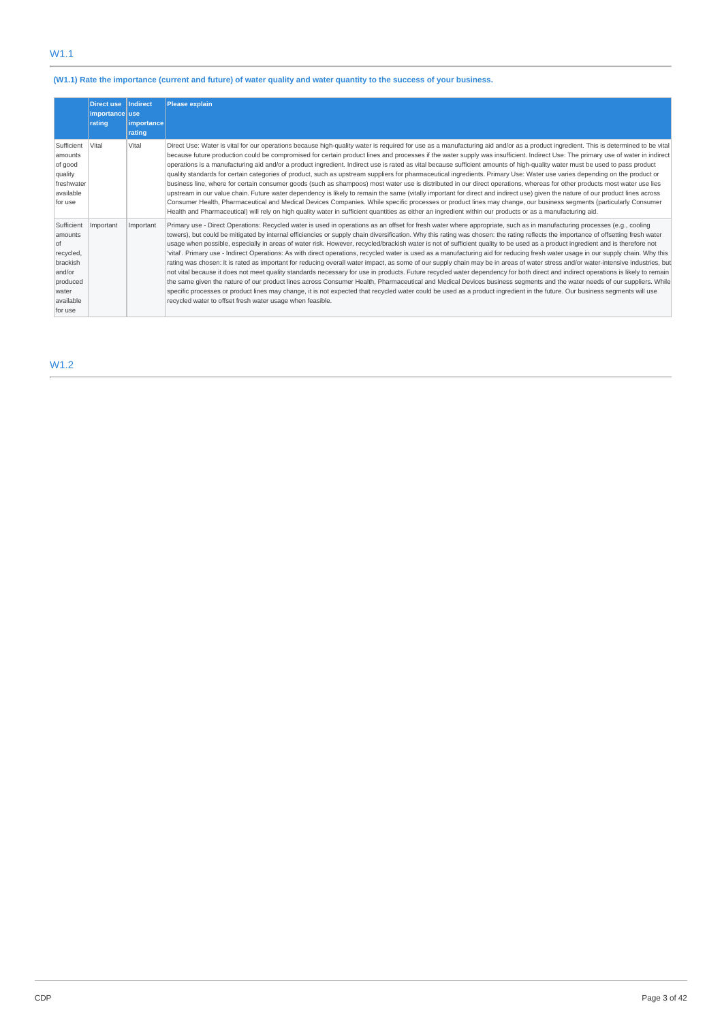# (W1.1) Rate the importance (current and future) of water quality and water quantity to the success of your business.

|                                                                                                             | <b>Direct use</b><br>importance use<br>rating | Indirect<br><i>l</i> importance<br>rating | <b>Please explain</b>                                                                                                                                                                                                                                                                                                                                                                                                                                                                                                                                                                                                                                                                                                                                                                                                                                                                                                                                                                                                                                                                                                                                                                                                                                                                                                                                                                                                                                                                                                              |
|-------------------------------------------------------------------------------------------------------------|-----------------------------------------------|-------------------------------------------|------------------------------------------------------------------------------------------------------------------------------------------------------------------------------------------------------------------------------------------------------------------------------------------------------------------------------------------------------------------------------------------------------------------------------------------------------------------------------------------------------------------------------------------------------------------------------------------------------------------------------------------------------------------------------------------------------------------------------------------------------------------------------------------------------------------------------------------------------------------------------------------------------------------------------------------------------------------------------------------------------------------------------------------------------------------------------------------------------------------------------------------------------------------------------------------------------------------------------------------------------------------------------------------------------------------------------------------------------------------------------------------------------------------------------------------------------------------------------------------------------------------------------------|
| Sufficient<br>amounts<br>of good<br>quality<br>freshwater<br>available<br>for use                           | Vital                                         | Vital                                     | Direct Use: Water is vital for our operations because high-quality water is required for use as a manufacturing aid and/or as a product ingredient. This is determined to be vital<br>because future production could be compromised for certain product lines and processes if the water supply was insufficient. Indirect Use: The primary use of water in indirect<br>operations is a manufacturing aid and/or a product ingredient. Indirect use is rated as vital because sufficient amounts of high-quality water must be used to pass product<br>quality standards for certain categories of product, such as upstream suppliers for pharmaceutical ingredients. Primary Use: Water use varies depending on the product or<br>business line, where for certain consumer goods (such as shampoos) most water use is distributed in our direct operations, whereas for other products most water use lies<br>upstream in our value chain. Future water dependency is likely to remain the same (vitally important for direct and indirect use) given the nature of our product lines across<br>Consumer Health, Pharmaceutical and Medical Devices Companies. While specific processes or product lines may change, our business segments (particularly Consumer<br>Health and Pharmaceutical) will rely on high quality water in sufficient quantities as either an ingredient within our products or as a manufacturing aid.                                                                                                |
| Sufficient<br>amounts<br>of<br>recycled,<br>brackish<br>and/or<br>produced<br>water<br>available<br>for use | Important                                     | Important                                 | Primary use - Direct Operations: Recycled water is used in operations as an offset for fresh water where appropriate, such as in manufacturing processes (e.g., cooling<br>towers), but could be mitigated by internal efficiencies or supply chain diversification. Why this rating was chosen: the rating reflects the importance of offsetting fresh water<br>usage when possible, especially in areas of water risk. However, recycled/brackish water is not of sufficient quality to be used as a product ingredient and is therefore not<br>'vital'. Primary use - Indirect Operations: As with direct operations, recycled water is used as a manufacturing aid for reducing fresh water usage in our supply chain. Why this<br>rating was chosen: It is rated as important for reducing overall water impact, as some of our supply chain may be in areas of water stress and/or water-intensive industries, but<br>not vital because it does not meet quality standards necessary for use in products. Future recycled water dependency for both direct and indirect operations is likely to remain<br>the same given the nature of our product lines across Consumer Health, Pharmaceutical and Medical Devices business segments and the water needs of our suppliers. While<br>specific processes or product lines may change, it is not expected that recycled water could be used as a product ingredient in the future. Our business segments will use<br>recycled water to offset fresh water usage when feasible. |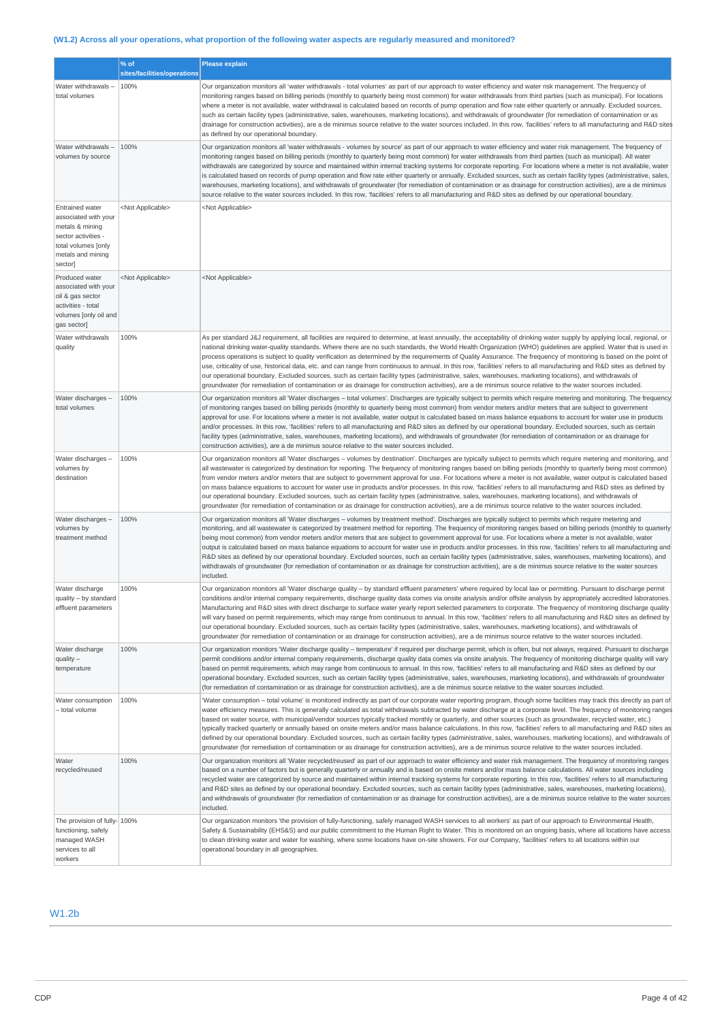# (W1.2) Across all your operations, what proportion of the following water aspects are regularly measured and monitored?

|                                                                                                                                                 | % of                        | <b>Please explain</b>                                                                                                                                                                                                                                                                                                                                                                                                                                                                                                                                                                                                                                                                                                                                                                                                                                                                                                                                                                                                      |  |
|-------------------------------------------------------------------------------------------------------------------------------------------------|-----------------------------|----------------------------------------------------------------------------------------------------------------------------------------------------------------------------------------------------------------------------------------------------------------------------------------------------------------------------------------------------------------------------------------------------------------------------------------------------------------------------------------------------------------------------------------------------------------------------------------------------------------------------------------------------------------------------------------------------------------------------------------------------------------------------------------------------------------------------------------------------------------------------------------------------------------------------------------------------------------------------------------------------------------------------|--|
|                                                                                                                                                 | sites/facilities/operations |                                                                                                                                                                                                                                                                                                                                                                                                                                                                                                                                                                                                                                                                                                                                                                                                                                                                                                                                                                                                                            |  |
| Water withdrawals-<br>total volumes                                                                                                             | 100%                        | Our organization monitors all 'water withdrawals - total volumes' as part of our approach to water efficiency and water risk management. The frequency of<br>monitoring ranges based on billing periods (monthly to quarterly being most common) for water withdrawals from third parties (such as municipal). For locations<br>where a meter is not available, water withdrawal is calculated based on records of pump operation and flow rate either quarterly or annually. Excluded sources,<br>such as certain facility types (administrative, sales, warehouses, marketing locations), and withdrawals of groundwater (for remediation of contamination or as<br>drainage for construction activities), are a de minimus source relative to the water sources included. In this row, 'facilities' refers to all manufacturing and R&D sites<br>as defined by our operational boundary.                                                                                                                                |  |
| Water withdrawals -<br>volumes by source                                                                                                        | 100%                        | Our organization monitors all 'water withdrawals - volumes by source' as part of our approach to water efficiency and water risk management. The frequency of<br>monitoring ranges based on billing periods (monthly to quarterly being most common) for water withdrawals from third parties (such as municipal). All water<br>withdrawals are categorized by source and maintained within internal tracking systems for corporate reporting. For locations where a meter is not available, water<br>is calculated based on records of pump operation and flow rate either quarterly or annually. Excluded sources, such as certain facility types (administrative, sales,<br>warehouses, marketing locations), and withdrawals of groundwater (for remediation of contamination or as drainage for construction activities), are a de minimus<br>source relative to the water sources included. In this row, 'facilities' refers to all manufacturing and R&D sites as defined by our operational boundary.              |  |
| <b>Entrained water</b><br>associated with your<br>metals & mining<br>sector activities -<br>total volumes [only<br>metals and mining<br>sector] | <not applicable=""></not>   | <not applicable=""></not>                                                                                                                                                                                                                                                                                                                                                                                                                                                                                                                                                                                                                                                                                                                                                                                                                                                                                                                                                                                                  |  |
| Produced water<br>associated with your<br>oil & gas sector<br>activities - total<br>volumes [only oil and<br>gas sector]                        | <not applicable=""></not>   | <not applicable=""></not>                                                                                                                                                                                                                                                                                                                                                                                                                                                                                                                                                                                                                                                                                                                                                                                                                                                                                                                                                                                                  |  |
| Water withdrawals<br>quality                                                                                                                    | 100%                        | As per standard J&J requirement, all facilities are required to determine, at least annually, the acceptability of drinking water supply by applying local, regional, or<br>national drinking water-quality standards. Where there are no such standards, the World Health Organization (WHO) guidelines are applied. Water that is used in<br>process operations is subject to quality verification as determined by the requirements of Quality Assurance. The frequency of monitoring is based on the point of<br>use, criticality of use, historical data, etc. and can range from continuous to annual. In this row, 'facilities' refers to all manufacturing and R&D sites as defined by<br>our operational boundary. Excluded sources, such as certain facility types (administrative, sales, warehouses, marketing locations), and withdrawals of<br>groundwater (for remediation of contamination or as drainage for construction activities), are a de minimus source relative to the water sources included.    |  |
| Water discharges -<br>total volumes                                                                                                             | 100%                        | Our organization monitors all 'Water discharges - total volumes'. Discharges are typically subject to permits which require metering and monitoring. The frequency<br>of monitoring ranges based on billing periods (monthly to quarterly being most common) from vendor meters and/or meters that are subject to government<br>approval for use. For locations where a meter is not available, water output is calculated based on mass balance equations to account for water use in products<br>and/or processes. In this row, 'facilities' refers to all manufacturing and R&D sites as defined by our operational boundary. Excluded sources, such as certain<br>facility types (administrative, sales, warehouses, marketing locations), and withdrawals of groundwater (for remediation of contamination or as drainage for<br>construction activities), are a de minimus source relative to the water sources included.                                                                                            |  |
| Water discharges -<br>volumes by<br>destination                                                                                                 | 100%                        | Our organization monitors all 'Water discharges - volumes by destination'. Discharges are typically subject to permits which require metering and monitoring, and<br>all wastewater is categorized by destination for reporting. The frequency of monitoring ranges based on billing periods (monthly to quarterly being most common)<br>from vendor meters and/or meters that are subject to government approval for use. For locations where a meter is not available, water output is calculated based<br>on mass balance equations to account for water use in products and/or processes. In this row, 'facilities' refers to all manufacturing and R&D sites as defined by<br>our operational boundary. Excluded sources, such as certain facility types (administrative, sales, warehouses, marketing locations), and withdrawals of<br>groundwater (for remediation of contamination or as drainage for construction activities), are a de minimus source relative to the water sources included.                   |  |
| Water discharges -<br>volumes by<br>treatment method                                                                                            | 100%                        | Our organization monitors all 'Water discharges - volumes by treatment method'. Discharges are typically subject to permits which require metering and<br>monitoring, and all wastewater is categorized by treatment method for reporting. The frequency of monitoring ranges based on billing periods (monthly to quarterly<br>being most common) from vendor meters and/or meters that are subject to government approval for use. For locations where a meter is not available, water<br>output is calculated based on mass balance equations to account for water use in products and/or processes. In this row, 'facilities' refers to all manufacturing and<br>R&D sites as defined by our operational boundary. Excluded sources, such as certain facility types (administrative, sales, warehouses, marketing locations), and<br>withdrawals of groundwater (for remediation of contamination or as drainage for construction activities), are a de minimus source relative to the water sources<br>included.      |  |
| Water discharge<br>quality - by standard<br>effluent parameters                                                                                 | 100%                        | Our organization monitors all "Water discharge quality - by standard effluent parameters' where required by local law or permitting. Pursuant to discharge permit<br>conditions and/or internal company requirements, discharge quality data comes via onsite analysis and/or offsite analysis by appropriately accredited laboratories.<br>Manufacturing and R&D sites with direct discharge to surface water yearly report selected parameters to corporate. The frequency of monitoring discharge quality<br>will vary based on permit requirements, which may range from continuous to annual. In this row, 'facilities' refers to all manufacturing and R&D sites as defined by<br>our operational boundary. Excluded sources, such as certain facility types (administrative, sales, warehouses, marketing locations), and withdrawals of<br>groundwater (for remediation of contamination or as drainage for construction activities), are a de minimus source relative to the water sources included.              |  |
| Water discharge<br>$quality -$<br>temperature                                                                                                   | 100%                        | Our organization monitors 'Water discharge quality - temperature' if required per discharge permit, which is often, but not always, required. Pursuant to discharge<br>permit conditions and/or internal company requirements, discharge quality data comes via onsite analysis. The frequency of monitoring discharge quality will vary<br>based on permit requirements, which may range from continuous to annual. In this row, 'facilities' refers to all manufacturing and R&D sites as defined by our<br>operational boundary. Excluded sources, such as certain facility types (administrative, sales, warehouses, marketing locations), and withdrawals of groundwater<br>(for remediation of contamination or as drainage for construction activities), are a de minimus source relative to the water sources included.                                                                                                                                                                                            |  |
| Water consumption<br>- total volume                                                                                                             | 100%                        | 'Water consumption – total volume' is monitored indirectly as part of our corporate water reporting program, though some facilities may track this directly as part of<br>water efficiency measures. This is generally calculated as total withdrawals subtracted by water discharge at a corporate level. The frequency of monitoring ranges<br>based on water source, with municipal/vendor sources typically tracked monthly or quarterly, and other sources (such as groundwater, recycled water, etc.)<br>typically tracked quarterly or annually based on onsite meters and/or mass balance calculations. In this row, 'facilities' refers to all manufacturing and R&D sites as<br>defined by our operational boundary. Excluded sources, such as certain facility types (administrative, sales, warehouses, marketing locations), and withdrawals of<br>groundwater (for remediation of contamination or as drainage for construction activities), are a de minimus source relative to the water sources included. |  |
| Water<br>recycled/reused                                                                                                                        | 100%                        | Our organization monitors all 'Water recycled/reused' as part of our approach to water efficiency and water risk management. The frequency of monitoring ranges<br>based on a number of factors but is generally quarterly or annually and is based on onsite meters and/or mass balance calculations. All water sources including<br>recycled water are categorized by source and maintained within internal tracking systems for corporate reporting. In this row, 'facilities' refers to all manufacturing<br>and R&D sites as defined by our operational boundary. Excluded sources, such as certain facility types (administrative, sales, warehouses, marketing locations),<br>and withdrawals of groundwater (for remediation of contamination or as drainage for construction activities), are a de minimus source relative to the water sources<br>included.                                                                                                                                                      |  |
| The provision of fully- 100%<br>functioning, safely<br>managed WASH<br>services to all<br>workers                                               |                             | Our organization monitors 'the provision of fully-functioning, safely managed WASH services to all workers' as part of our approach to Environmental Health,<br>Safety & Sustainability (EHS&S) and our public commitment to the Human Right to Water. This is monitored on an ongoing basis, where all locations have access<br>to clean drinking water and water for washing, where some locations have on-site showers. For our Company, 'facilities' refers to all locations within our<br>operational boundary in all geographies.                                                                                                                                                                                                                                                                                                                                                                                                                                                                                    |  |

# W1.2b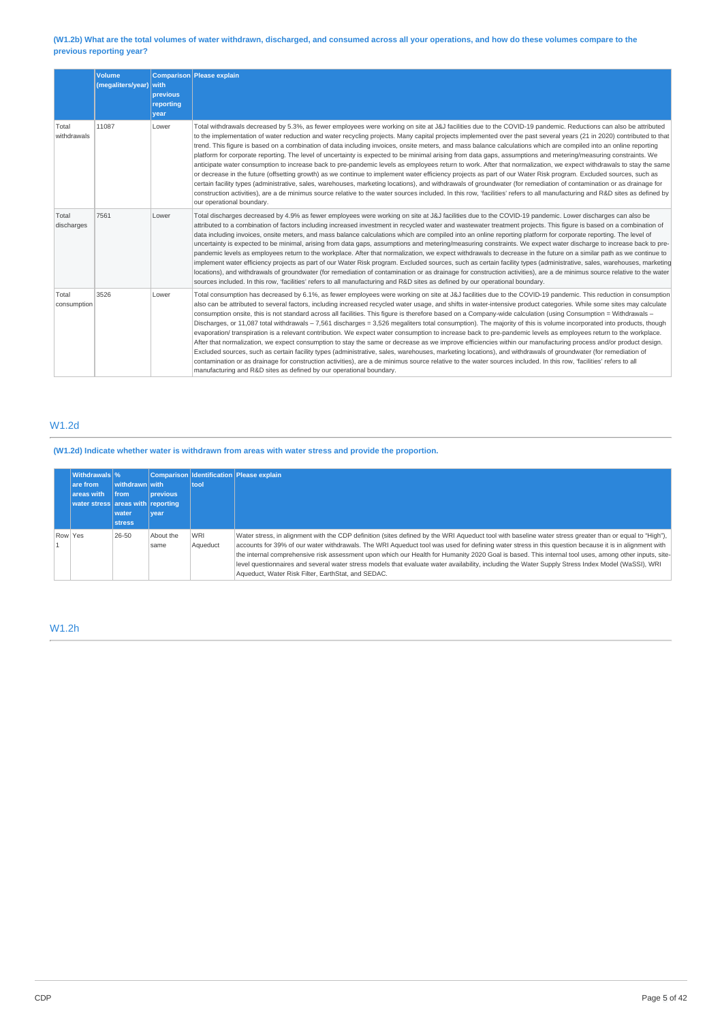# (W1.2b) What are the total volumes of water withdrawn, discharged, and consumed across all your operations, and how do these volumes compare to the **previous reporting year?**

|                      | <b>Volume</b><br>(megaliters/year) with | previous<br>reporting<br>vear | Comparison Please explain                                                                                                                                                                                                                                                                                                                                                                                                                                                                                                                                                                                                                                                                                                                                                                                                                                                                                                                                                                                                                                                                                                                                                                                                                                                                                                                                                                                                              |
|----------------------|-----------------------------------------|-------------------------------|----------------------------------------------------------------------------------------------------------------------------------------------------------------------------------------------------------------------------------------------------------------------------------------------------------------------------------------------------------------------------------------------------------------------------------------------------------------------------------------------------------------------------------------------------------------------------------------------------------------------------------------------------------------------------------------------------------------------------------------------------------------------------------------------------------------------------------------------------------------------------------------------------------------------------------------------------------------------------------------------------------------------------------------------------------------------------------------------------------------------------------------------------------------------------------------------------------------------------------------------------------------------------------------------------------------------------------------------------------------------------------------------------------------------------------------|
| Total<br>withdrawals | 11087                                   | Lower                         | Total withdrawals decreased by 5.3%, as fewer employees were working on site at J&J facilities due to the COVID-19 pandemic. Reductions can also be attributed<br>to the implementation of water reduction and water recycling projects. Many capital projects implemented over the past several years (21 in 2020) contributed to that<br>trend. This figure is based on a combination of data including invoices, onsite meters, and mass balance calculations which are compiled into an online reporting<br>platform for corporate reporting. The level of uncertainty is expected to be minimal arising from data gaps, assumptions and metering/measuring constraints. We<br>anticipate water consumption to increase back to pre-pandemic levels as employees return to work. After that normalization, we expect withdrawals to stay the same<br>or decrease in the future (offsetting growth) as we continue to implement water efficiency projects as part of our Water Risk program. Excluded sources, such as<br>certain facility types (administrative, sales, warehouses, marketing locations), and withdrawals of groundwater (for remediation of contamination or as drainage for<br>construction activities), are a de minimus source relative to the water sources included. In this row, 'facilities' refers to all manufacturing and R&D sites as defined by<br>our operational boundary.                          |
| Total<br>discharges  | 7561                                    | Lower                         | Total discharges decreased by 4.9% as fewer employees were working on site at J&J facilities due to the COVID-19 pandemic. Lower discharges can also be<br>attributed to a combination of factors including increased investment in recycled water and wastewater treatment projects. This figure is based on a combination of<br>data including invoices, onsite meters, and mass balance calculations which are compiled into an online reporting platform for corporate reporting. The level of<br>uncertainty is expected to be minimal, arising from data gaps, assumptions and metering/measuring constraints. We expect water discharge to increase back to pre-<br>pandemic levels as employees return to the workplace. After that normalization, we expect withdrawals to decrease in the future on a similar path as we continue to<br>implement water efficiency projects as part of our Water Risk program. Excluded sources, such as certain facility types (administrative, sales, warehouses, marketing<br>locations), and withdrawals of groundwater (for remediation of contamination or as drainage for construction activities), are a de minimus source relative to the water<br>sources included. In this row, 'facilities' refers to all manufacturing and R&D sites as defined by our operational boundary.                                                                                                    |
| Total<br>consumption | 3526                                    | Lower                         | Total consumption has decreased by 6.1%, as fewer employees were working on site at J&J facilities due to the COVID-19 pandemic. This reduction in consumption<br>also can be attributed to several factors, including increased recycled water usage, and shifts in water-intensive product categories. While some sites may calculate<br>consumption onsite, this is not standard across all facilities. This figure is therefore based on a Company-wide calculation (using Consumption = Withdrawals -<br>Discharges, or 11,087 total withdrawals - 7,561 discharges = 3,526 megaliters total consumption). The majority of this is volume incorporated into products, though<br>evaporation/ transpiration is a relevant contribution. We expect water consumption to increase back to pre-pandemic levels as employees return to the workplace.<br>After that normalization, we expect consumption to stay the same or decrease as we improve efficiencies within our manufacturing process and/or product design.<br>Excluded sources, such as certain facility types (administrative, sales, warehouses, marketing locations), and withdrawals of groundwater (for remediation of<br>contamination or as drainage for construction activities), are a de minimus source relative to the water sources included. In this row, 'facilities' refers to all<br>manufacturing and R&D sites as defined by our operational boundary. |

# W1.2d

**(W1.2d) Indicate whether water is withdrawn from areas with water stress and provide the proportion.**

| <b>Withdrawals</b> %<br>are from<br>areas with<br>water stress areas with reporting | withdrawn with<br>from<br>water<br><b>stress</b> | <b>previous</b><br>vear | tool                   | Comparison Identification Please explain                                                                                                                                                                                                                                                                                                                                                                                                                                                                                                                                                                                                                                           |
|-------------------------------------------------------------------------------------|--------------------------------------------------|-------------------------|------------------------|------------------------------------------------------------------------------------------------------------------------------------------------------------------------------------------------------------------------------------------------------------------------------------------------------------------------------------------------------------------------------------------------------------------------------------------------------------------------------------------------------------------------------------------------------------------------------------------------------------------------------------------------------------------------------------|
| Row Yes                                                                             | 26-50                                            | About the<br>same       | <b>WRI</b><br>Aqueduct | Water stress, in alignment with the CDP definition (sites defined by the WRI Aqueduct tool with baseline water stress greater than or equal to "High"),<br>accounts for 39% of our water withdrawals. The WRI Aqueduct tool was used for defining water stress in this question because it is in alignment with<br>the internal comprehensive risk assessment upon which our Health for Humanity 2020 Goal is based. This internal tool uses, among other inputs, site-<br>level questionnaires and several water stress models that evaluate water availability, including the Water Supply Stress Index Model (WaSSI), WRI<br>Aqueduct, Water Risk Filter, EarthStat, and SEDAC. |

# W1.2h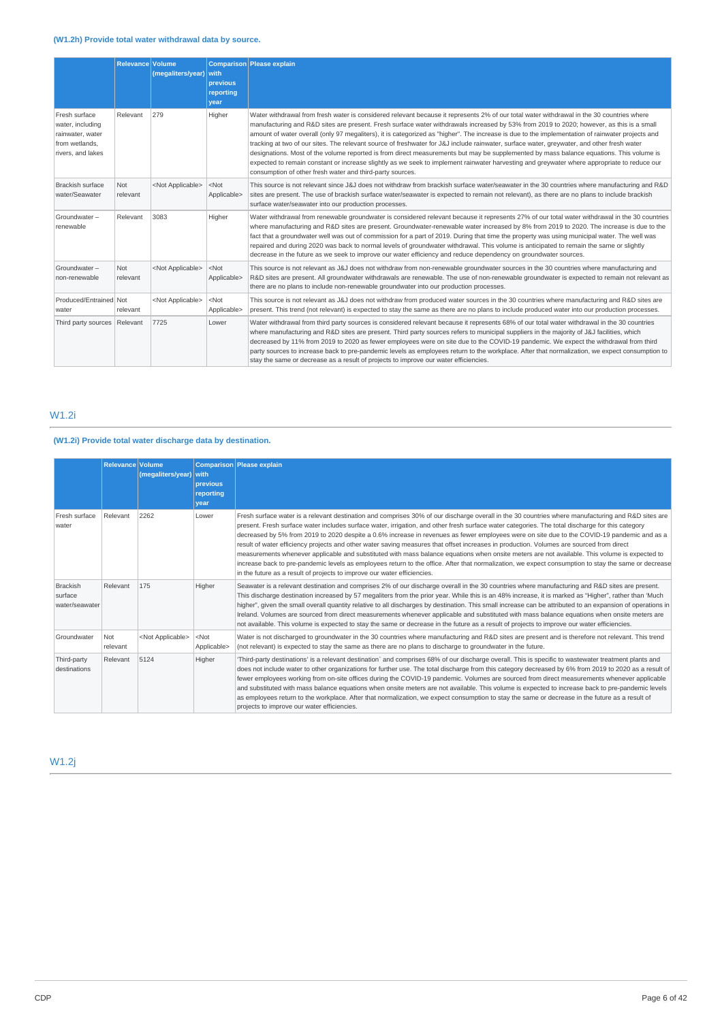|                                                                                              | <b>Relevance Volume</b> | (megaliters/year)         | <b>with</b><br>previous<br>reporting<br>year | Comparison Please explain                                                                                                                                                                                                                                                                                                                                                                                                                                                                                                                                                                                                                                                                                                                                                                                                                                                                                                                      |  |
|----------------------------------------------------------------------------------------------|-------------------------|---------------------------|----------------------------------------------|------------------------------------------------------------------------------------------------------------------------------------------------------------------------------------------------------------------------------------------------------------------------------------------------------------------------------------------------------------------------------------------------------------------------------------------------------------------------------------------------------------------------------------------------------------------------------------------------------------------------------------------------------------------------------------------------------------------------------------------------------------------------------------------------------------------------------------------------------------------------------------------------------------------------------------------------|--|
| Fresh surface<br>water, including<br>rainwater, water<br>from wetlands.<br>rivers, and lakes | Relevant                | 279                       | Higher                                       | Water withdrawal from fresh water is considered relevant because it represents 2% of our total water withdrawal in the 30 countries where<br>manufacturing and R&D sites are present. Fresh surface water withdrawals increased by 53% from 2019 to 2020; however, as this is a small<br>amount of water overall (only 97 megaliters), it is categorized as "higher". The increase is due to the implementation of rainwater projects and<br>tracking at two of our sites. The relevant source of freshwater for J&J include rainwater, surface water, greywater, and other fresh water<br>designations. Most of the volume reported is from direct measurements but may be supplemented by mass balance equations. This volume is<br>expected to remain constant or increase slightly as we seek to implement rainwater harvesting and greywater where appropriate to reduce our<br>consumption of other fresh water and third-party sources. |  |
| <b>Brackish surface</b><br>water/Seawater                                                    | <b>Not</b><br>relevant  | <not applicable=""></not> | $<$ Not<br>Applicable>                       | This source is not relevant since J&J does not withdraw from brackish surface water/seawater in the 30 countries where manufacturing and R&D<br>sites are present. The use of brackish surface water/seawater is expected to remain not relevant), as there are no plans to include brackish<br>surface water/seawater into our production processes.                                                                                                                                                                                                                                                                                                                                                                                                                                                                                                                                                                                          |  |
| Groundwater-<br>renewable                                                                    | Relevant                | 3083                      | Higher                                       | Water withdrawal from renewable groundwater is considered relevant because it represents 27% of our total water withdrawal in the 30 countries<br>where manufacturing and R&D sites are present. Groundwater-renewable water increased by 8% from 2019 to 2020. The increase is due to the<br>fact that a groundwater well was out of commission for a part of 2019. During that time the property was using municipal water. The well was<br>repaired and during 2020 was back to normal levels of groundwater withdrawal. This volume is anticipated to remain the same or slightly<br>decrease in the future as we seek to improve our water efficiency and reduce dependency on groundwater sources.                                                                                                                                                                                                                                       |  |
| Groundwater-<br>non-renewable                                                                | <b>Not</b><br>relevant  | <not applicable=""></not> | $<$ Not<br>Applicable>                       | This source is not relevant as J&J does not withdraw from non-renewable groundwater sources in the 30 countries where manufacturing and<br>R&D sites are present. All groundwater withdrawals are renewable. The use of non-renewable groundwater is expected to remain not relevant as<br>there are no plans to include non-renewable groundwater into our production processes.                                                                                                                                                                                                                                                                                                                                                                                                                                                                                                                                                              |  |
| Produced/Entrained Not<br>water                                                              | relevant                | <not applicable=""></not> | $<$ Not<br>Applicable>                       | This source is not relevant as J&J does not withdraw from produced water sources in the 30 countries where manufacturing and R&D sites are<br>present. This trend (not relevant) is expected to stay the same as there are no plans to include produced water into our production processes.                                                                                                                                                                                                                                                                                                                                                                                                                                                                                                                                                                                                                                                   |  |
| Third party sources Relevant                                                                 |                         | 7725                      | Lower                                        | Water withdrawal from third party sources is considered relevant because it represents 68% of our total water withdrawal in the 30 countries<br>where manufacturing and R&D sites are present. Third party sources refers to municipal suppliers in the majority of J&J facilities, which<br>decreased by 11% from 2019 to 2020 as fewer employees were on site due to the COVID-19 pandemic. We expect the withdrawal from third<br>party sources to increase back to pre-pandemic levels as employees return to the workplace. After that normalization, we expect consumption to<br>stay the same or decrease as a result of projects to improve our water efficiencies.                                                                                                                                                                                                                                                                    |  |

# W1.2i

# **(W1.2i) Provide total water discharge data by destination.**

|                                       | Relevance Volume | (megaliters/year)         | with<br><b>previous</b><br>reportina<br>vear | Comparison Please explain                                                                                                                                                                                                                                                                                                                                                                                                                                                                                                                                                                                                                                                                                                                                                                                                                                                                                                                                                              |
|---------------------------------------|------------------|---------------------------|----------------------------------------------|----------------------------------------------------------------------------------------------------------------------------------------------------------------------------------------------------------------------------------------------------------------------------------------------------------------------------------------------------------------------------------------------------------------------------------------------------------------------------------------------------------------------------------------------------------------------------------------------------------------------------------------------------------------------------------------------------------------------------------------------------------------------------------------------------------------------------------------------------------------------------------------------------------------------------------------------------------------------------------------|
| Fresh surface<br>water                | Relevant         | 2262                      | Lower                                        | Fresh surface water is a relevant destination and comprises 30% of our discharge overall in the 30 countries where manufacturing and R&D sites are<br>present. Fresh surface water includes surface water, irrigation, and other fresh surface water categories. The total discharge for this category<br>decreased by 5% from 2019 to 2020 despite a 0.6% increase in revenues as fewer employees were on site due to the COVID-19 pandemic and as a<br>result of water efficiency projects and other water saving measures that offset increases in production. Volumes are sourced from direct<br>measurements whenever applicable and substituted with mass balance equations when onsite meters are not available. This volume is expected to<br>increase back to pre-pandemic levels as employees return to the office. After that normalization, we expect consumption to stay the same or decrease<br>in the future as a result of projects to improve our water efficiencies. |
| Brackish<br>surface<br>water/seawater | Relevant         | 175                       | Higher                                       | Seawater is a relevant destination and comprises 2% of our discharge overall in the 30 countries where manufacturing and R&D sites are present.<br>This discharge destination increased by 57 megaliters from the prior year. While this is an 48% increase, it is marked as "Higher", rather than 'Much<br>higher", given the small overall quantity relative to all discharges by destination. This small increase can be attributed to an expansion of operations in<br>Ireland. Volumes are sourced from direct measurements whenever applicable and substituted with mass balance equations when onsite meters are<br>not available. This volume is expected to stay the same or decrease in the future as a result of projects to improve our water efficiencies.                                                                                                                                                                                                                |
| Groundwater                           | Not<br>relevant  | <not applicable=""></not> | $<$ Not<br>Applicable>                       | Water is not discharged to groundwater in the 30 countries where manufacturing and R&D sites are present and is therefore not relevant. This trend<br>(not relevant) is expected to stay the same as there are no plans to discharge to groundwater in the future.                                                                                                                                                                                                                                                                                                                                                                                                                                                                                                                                                                                                                                                                                                                     |
| Third-party<br>destinations           | Relevant         | 5124                      | Higher                                       | Third-party destinations' is a relevant destination` and comprises 68% of our discharge overall. This is specific to wastewater treatment plants and<br>does not include water to other organizations for further use. The total discharge from this category decreased by 6% from 2019 to 2020 as a result of<br>fewer employees working from on-site offices during the COVID-19 pandemic. Volumes are sourced from direct measurements whenever applicable<br>and substituted with mass balance equations when onsite meters are not available. This volume is expected to increase back to pre-pandemic levels<br>as employees return to the workplace. After that normalization, we expect consumption to stay the same or decrease in the future as a result of<br>projects to improve our water efficiencies.                                                                                                                                                                   |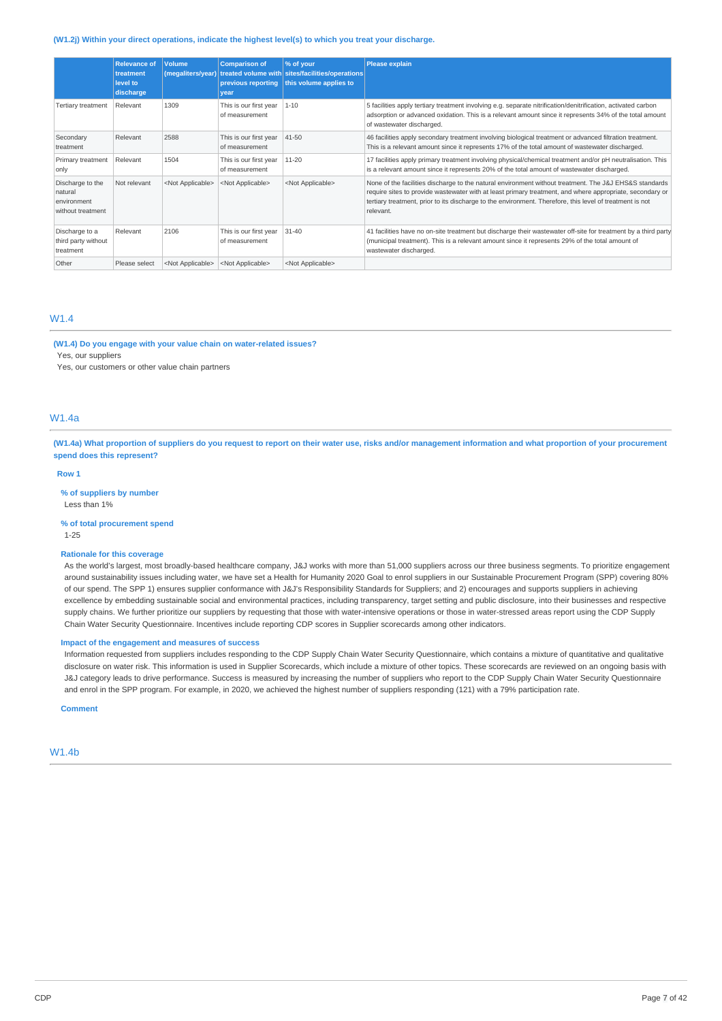#### **(W1.2j) Within your direct operations, indicate the highest level(s) to which you treat your discharge.**

|                                                                 | <b>Relevance of</b><br>treatment<br>level to<br>discharge | <b>Volume</b><br>(megaliters/year) | <b>Comparison of</b><br>previous reporting<br>vear | % of your<br>treated volume with sites/facilities/operations<br>this volume applies to | Please explain                                                                                                                                                                                                                                                                                                                              |
|-----------------------------------------------------------------|-----------------------------------------------------------|------------------------------------|----------------------------------------------------|----------------------------------------------------------------------------------------|---------------------------------------------------------------------------------------------------------------------------------------------------------------------------------------------------------------------------------------------------------------------------------------------------------------------------------------------|
| Tertiary treatment                                              | Relevant                                                  | 1309                               | This is our first year<br>of measurement           | $1 - 10$                                                                               | 5 facilities apply tertiary treatment involving e.g. separate nitrification/denitrification, activated carbon<br>adsorption or advanced oxidation. This is a relevant amount since it represents 34% of the total amount<br>of wastewater discharged.                                                                                       |
| Secondary<br>treatment                                          | Relevant                                                  | 2588                               | This is our first year<br>of measurement           | 41-50                                                                                  | 46 facilities apply secondary treatment involving biological treatment or advanced filtration treatment.<br>This is a relevant amount since it represents 17% of the total amount of wastewater discharged.                                                                                                                                 |
| Primary treatment<br>only                                       | Relevant                                                  | 1504                               | This is our first year<br>of measurement           | 11-20                                                                                  | 17 facilities apply primary treatment involving physical/chemical treatment and/or pH neutralisation. This<br>is a relevant amount since it represents 20% of the total amount of wastewater discharged.                                                                                                                                    |
| Discharge to the<br>natural<br>environment<br>without treatment | Not relevant                                              | <not applicable=""></not>          | <not applicable=""></not>                          | <not applicable=""></not>                                                              | None of the facilities discharge to the natural environment without treatment. The J&J EHS&S standards<br>require sites to provide wastewater with at least primary treatment, and where appropriate, secondary or<br>tertiary treatment, prior to its discharge to the environment. Therefore, this level of treatment is not<br>relevant. |
| Discharge to a<br>third party without<br>treatment              | Relevant                                                  | 2106                               | This is our first year<br>of measurement           | $31 - 40$                                                                              | 41 facilities have no on-site treatment but discharge their wastewater off-site for treatment by a third party<br>(municipal treatment). This is a relevant amount since it represents 29% of the total amount of<br>wastewater discharged.                                                                                                 |
| Other                                                           | Please select                                             | <not applicable=""></not>          | <not applicable=""></not>                          | <not applicable=""></not>                                                              |                                                                                                                                                                                                                                                                                                                                             |

# W1.4

**(W1.4) Do you engage with your value chain on water-related issues?**

Yes, our suppliers

Yes, our customers or other value chain partners

# W1.4a

(W1.4a) What proportion of suppliers do you request to report on their water use, risks and/or management information and what proportion of your procurement **spend does this represent?**

#### **Row 1**

**% of suppliers by number** Less than 1%

**% of total procurement spend** 1-25

#### **Rationale for this coverage**

As the world's largest, most broadly-based healthcare company, J&J works with more than 51,000 suppliers across our three business segments. To prioritize engagement around sustainability issues including water, we have set a Health for Humanity 2020 Goal to enrol suppliers in our Sustainable Procurement Program (SPP) covering 80% of our spend. The SPP 1) ensures supplier conformance with J&J's Responsibility Standards for Suppliers; and 2) encourages and supports suppliers in achieving excellence by embedding sustainable social and environmental practices, including transparency, target setting and public disclosure, into their businesses and respective supply chains. We further prioritize our suppliers by requesting that those with water-intensive operations or those in water-stressed areas report using the CDP Supply Chain Water Security Questionnaire. Incentives include reporting CDP scores in Supplier scorecards among other indicators.

#### **Impact of the engagement and measures of success**

Information requested from suppliers includes responding to the CDP Supply Chain Water Security Questionnaire, which contains a mixture of quantitative and qualitative disclosure on water risk. This information is used in Supplier Scorecards, which include a mixture of other topics. These scorecards are reviewed on an ongoing basis with J&J category leads to drive performance. Success is measured by increasing the number of suppliers who report to the CDP Supply Chain Water Security Questionnaire and enrol in the SPP program. For example, in 2020, we achieved the highest number of suppliers responding (121) with a 79% participation rate.

# **Comment**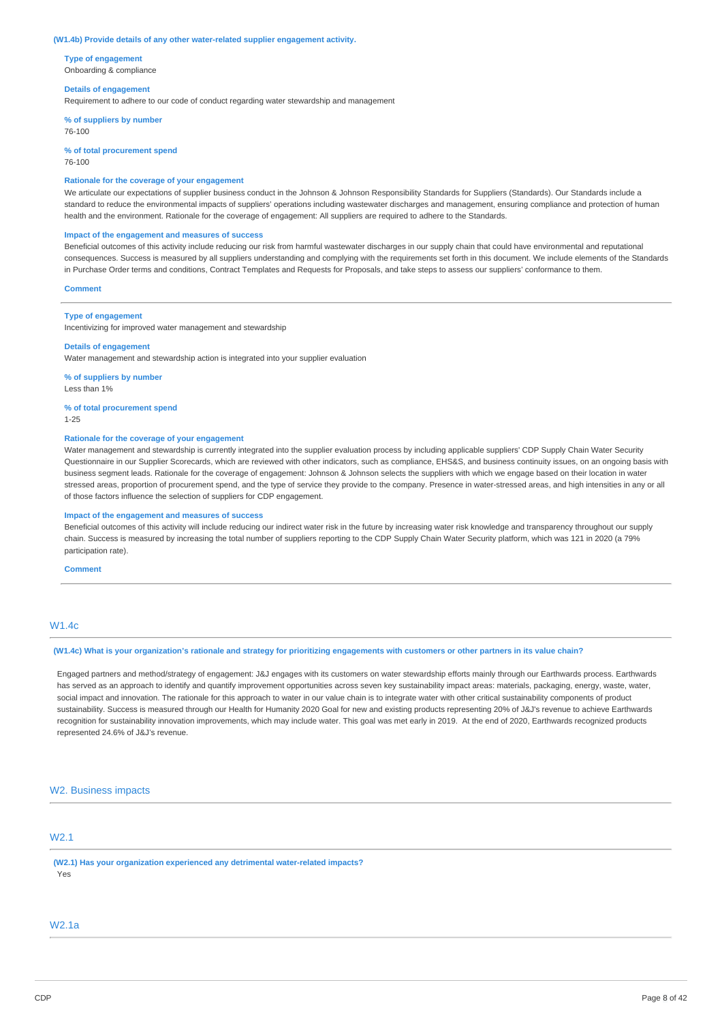#### **(W1.4b) Provide details of any other water-related supplier engagement activity.**

**Type of engagement** Onboarding & compliance

#### **Details of engagement**

Requirement to adhere to our code of conduct regarding water stewardship and management

**% of suppliers by number**

76-100

**% of total procurement spend** 76-100

# **Rationale for the coverage of your engagement**

We articulate our expectations of supplier business conduct in the Johnson & Johnson Responsibility Standards for Suppliers (Standards). Our Standards include a standard to reduce the environmental impacts of suppliers' operations including wastewater discharges and management, ensuring compliance and protection of human health and the environment. Rationale for the coverage of engagement: All suppliers are required to adhere to the Standards.

#### **Impact of the engagement and measures of success**

Beneficial outcomes of this activity include reducing our risk from harmful wastewater discharges in our supply chain that could have environmental and reputational consequences. Success is measured by all suppliers understanding and complying with the requirements set forth in this document. We include elements of the Standards in Purchase Order terms and conditions, Contract Templates and Requests for Proposals, and take steps to assess our suppliers' conformance to them.

#### **Comment**

#### **Type of engagement**

Incentivizing for improved water management and stewardship

### **Details of engagement**

Water management and stewardship action is integrated into your supplier evaluation

**% of suppliers by number** Less than 1%

#### **% of total procurement spend** 1-25

# **Rationale for the coverage of your engagement**

Water management and stewardship is currently integrated into the supplier evaluation process by including applicable suppliers' CDP Supply Chain Water Security Questionnaire in our Supplier Scorecards, which are reviewed with other indicators, such as compliance, EHS&S, and business continuity issues, on an ongoing basis with business segment leads. Rationale for the coverage of engagement: Johnson & Johnson selects the suppliers with which we engage based on their location in water stressed areas, proportion of procurement spend, and the type of service they provide to the company. Presence in water-stressed areas, and high intensities in any or all of those factors influence the selection of suppliers for CDP engagement.

#### **Impact of the engagement and measures of success**

Beneficial outcomes of this activity will include reducing our indirect water risk in the future by increasing water risk knowledge and transparency throughout our supply chain. Success is measured by increasing the total number of suppliers reporting to the CDP Supply Chain Water Security platform, which was 121 in 2020 (a 79% participation rate).

#### **Comment**

# W1.4c

# (W1.4c) What is your organization's rationale and strategy for prioritizing engagements with customers or other partners in its value chain?

Engaged partners and method/strategy of engagement: J&J engages with its customers on water stewardship efforts mainly through our Earthwards process. Earthwards has served as an approach to identify and quantify improvement opportunities across seven key sustainability impact areas: materials, packaging, energy, waste, water, social impact and innovation. The rationale for this approach to water in our value chain is to integrate water with other critical sustainability components of product sustainability. Success is measured through our Health for Humanity 2020 Goal for new and existing products representing 20% of J&J's revenue to achieve Earthwards recognition for sustainability innovation improvements, which may include water. This goal was met early in 2019. At the end of 2020, Earthwards recognized products represented 24.6% of J&J's revenue.

# W<sub>2</sub>. Business impacts

# W2.1

**(W2.1) Has your organization experienced any detrimental water-related impacts?** Yes

### W2.1a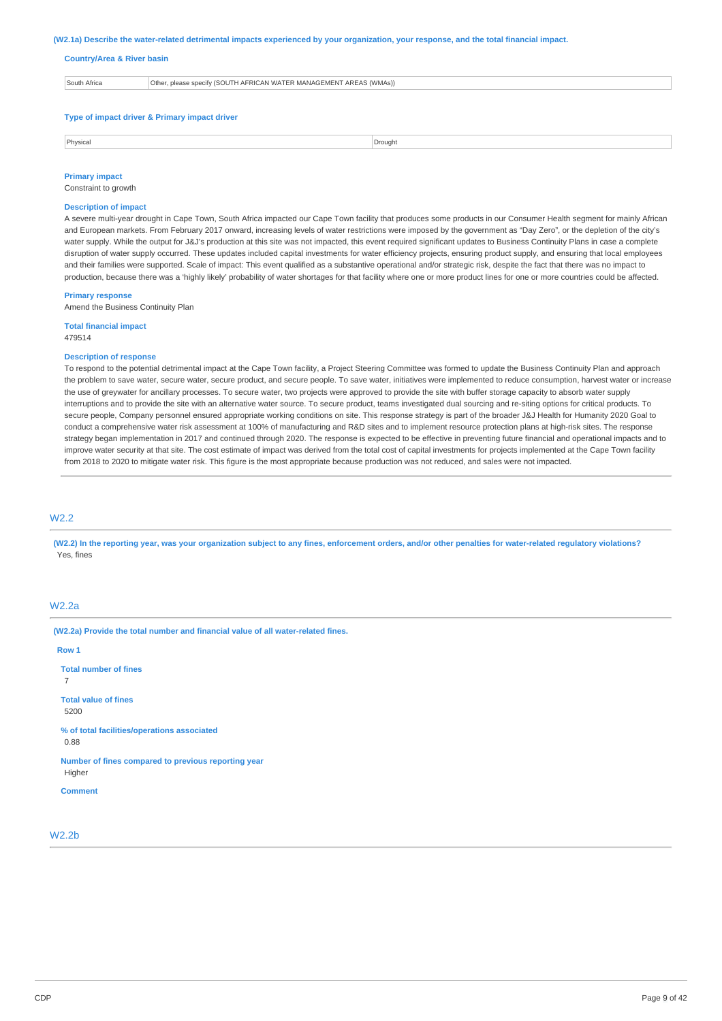#### (W2.1a) Describe the water-related detrimental impacts experienced by your organization, your response, and the total financial impact.

#### **Country/Area & River basin**

| South Africa | Other, please specify (SOUTH AFRICAN WATER MANAGEMENT AREAS (WMAs)) |
|--------------|---------------------------------------------------------------------|
|              |                                                                     |
|              |                                                                     |
|              |                                                                     |

# **Type of impact driver & Primary impact driver**

| Physica<br>, | . Drouant<br>_____ |
|--------------|--------------------|
|              |                    |

#### **Primary impact** Constraint to growth

# **Description of impact**

A severe multi-year drought in Cape Town, South Africa impacted our Cape Town facility that produces some products in our Consumer Health segment for mainly African and European markets. From February 2017 onward, increasing levels of water restrictions were imposed by the government as "Day Zero", or the depletion of the city's water supply. While the output for J&J's production at this site was not impacted, this event required significant updates to Business Continuity Plans in case a complete disruption of water supply occurred. These updates included capital investments for water efficiency projects, ensuring product supply, and ensuring that local employees and their families were supported. Scale of impact: This event qualified as a substantive operational and/or strategic risk, despite the fact that there was no impact to production, because there was a 'highly likely' probability of water shortages for that facility where one or more product lines for one or more countries could be affected.

#### **Primary response**

Amend the Business Continuity Plan

**Total financial impact** 479514

#### **Description of response**

To respond to the potential detrimental impact at the Cape Town facility, a Project Steering Committee was formed to update the Business Continuity Plan and approach the problem to save water, secure water, secure product, and secure people. To save water, initiatives were implemented to reduce consumption, harvest water or increase the use of greywater for ancillary processes. To secure water, two projects were approved to provide the site with buffer storage capacity to absorb water supply interruptions and to provide the site with an alternative water source. To secure product, teams investigated dual sourcing and re-siting options for critical products. To secure people, Company personnel ensured appropriate working conditions on site. This response strategy is part of the broader J&J Health for Humanity 2020 Goal to conduct a comprehensive water risk assessment at 100% of manufacturing and R&D sites and to implement resource protection plans at high-risk sites. The response strategy began implementation in 2017 and continued through 2020. The response is expected to be effective in preventing future financial and operational impacts and to improve water security at that site. The cost estimate of impact was derived from the total cost of capital investments for projects implemented at the Cape Town facility from 2018 to 2020 to mitigate water risk. This figure is the most appropriate because production was not reduced, and sales were not impacted.

### W2.2

(W2.2) In the reporting year, was your organization subject to any fines, enforcement orders, and/or other penalties for water-related regulatory violations? Yes, fines

# W2.2a

**(W2.2a) Provide the total number and financial value of all water-related fines.**

**Row 1 Total number of fines** 7 **Total value of fines** 5200 **% of total facilities/operations associated** 0.88 **Number of fines compared to previous reporting year** Higher **Comment**

W2.2b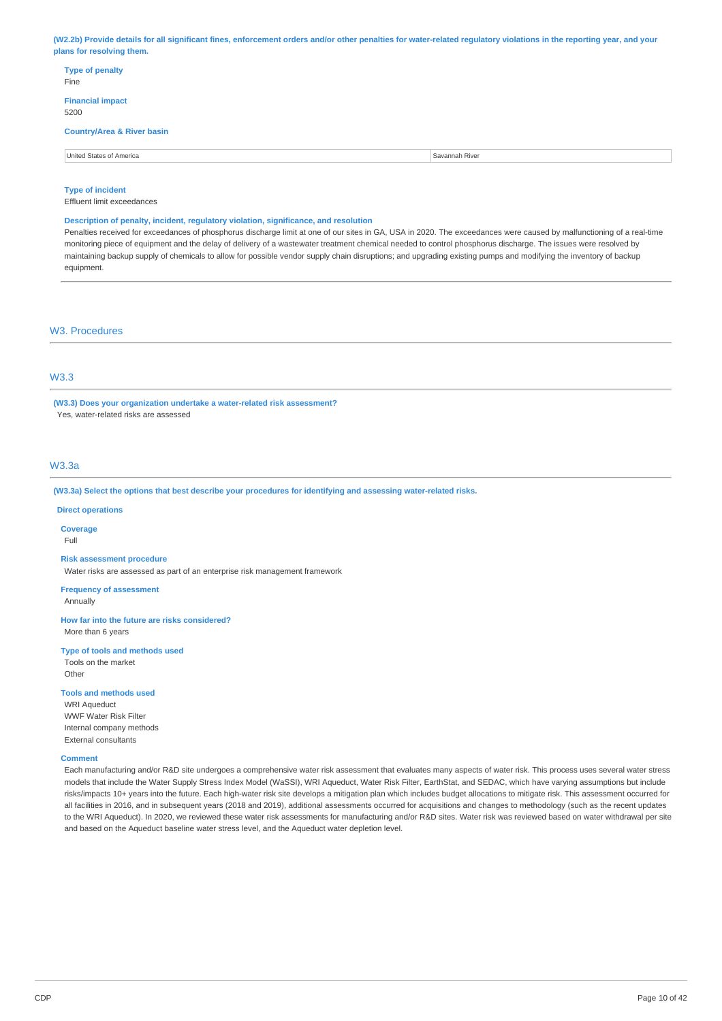(W2.2b) Provide details for all significant fines, enforcement orders and/or other penalties for water-related regulatory violations in the reporting year, and your **plans for resolving them.**

| <b>Type of penalty</b><br>Fine        |                |
|---------------------------------------|----------------|
| <b>Financial impact</b><br>5200       |                |
| <b>Country/Area &amp; River basin</b> |                |
| United States of America              | Savannah River |
|                                       |                |

**Type of incident**

Effluent limit exceedances

### **Description of penalty, incident, regulatory violation, significance, and resolution**

Penalties received for exceedances of phosphorus discharge limit at one of our sites in GA, USA in 2020. The exceedances were caused by malfunctioning of a real-time monitoring piece of equipment and the delay of delivery of a wastewater treatment chemical needed to control phosphorus discharge. The issues were resolved by maintaining backup supply of chemicals to allow for possible vendor supply chain disruptions; and upgrading existing pumps and modifying the inventory of backup equipment.

# W3. Procedures

# W3.3

**(W3.3) Does your organization undertake a water-related risk assessment?** Yes, water-related risks are assessed

### W3.3a

**(W3.3a) Select the options that best describe your procedures for identifying and assessing water-related risks.**

#### **Direct operations**

**Coverage**

Full

#### **Risk assessment procedure**

Water risks are assessed as part of an enterprise risk management framework

**Frequency of assessment**

Annually

**How far into the future are risks considered?** More than 6 years

### **Type of tools and methods used**

Tools on the market

 $Othe$ 

# **Tools and methods used**

WRI Aqueduct WWF Water Risk Filter Internal company methods External consultants

### **Comment**

Each manufacturing and/or R&D site undergoes a comprehensive water risk assessment that evaluates many aspects of water risk. This process uses several water stress models that include the Water Supply Stress Index Model (WaSSI), WRI Aqueduct, Water Risk Filter, EarthStat, and SEDAC, which have varying assumptions but include risks/impacts 10+ years into the future. Each high-water risk site develops a mitigation plan which includes budget allocations to mitigate risk. This assessment occurred for all facilities in 2016, and in subsequent years (2018 and 2019), additional assessments occurred for acquisitions and changes to methodology (such as the recent updates to the WRI Aqueduct). In 2020, we reviewed these water risk assessments for manufacturing and/or R&D sites. Water risk was reviewed based on water withdrawal per site and based on the Aqueduct baseline water stress level, and the Aqueduct water depletion level.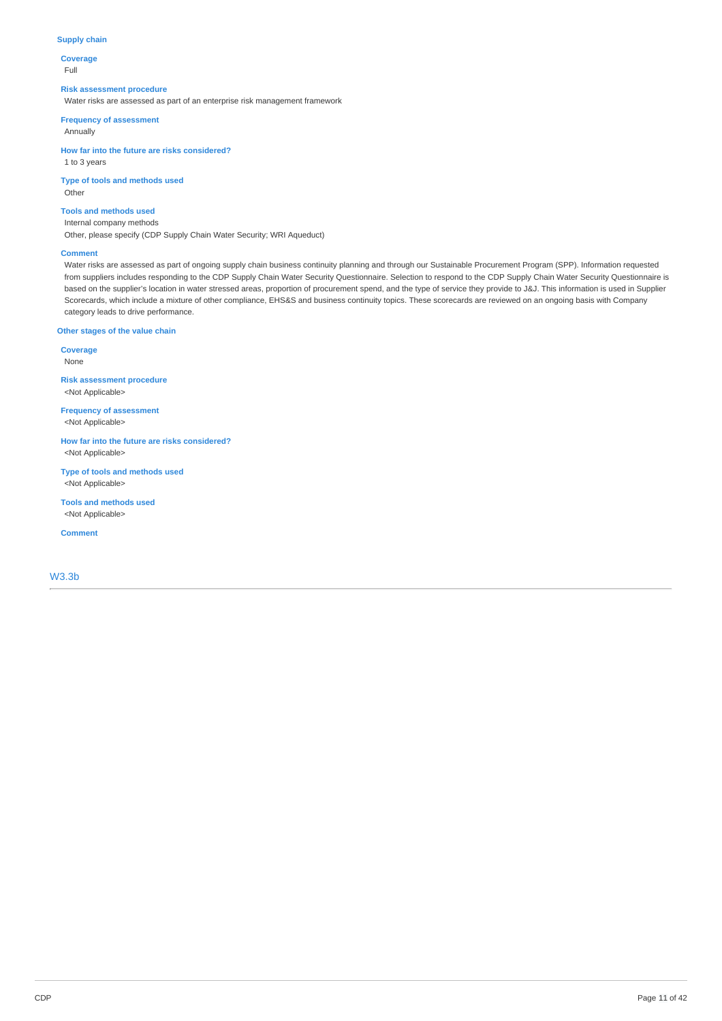### **Supply chain**

**Coverage** Full

#### **Risk assessment procedure**

Water risks are assessed as part of an enterprise risk management framework

**Frequency of assessment**

Annually

**How far into the future are risks considered?** 1 to 3 years

**Type of tools and methods used** Other

# **Tools and methods used**

Internal company methods Other, please specify (CDP Supply Chain Water Security; WRI Aqueduct)

#### **Comment**

Water risks are assessed as part of ongoing supply chain business continuity planning and through our Sustainable Procurement Program (SPP). Information requested from suppliers includes responding to the CDP Supply Chain Water Security Questionnaire. Selection to respond to the CDP Supply Chain Water Security Questionnaire is based on the supplier's location in water stressed areas, proportion of procurement spend, and the type of service they provide to J&J. This information is used in Supplier Scorecards, which include a mixture of other compliance, EHS&S and business continuity topics. These scorecards are reviewed on an ongoing basis with Company category leads to drive performance.

# **Other stages of the value chain**

**Coverage** None

**Risk assessment procedure** <Not Applicable>

**Frequency of assessment** <Not Applicable>

**How far into the future are risks considered?** <Not Applicable>

**Type of tools and methods used** <Not Applicable>

**Tools and methods used** <Not Applicable>

**Comment**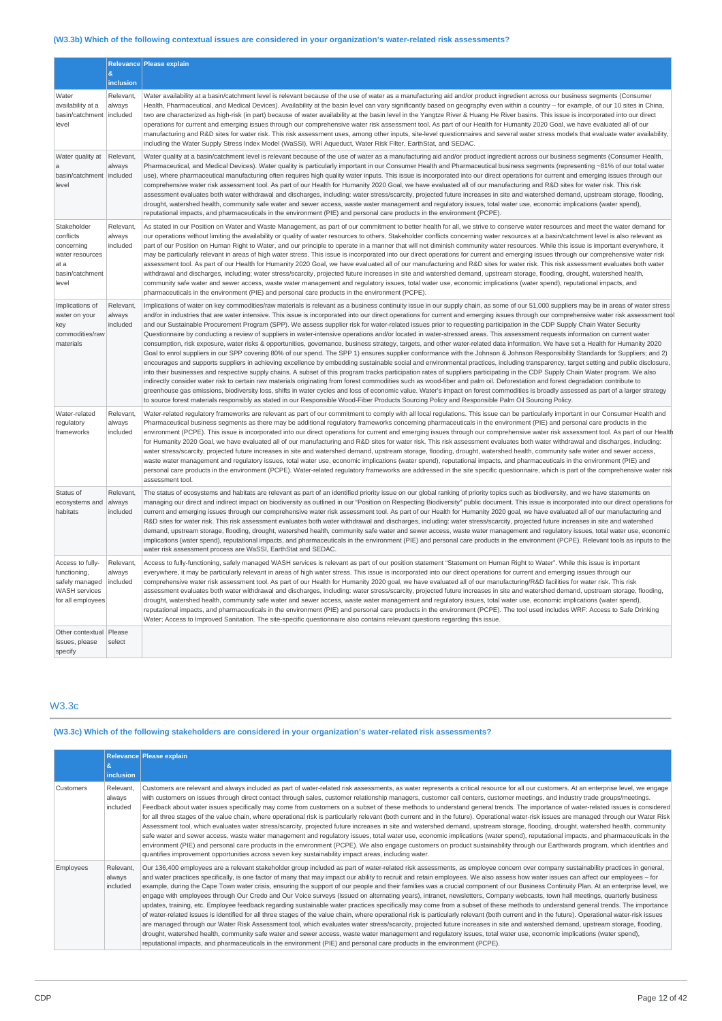# **(W3.3b) Which of the following contextual issues are considered in your organization's water-related risk assessments?**

|                                                                                                 |                                 | Relevance Please explain                                                                                                                                                                                                                                                                                                                                                                                                                                                                                                                                                                                                                                                                                                                                                                                                                                                                                                                                                                                                                                                                                                                                                                                                                                                                                                                                                                                                                                                                                                                                                                                                                                                                                                                                                                                                                                                                                                                                                                                                               |
|-------------------------------------------------------------------------------------------------|---------------------------------|----------------------------------------------------------------------------------------------------------------------------------------------------------------------------------------------------------------------------------------------------------------------------------------------------------------------------------------------------------------------------------------------------------------------------------------------------------------------------------------------------------------------------------------------------------------------------------------------------------------------------------------------------------------------------------------------------------------------------------------------------------------------------------------------------------------------------------------------------------------------------------------------------------------------------------------------------------------------------------------------------------------------------------------------------------------------------------------------------------------------------------------------------------------------------------------------------------------------------------------------------------------------------------------------------------------------------------------------------------------------------------------------------------------------------------------------------------------------------------------------------------------------------------------------------------------------------------------------------------------------------------------------------------------------------------------------------------------------------------------------------------------------------------------------------------------------------------------------------------------------------------------------------------------------------------------------------------------------------------------------------------------------------------------|
|                                                                                                 | &<br>inclusion                  |                                                                                                                                                                                                                                                                                                                                                                                                                                                                                                                                                                                                                                                                                                                                                                                                                                                                                                                                                                                                                                                                                                                                                                                                                                                                                                                                                                                                                                                                                                                                                                                                                                                                                                                                                                                                                                                                                                                                                                                                                                        |
| Water<br>availability at a<br>basin/catchment<br>level                                          | Relevant,<br>always<br>included | Water availability at a basin/catchment level is relevant because of the use of water as a manufacturing aid and/or product ingredient across our business segments (Consumer<br>Health, Pharmaceutical, and Medical Devices). Availability at the basin level can vary significantly based on geography even within a country - for example, of our 10 sites in China,<br>two are characterized as high-risk (in part) because of water availability at the basin level in the Yangtze River & Huang He River basins. This issue is incorporated into our direct<br>operations for current and emerging issues through our comprehensive water risk assessment tool. As part of our Health for Humanity 2020 Goal, we have evaluated all of our<br>manufacturing and R&D sites for water risk. This risk assessment uses, among other inputs, site-level questionnaires and several water stress models that evaluate water availability,<br>including the Water Supply Stress Index Model (WaSSI), WRI Aqueduct, Water Risk Filter, EarthStat, and SEDAC.                                                                                                                                                                                                                                                                                                                                                                                                                                                                                                                                                                                                                                                                                                                                                                                                                                                                                                                                                                            |
| Water quality at<br>a<br>basin/catchment<br>level                                               | Relevant,<br>always<br>included | Water quality at a basin/catchment level is relevant because of the use of water as a manufacturing aid and/or product ingredient across our business segments (Consumer Health,<br>Pharmaceutical, and Medical Devices). Water quality is particularly important in our Consumer Health and Pharmaceutical business segments (representing ~81% of our total water<br>use), where pharmaceutical manufacturing often requires high quality water inputs. This issue is incorporated into our direct operations for current and emerging issues through our<br>comprehensive water risk assessment tool. As part of our Health for Humanity 2020 Goal, we have evaluated all of our manufacturing and R&D sites for water risk. This risk<br>assessment evaluates both water withdrawal and discharges, including: water stress/scarcity, projected future increases in site and watershed demand, upstream storage, flooding,<br>drought, watershed health, community safe water and sewer access, waste water management and regulatory issues, total water use, economic implications (water spend),<br>reputational impacts, and pharmaceuticals in the environment (PIE) and personal care products in the environment (PCPE).                                                                                                                                                                                                                                                                                                                                                                                                                                                                                                                                                                                                                                                                                                                                                                                                    |
| Stakeholder<br>conflicts<br>concerning<br>water resources<br>at a<br>basin/catchment<br>level   | Relevant,<br>always<br>included | As stated in our Position on Water and Waste Management, as part of our commitment to better health for all, we strive to conserve water resources and meet the water demand for<br>our operations without limiting the availability or quality of water resources to others. Stakeholder conflicts concerning water resources at a basin/catchment level is also relevant as<br>part of our Position on Human Right to Water, and our principle to operate in a manner that will not diminish community water resources. While this issue is important everywhere, it<br>may be particularly relevant in areas of high water stress. This issue is incorporated into our direct operations for current and emerging issues through our comprehensive water risk<br>assessment tool. As part of our Health for Humanity 2020 Goal, we have evaluated all of our manufacturing and R&D sites for water risk. This risk assessment evaluates both water<br>withdrawal and discharges, including; water stress/scarcity, projected future increases in site and watershed demand, upstream storage, flooding, drought, watershed health,<br>community safe water and sewer access, waste water management and regulatory issues, total water use, economic implications (water spend), reputational impacts, and<br>pharmaceuticals in the environment (PIE) and personal care products in the environment (PCPE).                                                                                                                                                                                                                                                                                                                                                                                                                                                                                                                                                                                                                        |
| Implications of<br>water on your<br>key<br>commodities/raw<br>materials                         | Relevant,<br>always<br>included | Implications of water on key commodities/raw materials is relevant as a business continuity issue in our supply chain, as some of our 51,000 suppliers may be in areas of water stress<br>and/or in industries that are water intensive. This issue is incorporated into our direct operations for current and emerging issues through our comprehensive water risk assessment tool<br>and our Sustainable Procurement Program (SPP). We assess supplier risk for water-related issues prior to requesting participation in the CDP Supply Chain Water Security<br>Questionnaire by conducting a review of suppliers in water-intensive operations and/or located in water-stressed areas. This assessment requests information on current water<br>consumption, risk exposure, water risks & opportunities, governance, business strategy, targets, and other water-related data information. We have set a Health for Humanity 2020<br>Goal to enrol suppliers in our SPP covering 80% of our spend. The SPP 1) ensures supplier conformance with the Johnson & Johnson Responsibility Standards for Suppliers; and 2)<br>encourages and supports suppliers in achieving excellence by embedding sustainable social and environmental practices, including transparency, target setting and public disclosure,<br>into their businesses and respective supply chains. A subset of this program tracks participation rates of suppliers participating in the CDP Supply Chain Water program. We also<br>indirectly consider water risk to certain raw materials originating from forest commodities such as wood-fiber and palm oil. Deforestation and forest degradation contribute to<br>greenhouse gas emissions, biodiversity loss, shifts in water cycles and loss of economic value. Water's impact on forest commodities is broadly assessed as part of a larger strategy<br>to source forest materials responsibly as stated in our Responsible Wood-Fiber Products Sourcing Policy and Responsible Palm Oil Sourcing Policy. |
| Water-related<br>regulatory<br>frameworks                                                       | Relevant,<br>always<br>included | Water-related regulatory frameworks are relevant as part of our commitment to comply with all local regulations. This issue can be particularly important in our Consumer Health and<br>Pharmaceutical business segments as there may be additional regulatory frameworks concerning pharmaceuticals in the environment (PIE) and personal care products in the<br>environment (PCPE). This issue is incorporated into our direct operations for current and emerging issues through our comprehensive water risk assessment tool. As part of our Health<br>for Humanity 2020 Goal, we have evaluated all of our manufacturing and R&D sites for water risk. This risk assessment evaluates both water withdrawal and discharges, including:<br>water stress/scarcity, projected future increases in site and watershed demand, upstream storage, flooding, drought, watershed health, community safe water and sewer access,<br>waste water management and regulatory issues, total water use, economic implications (water spend), reputational impacts, and pharmaceuticals in the environment (PIE) and<br>personal care products in the environment (PCPE). Water-related requlatory frameworks are addressed in the site specific questionnaire, which is part of the comprehensive water risk<br>assessment tool.                                                                                                                                                                                                                                                                                                                                                                                                                                                                                                                                                                                                                                                                                                               |
| Status of<br>ecosystems and<br>habitats                                                         | Relevant,<br>always<br>included | The status of ecosystems and habitats are relevant as part of an identified priority issue on our global ranking of priority topics such as biodiversity, and we have statements on<br>managing our direct and indirect impact on biodiversity as outlined in our "Position on Respecting Biodiversity" public document. This issue is incorporated into our direct operations for<br>current and emerging issues through our comprehensive water risk assessment tool. As part of our Health for Humanity 2020 goal, we have evaluated all of our manufacturing and<br>R&D sites for water risk. This risk assessment evaluates both water withdrawal and discharges, including: water stress/scarcity, projected future increases in site and watershed<br>demand, upstream storage, flooding, drought, watershed health, community safe water and sewer access, waste water management and regulatory issues, total water use, economic<br>implications (water spend), reputational impacts, and pharmaceuticals in the environment (PIE) and personal care products in the environment (PCPE). Relevant tools as inputs to the<br>water risk assessment process are WaSSI, EarthStat and SEDAC.                                                                                                                                                                                                                                                                                                                                                                                                                                                                                                                                                                                                                                                                                                                                                                                                                                    |
| Access to fully-<br>functioning,<br>safely managed<br><b>WASH services</b><br>for all employees | Relevant,<br>always<br>included | Access to fully-functioning, safely managed WASH services is relevant as part of our position statement "Statement on Human Right to Water". While this issue is important<br>everywhere, it may be particularly relevant in areas of high water stress. This issue is incorporated into our direct operations for current and emerging issues through our<br>comprehensive water risk assessment tool. As part of our Health for Humanity 2020 goal, we have evaluated all of our manufacturing/R&D facilities for water risk. This risk<br>assessment evaluates both water withdrawal and discharges, including: water stress/scarcity, projected future increases in site and watershed demand, upstream storage, flooding,<br>drought, watershed health, community safe water and sewer access, waste water management and regulatory issues, total water use, economic implications (water spend),<br>reputational impacts, and pharmaceuticals in the environment (PIE) and personal care products in the environment (PCPE). The tool used includes WRF: Access to Safe Drinking<br>Water; Access to Improved Sanitation. The site-specific questionnaire also contains relevant questions regarding this issue.                                                                                                                                                                                                                                                                                                                                                                                                                                                                                                                                                                                                                                                                                                                                                                                                                |
| Other contextual<br>issues, please<br>specify                                                   | Please<br>select                |                                                                                                                                                                                                                                                                                                                                                                                                                                                                                                                                                                                                                                                                                                                                                                                                                                                                                                                                                                                                                                                                                                                                                                                                                                                                                                                                                                                                                                                                                                                                                                                                                                                                                                                                                                                                                                                                                                                                                                                                                                        |

# W3.3c

# **(W3.3c) Which of the following stakeholders are considered in your organization's water-related risk assessments?**

|                  | Relevance Please explain<br>æ.  |                                                                                                                                                                                                                                                                                                                                                                                                                                                                                                                                                                                                                                                                                                                                                                                                                                                                                                                                                                                                                                                                                                                                                                                                                                                                                                                                                                                                                                                                                                                                                                                                                                 |
|------------------|---------------------------------|---------------------------------------------------------------------------------------------------------------------------------------------------------------------------------------------------------------------------------------------------------------------------------------------------------------------------------------------------------------------------------------------------------------------------------------------------------------------------------------------------------------------------------------------------------------------------------------------------------------------------------------------------------------------------------------------------------------------------------------------------------------------------------------------------------------------------------------------------------------------------------------------------------------------------------------------------------------------------------------------------------------------------------------------------------------------------------------------------------------------------------------------------------------------------------------------------------------------------------------------------------------------------------------------------------------------------------------------------------------------------------------------------------------------------------------------------------------------------------------------------------------------------------------------------------------------------------------------------------------------------------|
|                  | inclusion                       |                                                                                                                                                                                                                                                                                                                                                                                                                                                                                                                                                                                                                                                                                                                                                                                                                                                                                                                                                                                                                                                                                                                                                                                                                                                                                                                                                                                                                                                                                                                                                                                                                                 |
| <b>Customers</b> | Relevant,<br>always<br>included | Customers are relevant and always included as part of water-related risk assessments, as water represents a critical resource for all our customers. At an enterprise level, we engage<br>with customers on issues through direct contact through sales, customer relationship managers, customer call centers, customer meetings, and industry trade groups/meetings.<br>Feedback about water issues specifically may come from customers on a subset of these methods to understand general trends. The importance of water-related issues is considered<br>for all three stages of the value chain, where operational risk is particularly relevant (both current and in the future). Operational water-risk issues are managed through our Water Risk<br>Assessment tool, which evaluates water stress/scarcity, projected future increases in site and watershed demand, upstream storage, flooding, drought, watershed health, community<br>safe water and sewer access, waste water management and regulatory issues, total water use, economic implications (water spend), reputational impacts, and pharmaceuticals in the<br>environment (PIE) and personal care products in the environment (PCPE). We also engage customers on product sustainability through our Earthwards program, which identifies and<br>quantifies improvement opportunities across seven key sustainability impact areas, including water.                                                                                                                                                                                                   |
| Employees        | Relevant,<br>always<br>included | Our 136,400 employees are a relevant stakeholder group included as part of water-related risk assessments, as employee concern over company sustainability practices in general,<br>and water practices specifically, is one factor of many that may impact our ability to recruit and retain employees. We also assess how water issues can affect our employees – for<br>example, during the Cape Town water crisis, ensuring the support of our people and their families was a crucial component of our Business Continuity Plan. At an enterprise level, we<br>engage with employees through Our Credo and Our Voice surveys (issued on alternating years), intranet, newsletters, Company webcasts, town hall meetings, quarterly business<br>updates, training, etc. Employee feedback regarding sustainable water practices specifically may come from a subset of these methods to understand general trends. The importance<br>of water-related issues is identified for all three stages of the value chain, where operational risk is particularly relevant (both current and in the future). Operational water-risk issues<br>are managed through our Water Risk Assessment tool, which evaluates water stress/scarcity, projected future increases in site and watershed demand, upstream storage, flooding,<br>drought, watershed health, community safe water and sewer access, waste water management and regulatory issues, total water use, economic implications (water spend),<br>reputational impacts, and pharmaceuticals in the environment (PIE) and personal care products in the environment (PCPE). |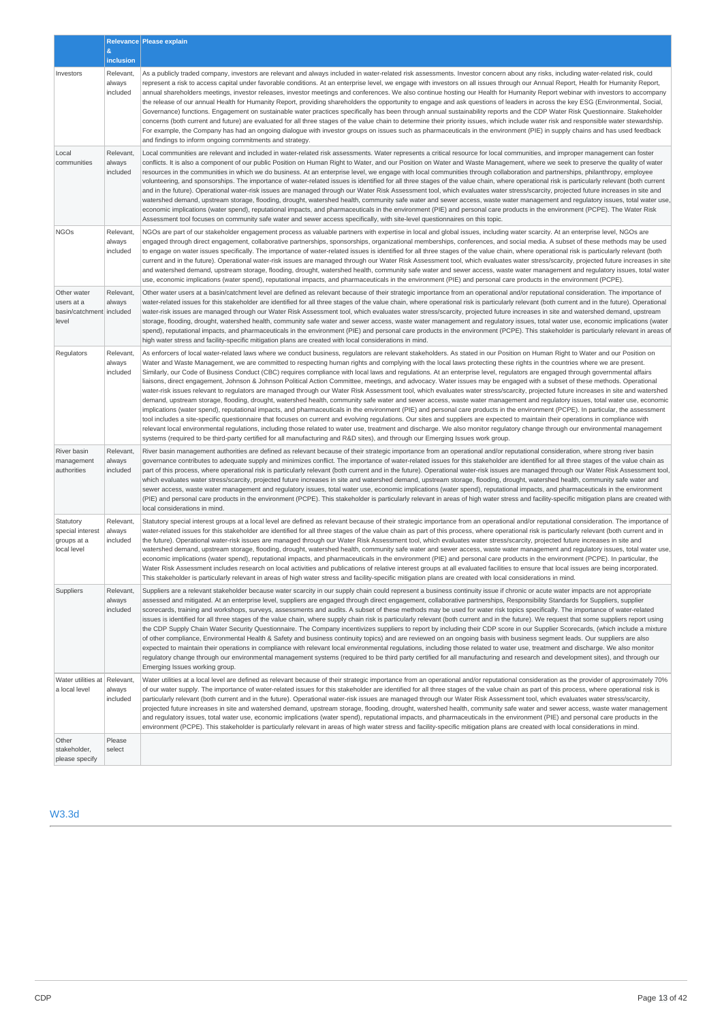|                                                                |                                 | Relevance Please explain                                                                                                                                                                                                                                                                                                                                                                                                                                                                                                                                                                                                                                                                                                                                                                                                                                                                                                                                                                                                                                                                                                                                                                                                                                                                                                                                                                                                                                                                                                                                                                                                                                                                                                                                                                               |  |
|----------------------------------------------------------------|---------------------------------|--------------------------------------------------------------------------------------------------------------------------------------------------------------------------------------------------------------------------------------------------------------------------------------------------------------------------------------------------------------------------------------------------------------------------------------------------------------------------------------------------------------------------------------------------------------------------------------------------------------------------------------------------------------------------------------------------------------------------------------------------------------------------------------------------------------------------------------------------------------------------------------------------------------------------------------------------------------------------------------------------------------------------------------------------------------------------------------------------------------------------------------------------------------------------------------------------------------------------------------------------------------------------------------------------------------------------------------------------------------------------------------------------------------------------------------------------------------------------------------------------------------------------------------------------------------------------------------------------------------------------------------------------------------------------------------------------------------------------------------------------------------------------------------------------------|--|
|                                                                | $\&$<br>inclusion               |                                                                                                                                                                                                                                                                                                                                                                                                                                                                                                                                                                                                                                                                                                                                                                                                                                                                                                                                                                                                                                                                                                                                                                                                                                                                                                                                                                                                                                                                                                                                                                                                                                                                                                                                                                                                        |  |
| Investors                                                      | Relevant,<br>always<br>included | As a publicly traded company, investors are relevant and always included in water-related risk assessments. Investor concern about any risks, including water-related risk, could<br>represent a risk to access capital under favorable conditions. At an enterprise level, we engage with investors on all issues through our Annual Report, Health for Humanity Report,<br>annual shareholders meetings, investor releases, investor meetings and conferences. We also continue hosting our Health for Humanity Report webinar with investors to accompany<br>the release of our annual Health for Humanity Report, providing shareholders the opportunity to engage and ask questions of leaders in across the key ESG (Environmental, Social,<br>Governance) functions. Engagement on sustainable water practices specifically has been through annual sustainability reports and the CDP Water Risk Questionnaire. Stakeholder<br>concerns (both current and future) are evaluated for all three stages of the value chain to determine their priority issues, which include water risk and responsible water stewardship.<br>For example, the Company has had an ongoing dialogue with investor groups on issues such as pharmaceuticals in the environment (PIE) in supply chains and has used feedback<br>and findings to inform ongoing commitments and strategy.                                                                                                                                                                                                                                                                                                                                                                                                                             |  |
| Local<br>communities                                           | Relevant,<br>always<br>included | Local communities are relevant and included in water-related risk assessments. Water represents a critical resource for local communities, and improper management can foster<br>conflicts. It is also a component of our public Position on Human Right to Water, and our Position on Water and Waste Management, where we seek to preserve the quality of water<br>resources in the communities in which we do business. At an enterprise level, we engage with local communities through collaboration and partnerships, philanthropy, employee<br>volunteering, and sponsorships. The importance of water-related issues is identified for all three stages of the value chain, where operational risk is particularly relevant (both current<br>and in the future). Operational water-risk issues are managed through our Water Risk Assessment tool, which evaluates water stress/scarcity, projected future increases in site and<br>watershed demand, upstream storage, flooding, drought, watershed health, community safe water and sewer access, waste water management and regulatory issues, total water use,<br>economic implications (water spend), reputational impacts, and pharmaceuticals in the environment (PIE) and personal care products in the environment (PCPE). The Water Risk<br>Assessment tool focuses on community safe water and sewer access specifically, with site-level questionnaires on this topic.                                                                                                                                                                                                                                                                                                                                                             |  |
| <b>NGOs</b>                                                    | Relevant,<br>always<br>included | NGOs are part of our stakeholder engagement process as valuable partners with expertise in local and global issues, including water scarcity. At an enterprise level, NGOs are<br>engaged through direct engagement, collaborative partnerships, sponsorships, organizational memberships, conferences, and social media. A subset of these methods may be used<br>to engage on water issues specifically. The importance of water-related issues is identified for all three stages of the value chain, where operational risk is particularly relevant (both<br>current and in the future). Operational water-risk issues are managed through our Water Risk Assessment tool, which evaluates water stress/scarcity, projected future increases in site<br>and watershed demand, upstream storage, flooding, drought, watershed health, community safe water and sewer access, waste water management and regulatory issues, total water<br>use, economic implications (water spend), reputational impacts, and pharmaceuticals in the environment (PIE) and personal care products in the environment (PCPE).                                                                                                                                                                                                                                                                                                                                                                                                                                                                                                                                                                                                                                                                                       |  |
| Other water<br>users at a<br>basin/catchment included<br>level | Relevant,<br>always             | Other water users at a basin/catchment level are defined as relevant because of their strategic importance from an operational and/or reputational consideration. The importance of<br>water-related issues for this stakeholder are identified for all three stages of the value chain, where operational risk is particularly relevant (both current and in the future). Operational<br>water-risk issues are managed through our Water Risk Assessment tool, which evaluates water stress/scarcity, projected future increases in site and watershed demand, upstream<br>storage, flooding, drought, watershed health, community safe water and sewer access, waste water management and regulatory issues, total water use, economic implications (water<br>spend), reputational impacts, and pharmaceuticals in the environment (PIE) and personal care products in the environment (PCPE). This stakeholder is particularly relevant in areas of<br>high water stress and facility-specific mitigation plans are created with local considerations in mind.                                                                                                                                                                                                                                                                                                                                                                                                                                                                                                                                                                                                                                                                                                                                      |  |
| Regulators                                                     | Relevant,<br>always<br>included | As enforcers of local water-related laws where we conduct business, regulators are relevant stakeholders. As stated in our Position on Human Right to Water and our Position on<br>Water and Waste Management, we are committed to respecting human rights and complying with the local laws protecting these rights in the countries where we are present.<br>Similarly, our Code of Business Conduct (CBC) requires compliance with local laws and requlations. At an enterprise level, requlators are engaged through governmental affairs<br>liaisons, direct engagement, Johnson & Johnson Political Action Committee, meetings, and advocacy. Water issues may be engaged with a subset of these methods. Operational<br>water-risk issues relevant to regulators are managed through our Water Risk Assessment tool, which evaluates water stress/scarcity, projected future increases in site and watershed<br>demand, upstream storage, flooding, drought, watershed health, community safe water and sewer access, waste water management and regulatory issues, total water use, economic<br>implications (water spend), reputational impacts, and pharmaceuticals in the environment (PIE) and personal care products in the environment (PCPE). In particular, the assessment<br>tool includes a site-specific questionnaire that focuses on current and evolving regulations. Our sites and suppliers are expected to maintain their operations in compliance with<br>relevant local environmental regulations, including those related to water use, treatment and discharge. We also monitor regulatory change through our environmental management<br>systems (required to be third-party certified for all manufacturing and R&D sites), and through our Emerging Issues work group. |  |
| River basin<br>management<br>authorities                       | Relevant,<br>always<br>included | River basin management authorities are defined as relevant because of their strategic importance from an operational and/or reputational consideration, where strong river basin<br>governance contributes to adequate supply and minimizes conflict. The importance of water-related issues for this stakeholder are identified for all three stages of the value chain as<br>part of this process, where operational risk is particularly relevant (both current and in the future). Operational water-risk issues are managed through our Water Risk Assessment tool,<br>which evaluates water stress/scarcity, projected future increases in site and watershed demand, upstream storage, flooding, drought, watershed health, community safe water and<br>sewer access, waste water management and regulatory issues, total water use, economic implications (water spend), reputational impacts, and pharmaceuticals in the environment<br>(PIE) and personal care products in the environment (PCPE). This stakeholder is particularly relevant in areas of high water stress and facility-specific mitigation plans are created with<br>local considerations in mind.                                                                                                                                                                                                                                                                                                                                                                                                                                                                                                                                                                                                                          |  |
| Statutory<br>special interest<br>groups at a<br>local level    | Relevant,<br>always<br>included | Statutory special interest groups at a local level are defined as relevant because of their strategic importance from an operational and/or reputational consideration. The importance of<br>water-related issues for this stakeholder are identified for all three stages of the value chain as part of this process, where operational risk is particularly relevant (both current and in<br>the future). Operational water-risk issues are managed through our Water Risk Assessment tool, which evaluates water stress/scarcity, projected future increases in site and<br>watershed demand, upstream storage, flooding, drought, watershed health, community safe water and sewer access, waste water management and regulatory issues, total water use,<br>economic implications (water spend), reputational impacts, and pharmaceuticals in the environment (PIE) and personal care products in the environment (PCPE). In particular, the<br>Water Risk Assessment includes research on local activities and publications of relative interest groups at all evaluated facilities to ensure that local issues are being incorporated.<br>This stakeholder is particularly relevant in areas of high water stress and facility-specific mitigation plans are created with local considerations in mind.                                                                                                                                                                                                                                                                                                                                                                                                                                                                                         |  |
| Suppliers                                                      | Relevant,<br>always<br>included | Suppliers are a relevant stakeholder because water scarcity in our supply chain could represent a business continuity issue if chronic or acute water impacts are not appropriate<br>assessed and mitigated. At an enterprise level, suppliers are engaged through direct engagement, collaborative partnerships, Responsibility Standards for Suppliers, supplier<br>scorecards, training and workshops, surveys, assessments and audits. A subset of these methods may be used for water risk topics specifically. The importance of water-related<br>issues is identified for all three stages of the value chain, where supply chain risk is particularly relevant (both current and in the future). We request that some suppliers report using<br>the CDP Supply Chain Water Security Questionnaire. The Company incentivizes suppliers to report by including their CDP score in our Supplier Scorecards, (which include a mixture<br>of other compliance, Environmental Health & Safety and business continuity topics) and are reviewed on an ongoing basis with business segment leads. Our suppliers are also<br>expected to maintain their operations in compliance with relevant local environmental regulations, including those related to water use, treatment and discharge. We also monitor<br>regulatory change through our environmental management systems (required to be third party certified for all manufacturing and research and development sites), and through our<br>Emerging Issues working group.                                                                                                                                                                                                                                                                     |  |
| Water utilities at Relevant,<br>a local level                  | always<br>included              | Water utilities at a local level are defined as relevant because of their strategic importance from an operational and/or reputational consideration as the provider of approximately 70%<br>of our water supply. The importance of water-related issues for this stakeholder are identified for all three stages of the value chain as part of this process, where operational risk is<br>particularly relevant (both current and in the future). Operational water-risk issues are managed through our Water Risk Assessment tool, which evaluates water stress/scarcity,<br>projected future increases in site and watershed demand, upstream storage, flooding, drought, watershed health, community safe water and sewer access, waste water management<br>and requlatory issues, total water use, economic implications (water spend), reputational impacts, and pharmaceuticals in the environment (PIE) and personal care products in the<br>environment (PCPE). This stakeholder is particularly relevant in areas of high water stress and facility-specific mitigation plans are created with local considerations in mind.                                                                                                                                                                                                                                                                                                                                                                                                                                                                                                                                                                                                                                                                 |  |
| Other<br>stakeholder,<br>please specify                        | Please<br>select                |                                                                                                                                                                                                                                                                                                                                                                                                                                                                                                                                                                                                                                                                                                                                                                                                                                                                                                                                                                                                                                                                                                                                                                                                                                                                                                                                                                                                                                                                                                                                                                                                                                                                                                                                                                                                        |  |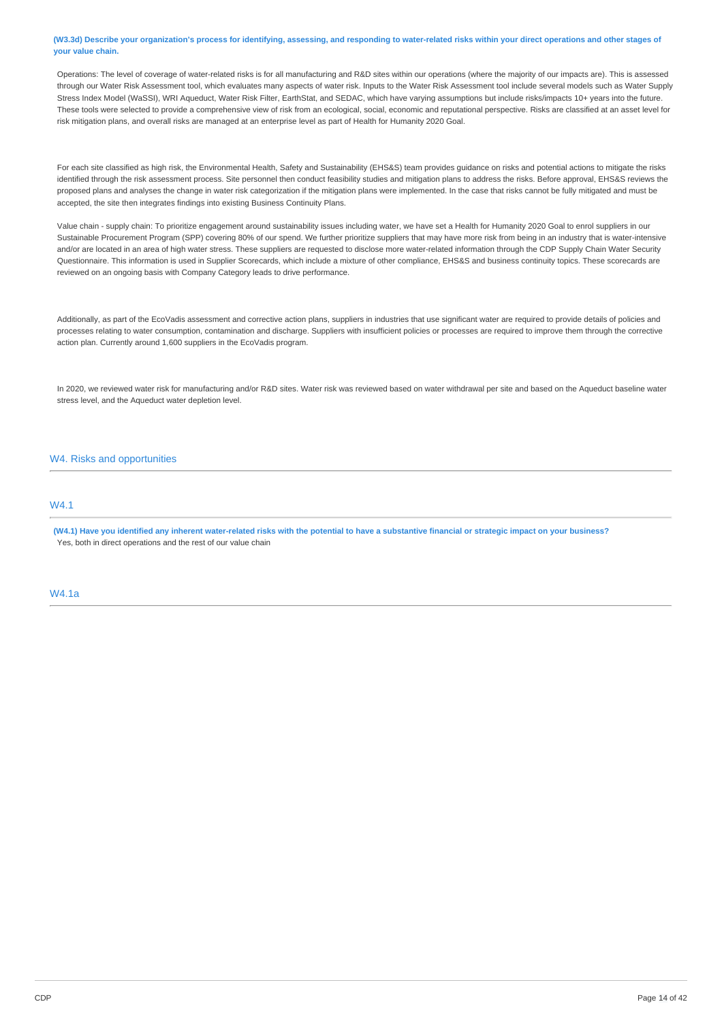(W3.3d) Describe your organization's process for identifying, assessing, and responding to water-related risks within your direct operations and other stages of **your value chain.**

Operations: The level of coverage of water-related risks is for all manufacturing and R&D sites within our operations (where the majority of our impacts are). This is assessed through our Water Risk Assessment tool, which evaluates many aspects of water risk. Inputs to the Water Risk Assessment tool include several models such as Water Supply Stress Index Model (WaSSI), WRI Aqueduct, Water Risk Filter, EarthStat, and SEDAC, which have varying assumptions but include risks/impacts 10+ years into the future. These tools were selected to provide a comprehensive view of risk from an ecological, social, economic and reputational perspective. Risks are classified at an asset level for risk mitigation plans, and overall risks are managed at an enterprise level as part of Health for Humanity 2020 Goal.

For each site classified as high risk, the Environmental Health, Safety and Sustainability (EHS&S) team provides guidance on risks and potential actions to mitigate the risks identified through the risk assessment process. Site personnel then conduct feasibility studies and mitigation plans to address the risks. Before approval, EHS&S reviews the proposed plans and analyses the change in water risk categorization if the mitigation plans were implemented. In the case that risks cannot be fully mitigated and must be accepted, the site then integrates findings into existing Business Continuity Plans.

Value chain - supply chain: To prioritize engagement around sustainability issues including water, we have set a Health for Humanity 2020 Goal to enrol suppliers in our Sustainable Procurement Program (SPP) covering 80% of our spend. We further prioritize suppliers that may have more risk from being in an industry that is water-intensive and/or are located in an area of high water stress. These suppliers are requested to disclose more water-related information through the CDP Supply Chain Water Security Questionnaire. This information is used in Supplier Scorecards, which include a mixture of other compliance, EHS&S and business continuity topics. These scorecards are reviewed on an ongoing basis with Company Category leads to drive performance.

Additionally, as part of the EcoVadis assessment and corrective action plans, suppliers in industries that use significant water are required to provide details of policies and processes relating to water consumption, contamination and discharge. Suppliers with insufficient policies or processes are required to improve them through the corrective action plan. Currently around 1,600 suppliers in the EcoVadis program.

In 2020, we reviewed water risk for manufacturing and/or R&D sites. Water risk was reviewed based on water withdrawal per site and based on the Aqueduct baseline water stress level, and the Aqueduct water depletion level.

# W4. Risks and opportunities

# **MA1**

(W4.1) Have you identified any inherent water-related risks with the potential to have a substantive financial or strategic impact on your business? Yes, both in direct operations and the rest of our value chain

W4.1a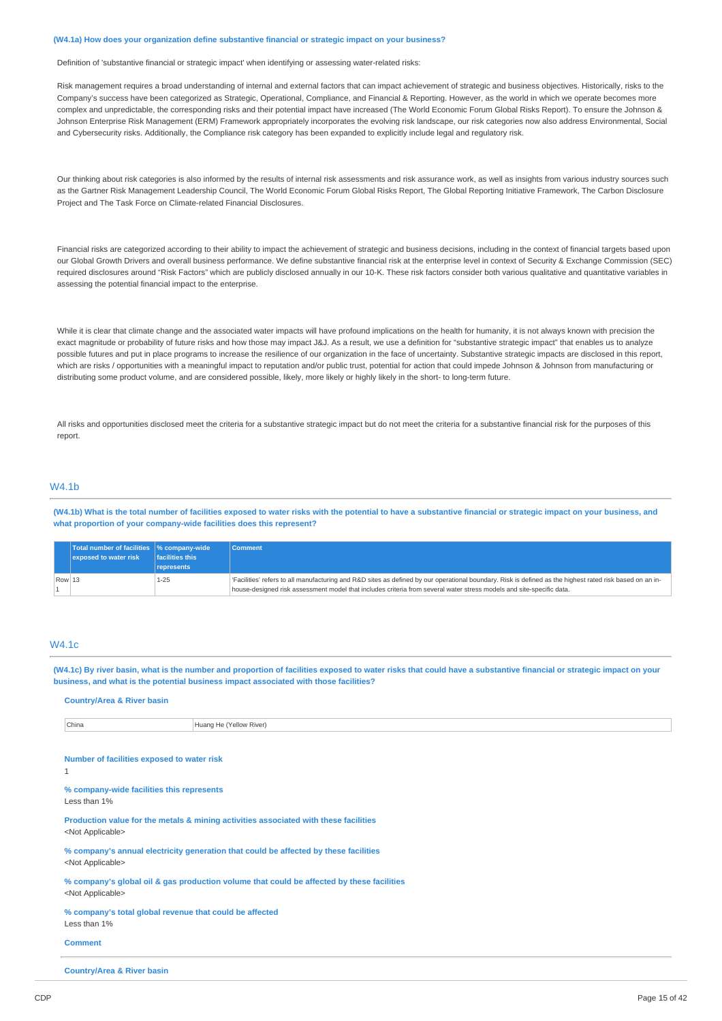#### **(W4.1a) How does your organization define substantive financial or strategic impact on your business?**

Definition of 'substantive financial or strategic impact' when identifying or assessing water-related risks:

Risk management requires a broad understanding of internal and external factors that can impact achievement of strategic and business objectives. Historically, risks to the Company's success have been categorized as Strategic, Operational, Compliance, and Financial & Reporting. However, as the world in which we operate becomes more complex and unpredictable, the corresponding risks and their potential impact have increased (The World Economic Forum Global Risks Report). To ensure the Johnson & Johnson Enterprise Risk Management (ERM) Framework appropriately incorporates the evolving risk landscape, our risk categories now also address Environmental, Social and Cybersecurity risks. Additionally, the Compliance risk category has been expanded to explicitly include legal and regulatory risk.

Our thinking about risk categories is also informed by the results of internal risk assessments and risk assurance work, as well as insights from various industry sources such as the Gartner Risk Management Leadership Council, The World Economic Forum Global Risks Report, The Global Reporting Initiative Framework, The Carbon Disclosure Project and The Task Force on Climate-related Financial Disclosures.

Financial risks are categorized according to their ability to impact the achievement of strategic and business decisions, including in the context of financial targets based upon our Global Growth Drivers and overall business performance. We define substantive financial risk at the enterprise level in context of Security & Exchange Commission (SEC) required disclosures around "Risk Factors" which are publicly disclosed annually in our 10-K. These risk factors consider both various qualitative and quantitative variables in assessing the potential financial impact to the enterprise.

While it is clear that climate change and the associated water impacts will have profound implications on the health for humanity, it is not always known with precision the exact magnitude or probability of future risks and how those may impact J&J. As a result, we use a definition for "substantive strategic impact" that enables us to analyze possible futures and put in place programs to increase the resilience of our organization in the face of uncertainty. Substantive strategic impacts are disclosed in this report, which are risks / opportunities with a meaningful impact to reputation and/or public trust, potential for action that could impede Johnson & Johnson from manufacturing or distributing some product volume, and are considered possible, likely, more likely or highly likely in the short- to long-term future.

All risks and opportunities disclosed meet the criteria for a substantive strategic impact but do not meet the criteria for a substantive financial risk for the purposes of this report.

# W4.1b

(W4.1b) What is the total number of facilities exposed to water risks with the potential to have a substantive financial or strategic impact on your business, and **what proportion of your company-wide facilities does this represent?**

|        | Total number of facilities \% company-wide |                         | <b>Comment</b>                                                                                                                                          |
|--------|--------------------------------------------|-------------------------|---------------------------------------------------------------------------------------------------------------------------------------------------------|
|        | exposed to water risk                      | <b>Ifacilities this</b> |                                                                                                                                                         |
|        |                                            | represents              |                                                                                                                                                         |
| Row 13 |                                            | 1-25                    | Facilities' refers to all manufacturing and R&D sites as defined by our operational boundary. Risk is defined as the highest rated risk based on an in- |
|        |                                            |                         | house-designed risk assessment model that includes criteria from several water stress models and site-specific data.                                    |

# W4.1c

(W4.1c) By river basin, what is the number and proportion of facilities exposed to water risks that could have a substantive financial or strategic impact on your **business, and what is the potential business impact associated with those facilities?**

| Huang He (Yellow River)<br>China                                                                                       |  |  |
|------------------------------------------------------------------------------------------------------------------------|--|--|
|                                                                                                                        |  |  |
| Number of facilities exposed to water risk<br>1                                                                        |  |  |
| % company-wide facilities this represents<br>Less than 1%                                                              |  |  |
| Production value for the metals & mining activities associated with these facilities<br><not applicable=""></not>      |  |  |
| % company's annual electricity generation that could be affected by these facilities<br><not applicable=""></not>      |  |  |
| % company's global oil & gas production volume that could be affected by these facilities<br><not applicable=""></not> |  |  |
| % company's total global revenue that could be affected<br>Less than 1%                                                |  |  |
| <b>Comment</b>                                                                                                         |  |  |

**Country/Area & River basin**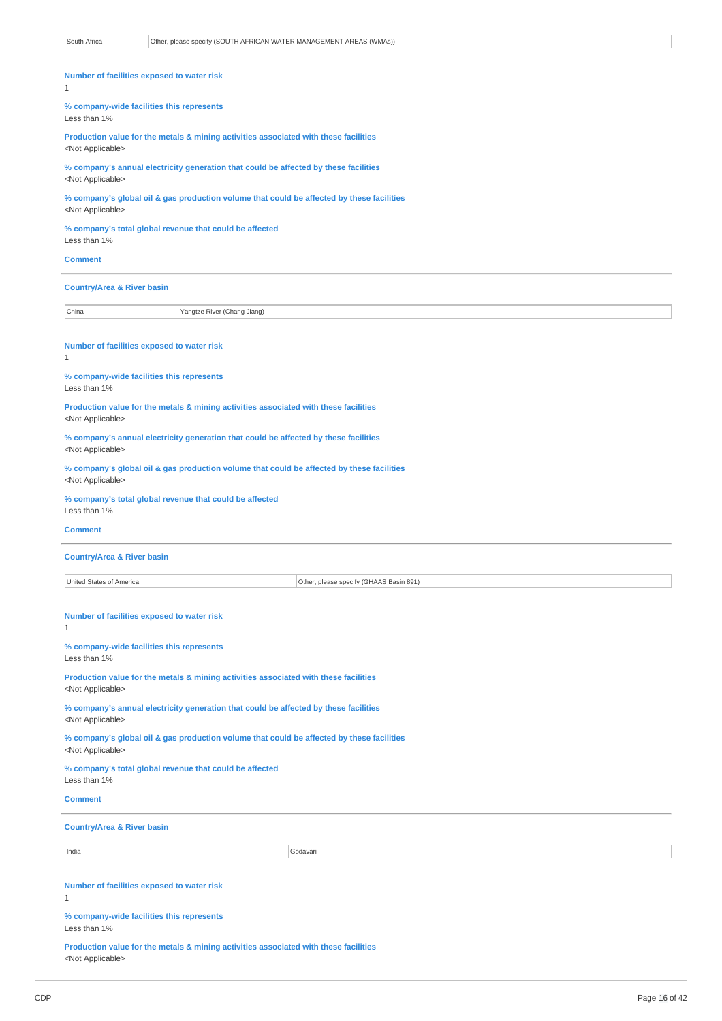| South Africa<br>Other, please specify (SOUTH AFRICAN WATER MANAGEMENT AREAS (WMAs))                                    |  |
|------------------------------------------------------------------------------------------------------------------------|--|
|                                                                                                                        |  |
| Number of facilities exposed to water risk<br>$\mathbf{1}$                                                             |  |
| % company-wide facilities this represents                                                                              |  |
| Less than 1%                                                                                                           |  |
| Production value for the metals & mining activities associated with these facilities<br><not applicable=""></not>      |  |
| % company's annual electricity generation that could be affected by these facilities<br><not applicable=""></not>      |  |
| % company's global oil & gas production volume that could be affected by these facilities<br><not applicable=""></not> |  |
| % company's total global revenue that could be affected<br>Less than 1%                                                |  |
| <b>Comment</b>                                                                                                         |  |
| <b>Country/Area &amp; River basin</b>                                                                                  |  |
| China<br>Yangtze River (Chang Jiang)                                                                                   |  |
|                                                                                                                        |  |
| Number of facilities exposed to water risk<br>$\mathbf{1}$                                                             |  |
| % company-wide facilities this represents<br>Less than 1%                                                              |  |
| Production value for the metals & mining activities associated with these facilities<br><not applicable=""></not>      |  |
| % company's annual electricity generation that could be affected by these facilities<br><not applicable=""></not>      |  |
| % company's global oil & gas production volume that could be affected by these facilities<br><not applicable=""></not> |  |
| % company's total global revenue that could be affected<br>Less than 1%                                                |  |
| <b>Comment</b>                                                                                                         |  |
| <b>Country/Area &amp; River basin</b>                                                                                  |  |
| United States of America<br>Other, please specify (GHAAS Basin 891)                                                    |  |
|                                                                                                                        |  |
| Number of facilities exposed to water risk<br>1                                                                        |  |
| % company-wide facilities this represents<br>Less than 1%                                                              |  |
| Production value for the metals & mining activities associated with these facilities<br><not applicable=""></not>      |  |
| % company's annual electricity generation that could be affected by these facilities<br><not applicable=""></not>      |  |
| % company's global oil & gas production volume that could be affected by these facilities<br><not applicable=""></not> |  |
| % company's total global revenue that could be affected<br>Less than 1%                                                |  |
| <b>Comment</b>                                                                                                         |  |
| <b>Country/Area &amp; River basin</b>                                                                                  |  |
| India<br>Godavari                                                                                                      |  |
|                                                                                                                        |  |
| Number of facilities exposed to water risk<br>$\mathbf{1}$                                                             |  |
| % company-wide facilities this represents<br>Less than 1%                                                              |  |
| Production value for the metals & mining activities associated with these facilities<br><not applicable=""></not>      |  |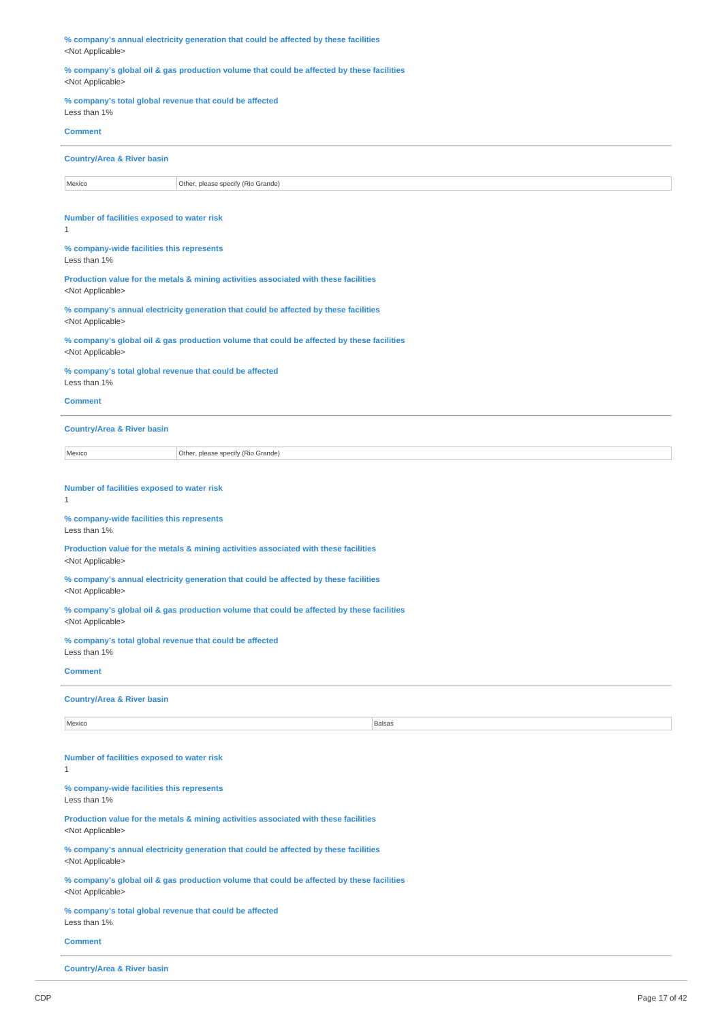| % company's annual electricity generation that could be affected by these facilities<br><not applicable=""></not>      |  |  |
|------------------------------------------------------------------------------------------------------------------------|--|--|
| % company's global oil & gas production volume that could be affected by these facilities<br><not applicable=""></not> |  |  |
| % company's total global revenue that could be affected<br>Less than 1%                                                |  |  |
| <b>Comment</b>                                                                                                         |  |  |
| <b>Country/Area &amp; River basin</b>                                                                                  |  |  |
| Mexico<br>Other, please specify (Rio Grande)                                                                           |  |  |
| Number of facilities exposed to water risk<br>$\mathbf{1}$                                                             |  |  |
| % company-wide facilities this represents<br>Less than 1%                                                              |  |  |
| Production value for the metals & mining activities associated with these facilities<br><not applicable=""></not>      |  |  |
| % company's annual electricity generation that could be affected by these facilities<br><not applicable=""></not>      |  |  |
| % company's global oil & gas production volume that could be affected by these facilities<br><not applicable=""></not> |  |  |
| % company's total global revenue that could be affected<br>Less than 1%                                                |  |  |
| <b>Comment</b>                                                                                                         |  |  |
| <b>Country/Area &amp; River basin</b>                                                                                  |  |  |
| Mexico<br>Other, please specify (Rio Grande)                                                                           |  |  |
| Number of facilities exposed to water risk<br>1                                                                        |  |  |
| % company-wide facilities this represents<br>Less than 1%                                                              |  |  |
| Production value for the metals & mining activities associated with these facilities<br><not applicable=""></not>      |  |  |
| % company's annual electricity generation that could be affected by these facilities<br><not applicable=""></not>      |  |  |
| % company's global oil & gas production volume that could be affected by these facilities<br><not applicable=""></not> |  |  |
| % company's total global revenue that could be affected<br>Less than 1%                                                |  |  |
| <b>Comment</b>                                                                                                         |  |  |
| <b>Country/Area &amp; River basin</b>                                                                                  |  |  |
| Mexico<br>Balsas                                                                                                       |  |  |
|                                                                                                                        |  |  |
| Number of facilities exposed to water risk<br>1                                                                        |  |  |
| % company-wide facilities this represents<br>Less than 1%                                                              |  |  |
| Production value for the metals & mining activities associated with these facilities<br><not applicable=""></not>      |  |  |
| % company's annual electricity generation that could be affected by these facilities<br><not applicable=""></not>      |  |  |
| % company's global oil & gas production volume that could be affected by these facilities<br><not applicable=""></not> |  |  |
| % company's total global revenue that could be affected<br>Less than 1%                                                |  |  |
| <b>Comment</b>                                                                                                         |  |  |
| <b>Country/Area &amp; River basin</b>                                                                                  |  |  |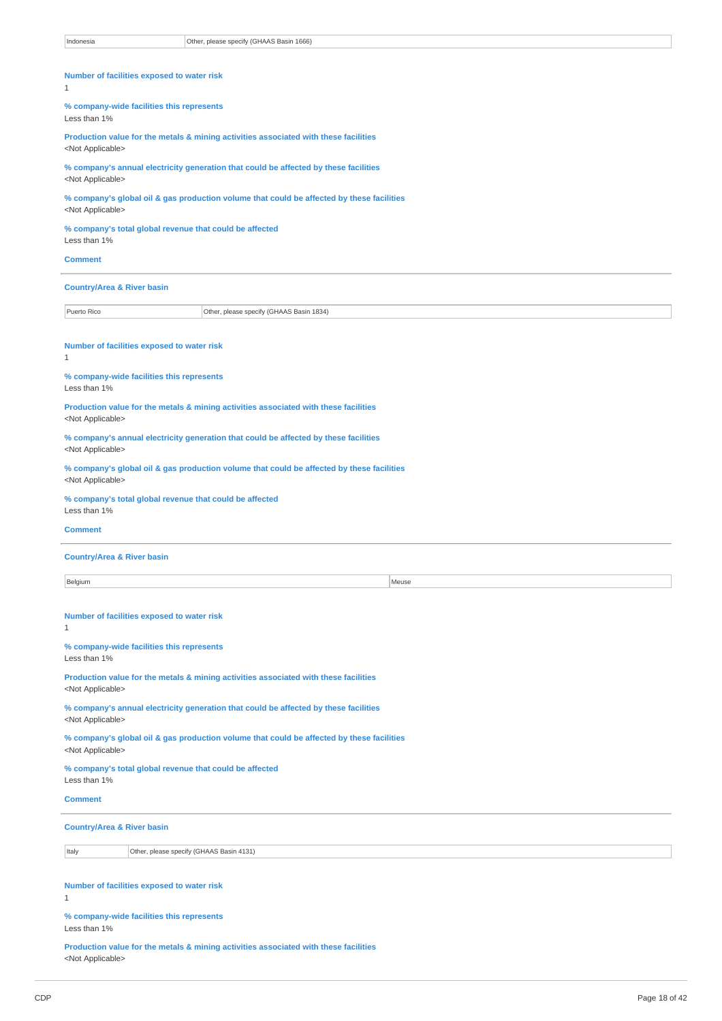| Indonesia                                                                                                         | Other, please specify (GHAAS Basin 1666)                                                     |  |  |
|-------------------------------------------------------------------------------------------------------------------|----------------------------------------------------------------------------------------------|--|--|
|                                                                                                                   |                                                                                              |  |  |
| Number of facilities exposed to water risk<br>1                                                                   |                                                                                              |  |  |
| % company-wide facilities this represents<br>Less than 1%                                                         |                                                                                              |  |  |
| <not applicable=""></not>                                                                                         | Production value for the metals & mining activities associated with these facilities         |  |  |
| <not applicable=""></not>                                                                                         | % company's annual electricity generation that could be affected by these facilities         |  |  |
| <not applicable=""></not>                                                                                         | $\%$ company's global oil & gas production volume that could be affected by these facilities |  |  |
| % company's total global revenue that could be affected<br>Less than 1%                                           |                                                                                              |  |  |
| <b>Comment</b>                                                                                                    |                                                                                              |  |  |
| <b>Country/Area &amp; River basin</b>                                                                             |                                                                                              |  |  |
| Puerto Rico                                                                                                       | Other, please specify (GHAAS Basin 1834)                                                     |  |  |
| Number of facilities exposed to water risk<br>1                                                                   |                                                                                              |  |  |
| % company-wide facilities this represents<br>Less than 1%                                                         |                                                                                              |  |  |
| <not applicable=""></not>                                                                                         | Production value for the metals & mining activities associated with these facilities         |  |  |
| <not applicable=""></not>                                                                                         | % company's annual electricity generation that could be affected by these facilities         |  |  |
| <not applicable=""></not>                                                                                         | % company's global oil & gas production volume that could be affected by these facilities    |  |  |
| % company's total global revenue that could be affected<br>Less than 1%                                           |                                                                                              |  |  |
| Comment                                                                                                           |                                                                                              |  |  |
| <b>Country/Area &amp; River basin</b>                                                                             |                                                                                              |  |  |
| Belgium                                                                                                           | Meuse                                                                                        |  |  |
| Number of facilities exposed to water risk<br>1                                                                   |                                                                                              |  |  |
| % company-wide facilities this represents<br>Less than 1%                                                         |                                                                                              |  |  |
| <not applicable=""></not>                                                                                         | Production value for the metals & mining activities associated with these facilities         |  |  |
| <not applicable=""></not>                                                                                         | % company's annual electricity generation that could be affected by these facilities         |  |  |
| <not applicable=""></not>                                                                                         | % company's global oil & gas production volume that could be affected by these facilities    |  |  |
| % company's total global revenue that could be affected<br>Less than 1%                                           |                                                                                              |  |  |
| <b>Comment</b>                                                                                                    |                                                                                              |  |  |
| <b>Country/Area &amp; River basin</b>                                                                             |                                                                                              |  |  |
| Italy                                                                                                             | Other, please specify (GHAAS Basin 4131)                                                     |  |  |
| Number of facilities exposed to water risk<br>1                                                                   |                                                                                              |  |  |
| % company-wide facilities this represents<br>Less than 1%                                                         |                                                                                              |  |  |
| Production value for the metals & mining activities associated with these facilities<br><not applicable=""></not> |                                                                                              |  |  |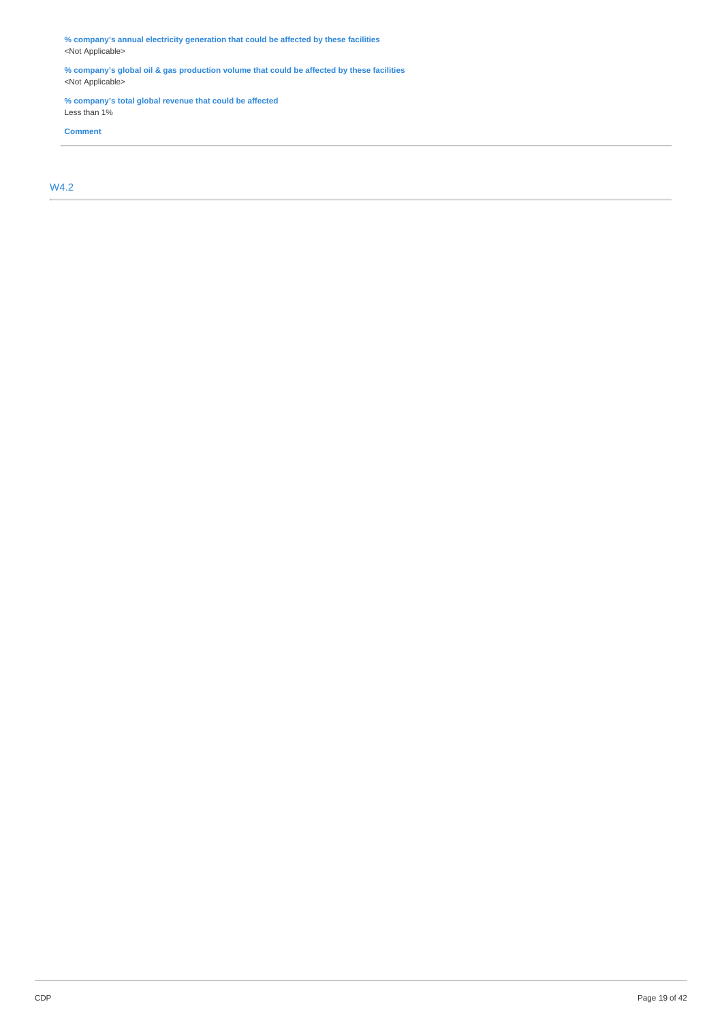**% company's annual electricity generation that could be affected by these facilities** <Not Applicable>

**% company's global oil & gas production volume that could be affected by these facilities** <Not Applicable>

**% company's total global revenue that could be affected** Less than 1%

**Comment**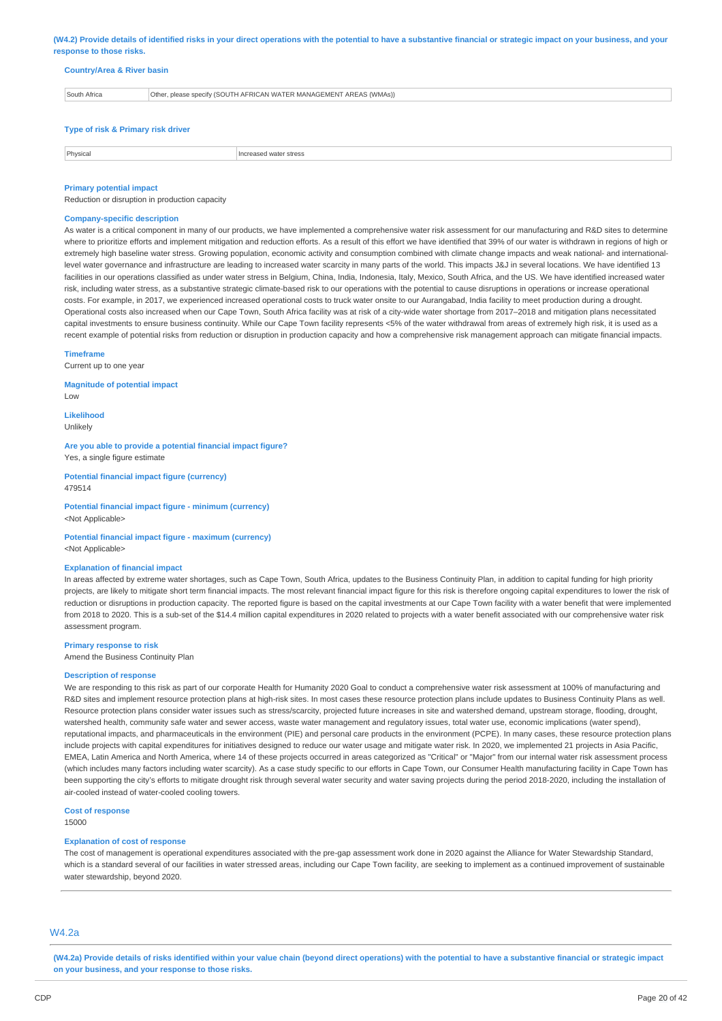(W4.2) Provide details of identified risks in your direct operations with the potential to have a substantive financial or strategic impact on your business, and your **response to those risks.**

#### **Country/Area & River basin**

| South Africa | Other, please specify (SOUTH AFRICAN WATER MANAGEMENT AREAS (WMAs)) |
|--------------|---------------------------------------------------------------------|
|              |                                                                     |
|              |                                                                     |

# **Type of risk & Primary risk driver**

| <b>Dhycies</b> | stres |
|----------------|-------|
|                |       |

#### **Primary potential impact**

Reduction or disruption in production capacity

#### **Company-specific description**

As water is a critical component in many of our products, we have implemented a comprehensive water risk assessment for our manufacturing and R&D sites to determine where to prioritize efforts and implement mitigation and reduction efforts. As a result of this effort we have identified that 39% of our water is withdrawn in regions of high or extremely high baseline water stress. Growing population, economic activity and consumption combined with climate change impacts and weak national- and internationallevel water governance and infrastructure are leading to increased water scarcity in many parts of the world. This impacts J&J in several locations. We have identified 13 facilities in our operations classified as under water stress in Belgium, China, India, Indonesia, Italy, Mexico, South Africa, and the US. We have identified increased water risk, including water stress, as a substantive strategic climate-based risk to our operations with the potential to cause disruptions in operations or increase operational costs. For example, in 2017, we experienced increased operational costs to truck water onsite to our Aurangabad, India facility to meet production during a drought. Operational costs also increased when our Cape Town, South Africa facility was at risk of a city-wide water shortage from 2017–2018 and mitigation plans necessitated capital investments to ensure business continuity. While our Cape Town facility represents <5% of the water withdrawal from areas of extremely high risk, it is used as a recent example of potential risks from reduction or disruption in production capacity and how a comprehensive risk management approach can mitigate financial impacts.

#### **Timeframe**

Current up to one year

**Magnitude of potential impact**

Low

**Likelihood** Unlikely

**Are you able to provide a potential financial impact figure?** Yes, a single figure estimate

**Potential financial impact figure (currency)** 479514

**Potential financial impact figure - minimum (currency)** <Not Applicable>

**Potential financial impact figure - maximum (currency)** <Not Applicable>

#### **Explanation of financial impact**

In areas affected by extreme water shortages, such as Cape Town, South Africa, updates to the Business Continuity Plan, in addition to capital funding for high priority projects, are likely to mitigate short term financial impacts. The most relevant financial impact figure for this risk is therefore ongoing capital expenditures to lower the risk of reduction or disruptions in production capacity. The reported figure is based on the capital investments at our Cape Town facility with a water benefit that were implemented from 2018 to 2020. This is a sub-set of the \$14.4 million capital expenditures in 2020 related to projects with a water benefit associated with our comprehensive water risk assessment program.

#### **Primary response to risk**

Amend the Business Continuity Plan

#### **Description of response**

We are responding to this risk as part of our corporate Health for Humanity 2020 Goal to conduct a comprehensive water risk assessment at 100% of manufacturing and R&D sites and implement resource protection plans at high-risk sites. In most cases these resource protection plans include updates to Business Continuity Plans as well. Resource protection plans consider water issues such as stress/scarcity, projected future increases in site and watershed demand, upstream storage, flooding, drought, watershed health, community safe water and sewer access, waste water management and regulatory issues, total water use, economic implications (water spend), reputational impacts, and pharmaceuticals in the environment (PIE) and personal care products in the environment (PCPE). In many cases, these resource protection plans include projects with capital expenditures for initiatives designed to reduce our water usage and mitigate water risk. In 2020, we implemented 21 projects in Asia Pacific, EMEA, Latin America and North America, where 14 of these projects occurred in areas categorized as "Critical" or "Major" from our internal water risk assessment process (which includes many factors including water scarcity). As a case study specific to our efforts in Cape Town, our Consumer Health manufacturing facility in Cape Town has been supporting the city's efforts to mitigate drought risk through several water security and water saving projects during the period 2018-2020, including the installation of air-cooled instead of water-cooled cooling towers.

**Cost of response**

15000

#### **Explanation of cost of response**

The cost of management is operational expenditures associated with the pre-gap assessment work done in 2020 against the Alliance for Water Stewardship Standard, which is a standard several of our facilities in water stressed areas, including our Cape Town facility, are seeking to implement as a continued improvement of sustainable water stewardship, beyond 2020.

# W4.2a

(W4.2a) Provide details of risks identified within your value chain (beyond direct operations) with the potential to have a substantive financial or strategic impact **on your business, and your response to those risks.**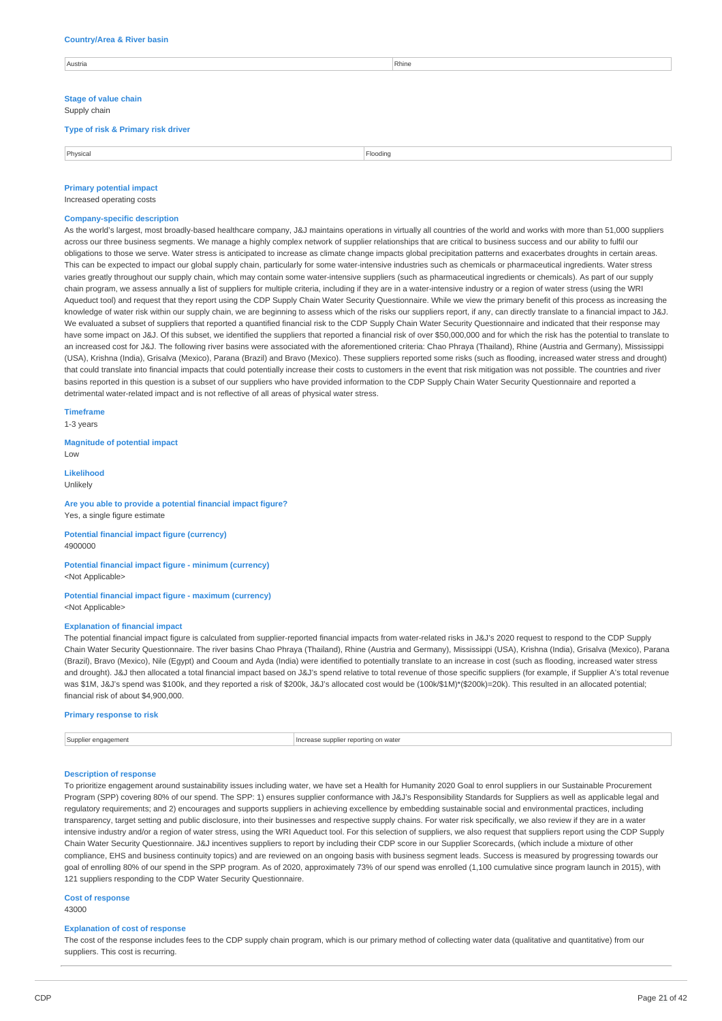#### **Country/Area & River basin**

| Austria | Rhine |
|---------|-------|
|         |       |

**Stage of value chain** Supply chain

**Type of risk & Primary risk driver**

Physical Flooding

# **Primary potential impact**

Increased operating costs

#### **Company-specific description**

As the world's largest, most broadly-based healthcare company, J&J maintains operations in virtually all countries of the world and works with more than 51,000 suppliers across our three business segments. We manage a highly complex network of supplier relationships that are critical to business success and our ability to fulfil our obligations to those we serve. Water stress is anticipated to increase as climate change impacts global precipitation patterns and exacerbates droughts in certain areas. This can be expected to impact our global supply chain, particularly for some water-intensive industries such as chemicals or pharmaceutical ingredients. Water stress varies greatly throughout our supply chain, which may contain some water-intensive suppliers (such as pharmaceutical ingredients or chemicals). As part of our supply chain program, we assess annually a list of suppliers for multiple criteria, including if they are in a water-intensive industry or a region of water stress (using the WRI Aqueduct tool) and request that they report using the CDP Supply Chain Water Security Questionnaire. While we view the primary benefit of this process as increasing the knowledge of water risk within our supply chain, we are beginning to assess which of the risks our suppliers report, if any, can directly translate to a financial impact to J&J. We evaluated a subset of suppliers that reported a quantified financial risk to the CDP Supply Chain Water Security Questionnaire and indicated that their response may have some impact on J&J. Of this subset, we identified the suppliers that reported a financial risk of over \$50,000,000 and for which the risk has the potential to translate to an increased cost for J&J. The following river basins were associated with the aforementioned criteria: Chao Phraya (Thailand), Rhine (Austria and Germany), Mississippi (USA), Krishna (India), Grisalva (Mexico), Parana (Brazil) and Bravo (Mexico). These suppliers reported some risks (such as flooding, increased water stress and drought) that could translate into financial impacts that could potentially increase their costs to customers in the event that risk mitigation was not possible. The countries and river basins reported in this question is a subset of our suppliers who have provided information to the CDP Supply Chain Water Security Questionnaire and reported a detrimental water-related impact and is not reflective of all areas of physical water stress.

# **Timeframe**

1-3 years

#### **Magnitude of potential impact** Low

**Likelihood** Unlikely

#### **Are you able to provide a potential financial impact figure?** Yes, a single figure estimate

**Potential financial impact figure (currency)** 4900000

# **Potential financial impact figure - minimum (currency)** <Not Applicable>

#### **Potential financial impact figure - maximum (currency)** <Not Applicable>

#### **Explanation of financial impact**

The potential financial impact figure is calculated from supplier-reported financial impacts from water-related risks in J&J's 2020 request to respond to the CDP Supply Chain Water Security Questionnaire. The river basins Chao Phraya (Thailand), Rhine (Austria and Germany), Mississippi (USA), Krishna (India), Grisalva (Mexico), Parana (Brazil), Bravo (Mexico), Nile (Egypt) and Cooum and Ayda (India) were identified to potentially translate to an increase in cost (such as flooding, increased water stress and drought). J&J then allocated a total financial impact based on J&J's spend relative to total revenue of those specific suppliers (for example, if Supplier A's total revenue was \$1M, J&J's spend was \$100k, and they reported a risk of \$200k, J&J's allocated cost would be (100k/\$1M)\*(\$200k)=20k). This resulted in an allocated potential; financial risk of about \$4,900,000.

#### **Primary response to risk**

Supplier engagement Increase supplier reporting on water

### **Description of response**

To prioritize engagement around sustainability issues including water, we have set a Health for Humanity 2020 Goal to enrol suppliers in our Sustainable Procurement Program (SPP) covering 80% of our spend. The SPP: 1) ensures supplier conformance with J&J's Responsibility Standards for Suppliers as well as applicable legal and regulatory requirements; and 2) encourages and supports suppliers in achieving excellence by embedding sustainable social and environmental practices, including transparency, target setting and public disclosure, into their businesses and respective supply chains. For water risk specifically, we also review if they are in a water intensive industry and/or a region of water stress, using the WRI Aqueduct tool. For this selection of suppliers, we also request that suppliers report using the CDP Supply Chain Water Security Questionnaire. J&J incentives suppliers to report by including their CDP score in our Supplier Scorecards, (which include a mixture of other compliance, EHS and business continuity topics) and are reviewed on an ongoing basis with business segment leads. Success is measured by progressing towards our goal of enrolling 80% of our spend in the SPP program. As of 2020, approximately 73% of our spend was enrolled (1,100 cumulative since program launch in 2015), with 121 suppliers responding to the CDP Water Security Ouestionnaire.

# **Cost of response**

43000

#### **Explanation of cost of response**

The cost of the response includes fees to the CDP supply chain program, which is our primary method of collecting water data (qualitative) and quantitative) from our suppliers. This cost is recurring.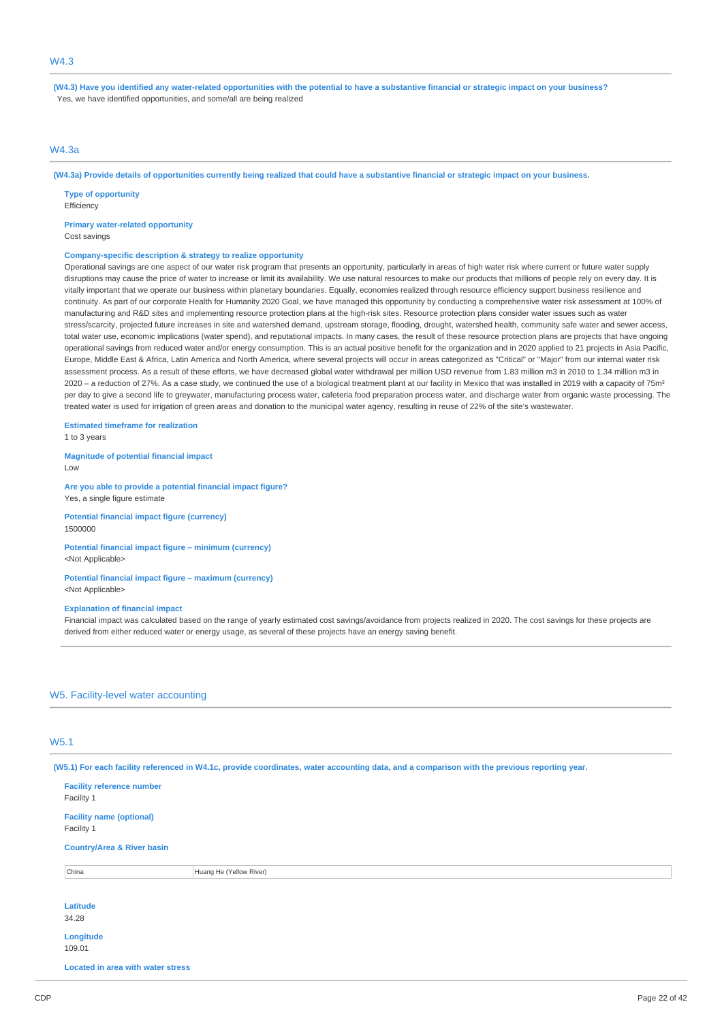# W4.3

(W4.3) Have you identified any water-related opportunities with the potential to have a substantive financial or strategic impact on your business? Yes, we have identified opportunities, and some/all are being realized

# W4.3a

(W4.3a) Provide details of opportunities currently being realized that could have a substantive financial or strategic impact on your business.

**Type of opportunity** Efficiency

**Primary water-related opportunity** Cost savings

#### **Company-specific description & strategy to realize opportunity**

Operational savings are one aspect of our water risk program that presents an opportunity, particularly in areas of high water risk where current or future water supply disruptions may cause the price of water to increase or limit its availability. We use natural resources to make our products that millions of people rely on every day. It is vitally important that we operate our business within planetary boundaries. Equally, economies realized through resource efficiency support business resilience and continuity. As part of our corporate Health for Humanity 2020 Goal, we have managed this opportunity by conducting a comprehensive water risk assessment at 100% of manufacturing and R&D sites and implementing resource protection plans at the high-risk sites. Resource protection plans consider water issues such as water stress/scarcity, projected future increases in site and watershed demand, upstream storage, flooding, drought, watershed health, community safe water and sewer access, total water use, economic implications (water spend), and reputational impacts. In many cases, the result of these resource protection plans are projects that have ongoing operational savings from reduced water and/or energy consumption. This is an actual positive benefit for the organization and in 2020 applied to 21 projects in Asia Pacific, Europe, Middle East & Africa, Latin America and North America, where several projects will occur in areas categorized as "Critical" or "Major" from our internal water risk assessment process. As a result of these efforts, we have decreased global water withdrawal per million USD revenue from 1.83 million m3 in 2010 to 1.34 million m3 in 2020 – a reduction of 27%. As a case study, we continued the use of a biological treatment plant at our facility in Mexico that was installed in 2019 with a capacity of 75m3 per day to give a second life to greywater, manufacturing process water, cafeteria food preparation process water, and discharge water from organic waste processing. The treated water is used for irrigation of green areas and donation to the municipal water agency, resulting in reuse of 22% of the site's wastewater.

**Estimated timeframe for realization**

1 to 3 years

1500000

**Magnitude of potential financial impact** Low

**Are you able to provide a potential financial impact figure?** Yes, a single figure estimate

**Potential financial impact figure (currency)**

**Potential financial impact figure – minimum (currency)** <Not Applicable>

#### **Potential financial impact figure – maximum (currency)** <Not Applicable>

#### **Explanation of financial impact**

Financial impact was calculated based on the range of yearly estimated cost savings/avoidance from projects realized in 2020. The cost savings for these projects are derived from either reduced water or energy usage, as several of these projects have an energy saving benefit.

### W5. Facility-level water accounting

# W5.1

(W5.1) For each facility referenced in W4.1c, provide coordinates, water accounting data, and a comparison with the previous reporting year.

| <b>Facility reference number</b><br>Facility 1 |                         |  |
|------------------------------------------------|-------------------------|--|
| <b>Facility name (optional)</b><br>Facility 1  |                         |  |
| <b>Country/Area &amp; River basin</b>          |                         |  |
| China                                          | Huang He (Yellow River) |  |
| <b>Latitude</b><br>34.28                       |                         |  |
| Longitude<br>109.01                            |                         |  |

**Located in area with water stress**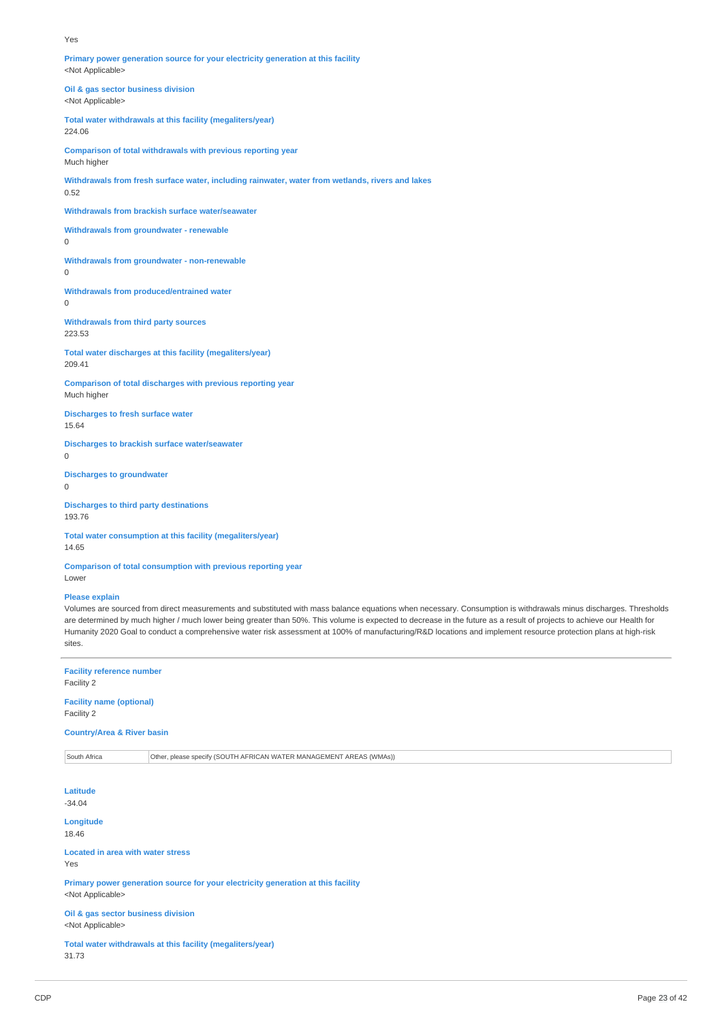#### Yes

**Primary power generation source for your electricity generation at this facility** <Not Applicable>

**Oil & gas sector business division** <Not Applicable>

**Total water withdrawals at this facility (megaliters/year)** 224.06

**Comparison of total withdrawals with previous reporting year** Much higher

**Withdrawals from fresh surface water, including rainwater, water from wetlands, rivers and lakes** 0.52

**Withdrawals from brackish surface water/seawater**

**Withdrawals from groundwater - renewable**

 $\Omega$ 

**Withdrawals from groundwater - non-renewable**  $\overline{0}$ 

**Withdrawals from produced/entrained water**

0

**Withdrawals from third party sources** 223.53

**Total water discharges at this facility (megaliters/year)** 209.41

**Comparison of total discharges with previous reporting year** Much higher

**Discharges to fresh surface water** 15.64

**Discharges to brackish surface water/seawater**

0

**Discharges to groundwater**

0

**Discharges to third party destinations** 193.76

**Total water consumption at this facility (megaliters/year)** 14.65

**Comparison of total consumption with previous reporting year** Lower

#### **Please explain**

Volumes are sourced from direct measurements and substituted with mass balance equations when necessary. Consumption is withdrawals minus discharges. Thresholds are determined by much higher / much lower being greater than 50%. This volume is expected to decrease in the future as a result of projects to achieve our Health for Humanity 2020 Goal to conduct a comprehensive water risk assessment at 100% of manufacturing/R&D locations and implement resource protection plans at high-risk sites.

**Facility reference number** Facility 2

**Facility name (optional)** Facility 2

**Country/Area & River basin**

South Africa **Other, please specify (SOUTH AFRICAN WATER MANAGEMENT AREAS (WMAs)**)

**Latitude** -34.04

**Longitude** 18.46

**Located in area with water stress** Yes

**Primary power generation source for your electricity generation at this facility** <Not Applicable>

**Oil & gas sector business division** <Not Applicable>

**Total water withdrawals at this facility (megaliters/year)** 31.73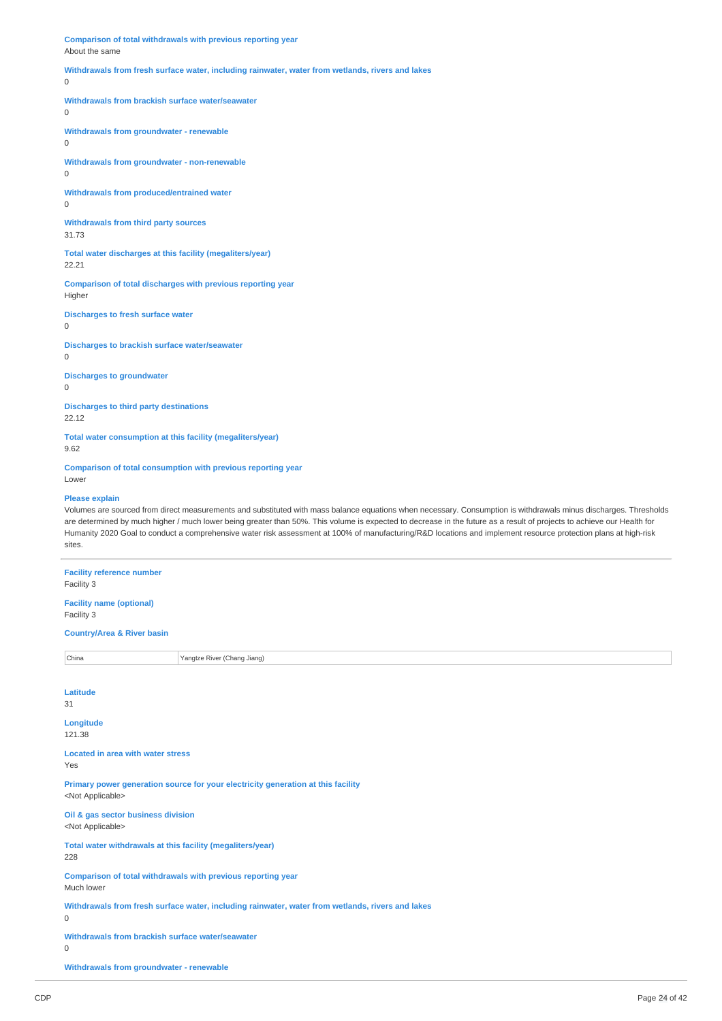**Comparison of total withdrawals with previous reporting year** About the same

**Withdrawals from fresh surface water, including rainwater, water from wetlands, rivers and lakes**

 $\theta$ 

**Withdrawals from brackish surface water/seawater**

 $\overline{0}$ 

**Withdrawals from groundwater - renewable**

0

**Withdrawals from groundwater - non-renewable** 0

**Withdrawals from produced/entrained water** 0

**Withdrawals from third party sources** 31.73

**Total water discharges at this facility (megaliters/year)** 22.21

**Comparison of total discharges with previous reporting year** Higher

**Discharges to fresh surface water**

 $\overline{0}$ 

**Discharges to brackish surface water/seawater**

0

**Discharges to groundwater**  $\Omega$ 

**Discharges to third party destinations** 22.12

**Total water consumption at this facility (megaliters/year)** 9.62

**Comparison of total consumption with previous reporting year** Lower

#### **Please explain**

Volumes are sourced from direct measurements and substituted with mass balance equations when necessary. Consumption is withdrawals minus discharges. Thresholds are determined by much higher / much lower being greater than 50%. This volume is expected to decrease in the future as a result of projects to achieve our Health for Humanity 2020 Goal to conduct a comprehensive water risk assessment at 100% of manufacturing/R&D locations and implement resource protection plans at high-risk sites.

**Facility reference number** Facility 3 **Facility name (optional)** Facility 3 **Country/Area & River basin China** Yangtze River (Chang Jiang) **Latitude** 31 **Longitude** 121.38 **Located in area with water stress** Yes **Primary power generation source for your electricity generation at this facility** <Not Applicable> **Oil & gas sector business division** <Not Applicable> **Total water withdrawals at this facility (megaliters/year)** 228 **Comparison of total withdrawals with previous reporting year** Much lower **Withdrawals from fresh surface water, including rainwater, water from wetlands, rivers and lakes**  $\theta$ **Withdrawals from brackish surface water/seawater** 0 **Withdrawals from groundwater - renewable**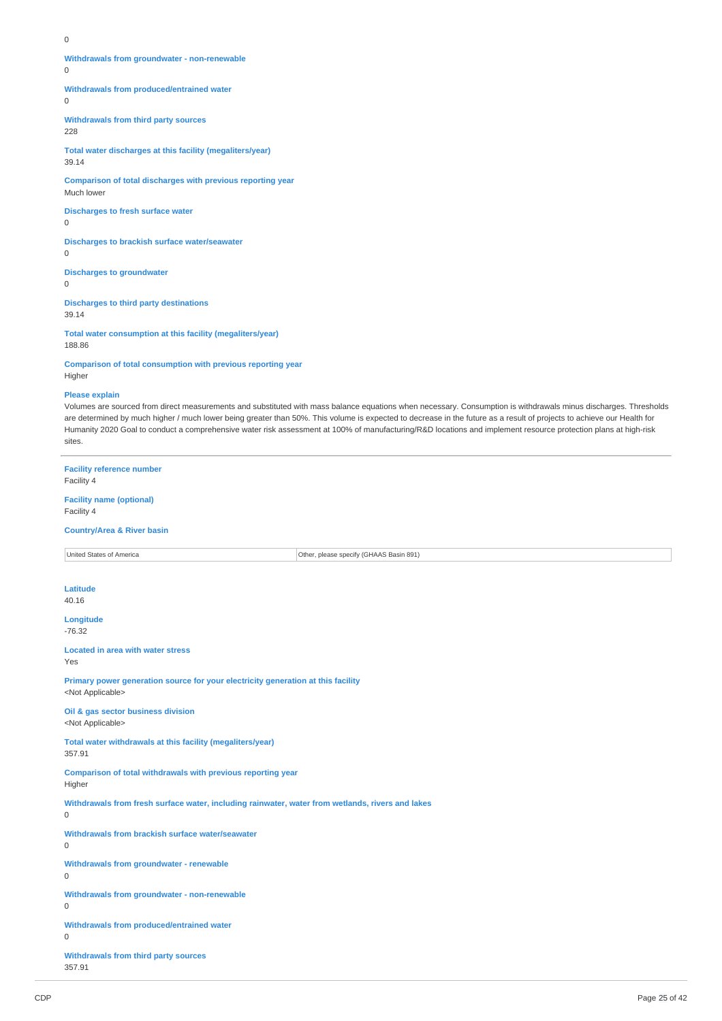$\Omega$ 

**Withdrawals from groundwater - non-renewable**

 $\Omega$ 

**Withdrawals from produced/entrained water**

 $\overline{0}$ 

**Withdrawals from third party sources**

228

**Total water discharges at this facility (megaliters/year)** 39.14

**Comparison of total discharges with previous reporting year** Much lower

**Discharges to fresh surface water**

 $\Omega$ 

 $\Omega$ 

**Discharges to brackish surface water/seawater**

**Discharges to groundwater**

 $\Omega$ 

**Discharges to third party destinations** 39.14

**Total water consumption at this facility (megaliters/year)** 188.86

**Comparison of total consumption with previous reporting year** Higher

#### **Please explain**

Volumes are sourced from direct measurements and substituted with mass balance equations when necessary. Consumption is withdrawals minus discharges. Thresholds are determined by much higher / much lower being greater than 50%. This volume is expected to decrease in the future as a result of projects to achieve our Health for Humanity 2020 Goal to conduct a comprehensive water risk assessment at 100% of manufacturing/R&D locations and implement resource protection plans at high-risk sites.

**Facility reference number** Facility 4 **Facility name (optional)**

Facility 4

#### **Country/Area & River basin**

| United States of America                                                                         | Other, please specify (GHAAS Basin 891) |
|--------------------------------------------------------------------------------------------------|-----------------------------------------|
|                                                                                                  |                                         |
| Latitude                                                                                         |                                         |
| 40.16                                                                                            |                                         |
| Longitude                                                                                        |                                         |
| $-76.32$                                                                                         |                                         |
| <b>Located in area with water stress</b>                                                         |                                         |
| Yes                                                                                              |                                         |
| Primary power generation source for your electricity generation at this facility                 |                                         |
| <not applicable=""></not>                                                                        |                                         |
| Oil & gas sector business division<br><not applicable=""></not>                                  |                                         |
|                                                                                                  |                                         |
| Total water withdrawals at this facility (megaliters/year)<br>357.91                             |                                         |
|                                                                                                  |                                         |
| Comparison of total withdrawals with previous reporting year<br>Higher                           |                                         |
| Withdrawals from fresh surface water, including rainwater, water from wetlands, rivers and lakes |                                         |
| 0                                                                                                |                                         |
| Withdrawals from brackish surface water/seawater                                                 |                                         |
| $\mathbf 0$                                                                                      |                                         |
| <b>Withdrawals from groundwater - renewable</b>                                                  |                                         |
| 0                                                                                                |                                         |
| Withdrawals from groundwater - non-renewable                                                     |                                         |
| 0                                                                                                |                                         |
| Withdrawals from produced/entrained water                                                        |                                         |
| 0                                                                                                |                                         |
| <b>Withdrawals from third party sources</b>                                                      |                                         |
| 357.91                                                                                           |                                         |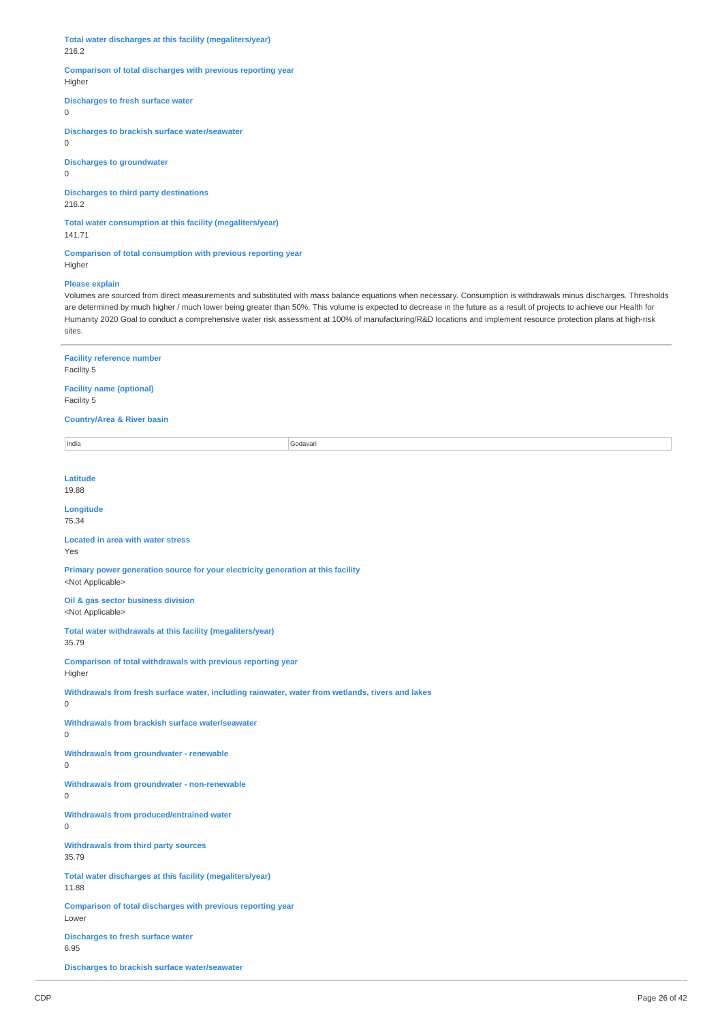**Total water discharges at this facility (megaliters/year)** 216.2

### **Comparison of total discharges with previous reporting year** Higher

# **Discharges to fresh surface water**

0

**Discharges to brackish surface water/seawater** 0

# **Discharges to groundwater**

0

# **Discharges to third party destinations**

216.2

# **Total water consumption at this facility (megaliters/year)** 141.71

**Comparison of total consumption with previous reporting year** Higher

# **Please explain**

Volumes are sourced from direct measurements and substituted with mass balance equations when necessary. Consumption is withdrawals minus discharges. Thresholds are determined by much higher / much lower being greater than 50%. This volume is expected to decrease in the future as a result of projects to achieve our Health for Humanity 2020 Goal to conduct a comprehensive water risk assessment at 100% of manufacturing/R&D locations and implement resource protection plans at high-risk sites.

| <b>Facility reference number</b><br>Facility 5                                                                |          |  |
|---------------------------------------------------------------------------------------------------------------|----------|--|
| <b>Facility name (optional)</b><br>Facility 5                                                                 |          |  |
| <b>Country/Area &amp; River basin</b>                                                                         |          |  |
| India                                                                                                         | Godavari |  |
|                                                                                                               |          |  |
| <b>Latitude</b>                                                                                               |          |  |
| 19.88                                                                                                         |          |  |
| Longitude<br>75.34                                                                                            |          |  |
| <b>Located in area with water stress</b><br>Yes                                                               |          |  |
|                                                                                                               |          |  |
| Primary power generation source for your electricity generation at this facility<br><not applicable=""></not> |          |  |
| Oil & gas sector business division<br><not applicable=""></not>                                               |          |  |
| Total water withdrawals at this facility (megaliters/year)<br>35.79                                           |          |  |
| Comparison of total withdrawals with previous reporting year<br>Higher                                        |          |  |
| Withdrawals from fresh surface water, including rainwater, water from wetlands, rivers and lakes<br>0         |          |  |
| Withdrawals from brackish surface water/seawater<br>0                                                         |          |  |
| <b>Withdrawals from groundwater - renewable</b><br>0                                                          |          |  |
| Withdrawals from groundwater - non-renewable<br>$\mathsf{O}\xspace$                                           |          |  |
| Withdrawals from produced/entrained water<br>0                                                                |          |  |
| <b>Withdrawals from third party sources</b><br>35.79                                                          |          |  |
| Total water discharges at this facility (megaliters/year)<br>11.88                                            |          |  |
| Comparison of total discharges with previous reporting year<br>Lower                                          |          |  |
| <b>Discharges to fresh surface water</b><br>6.95                                                              |          |  |
| <b>Discharges to brackish surface water/seawater</b>                                                          |          |  |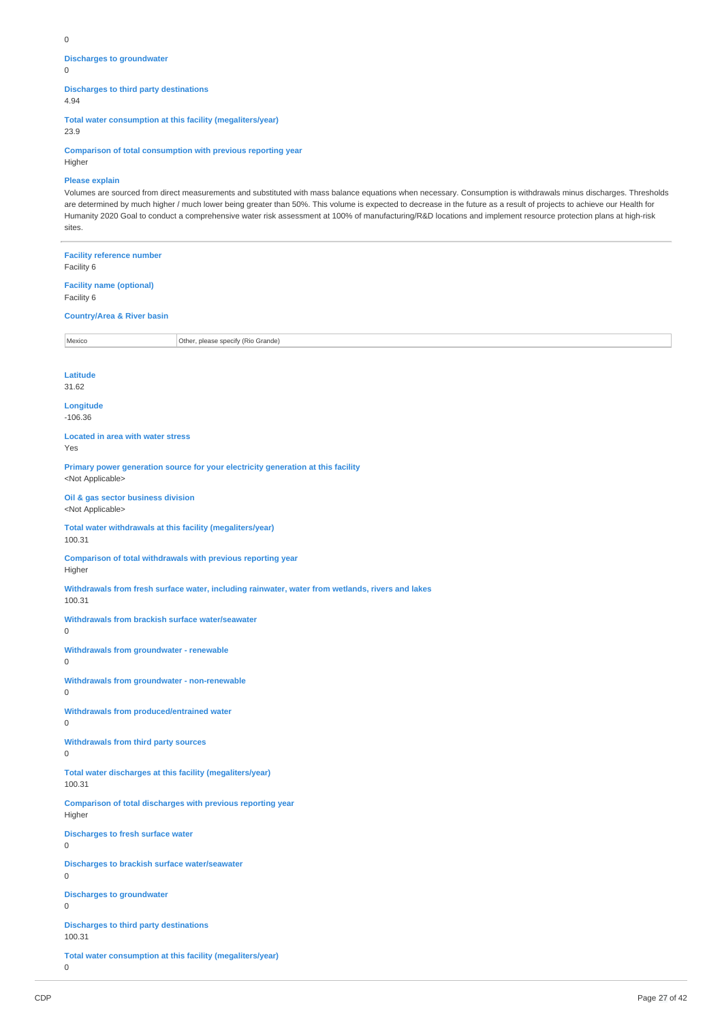#### $\Omega$

**Discharges to groundwater**

 $\Omega$ 

# **Discharges to third party destinations**

4.94

**Total water consumption at this facility (megaliters/year)**

23.9

**Comparison of total consumption with previous reporting year**

# Higher

# **Please explain**

Volumes are sourced from direct measurements and substituted with mass balance equations when necessary. Consumption is withdrawals minus discharges. Thresholds are determined by much higher / much lower being greater than 50%. This volume is expected to decrease in the future as a result of projects to achieve our Health for Humanity 2020 Goal to conduct a comprehensive water risk assessment at 100% of manufacturing/R&D locations and implement resource protection plans at high-risk sites.

# **Facility reference number** Facility 6 **Facility name (optional)**

Facility 6

#### **Country/Area & River basin**

Mexico **Other, please specify (Rio Grande)** 

#### **Latitude**

31.62

**Longitude** -106.36

**Located in area with water stress** Yes

**Primary power generation source for your electricity generation at this facility** <Not Applicable>

**Oil & gas sector business division** <Not Applicable>

**Total water withdrawals at this facility (megaliters/year)** 100.31

**Comparison of total withdrawals with previous reporting year** Higher

**Withdrawals from fresh surface water, including rainwater, water from wetlands, rivers and lakes**

100.31

**Withdrawals from brackish surface water/seawater**

 $\Omega$ 

**Withdrawals from groundwater - renewable**  $\Omega$ 

**Withdrawals from groundwater - non-renewable**  $\Omega$ 

**Withdrawals from produced/entrained water**  $\Omega$ 

**Withdrawals from third party sources**

 $\Omega$ 

**Total water discharges at this facility (megaliters/year)** 100.31

**Comparison of total discharges with previous reporting year** Higher

**Discharges to fresh surface water**

 $\overline{0}$ 

**Discharges to brackish surface water/seawater**  $\Omega$ 

**Discharges to groundwater**

 $\overline{0}$ 

**Discharges to third party destinations** 100.31

**Total water consumption at this facility (megaliters/year)**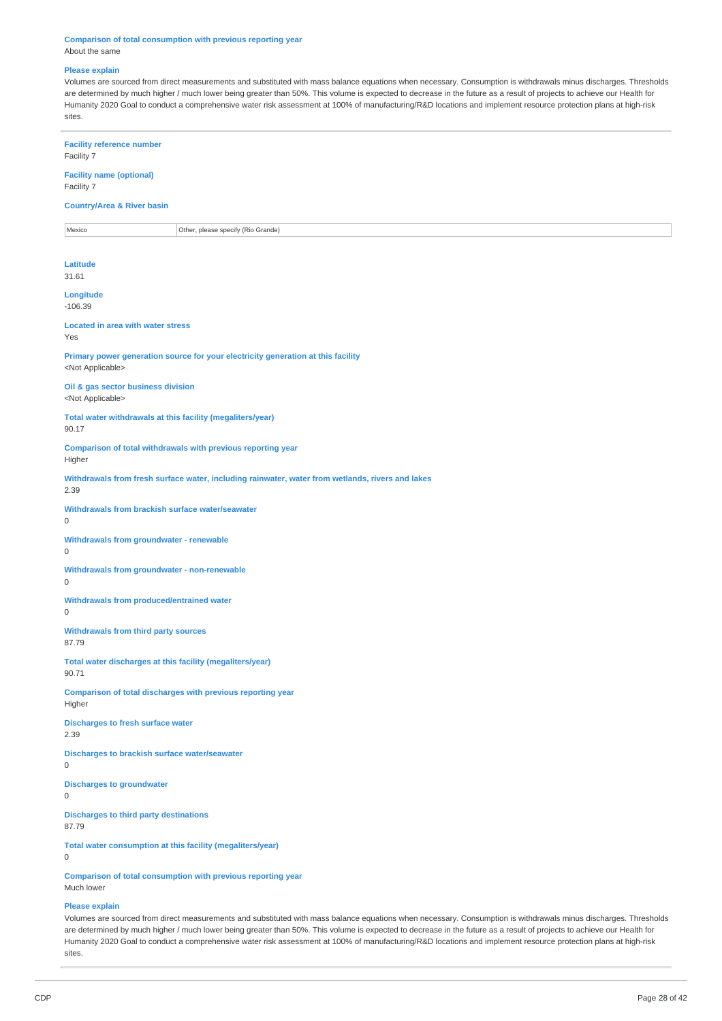**Comparison of total consumption with previous reporting year** About the same

#### **Please explain**

Volumes are sourced from direct measurements and substituted with mass balance equations when necessary. Consumption is withdrawals minus discharges. Thresholds are determined by much higher / much lower being greater than 50%. This volume is expected to decrease in the future as a result of projects to achieve our Health for Humanity 2020 Goal to conduct a comprehensive water risk assessment at 100% of manufacturing/R&D locations and implement resource protection plans at high-risk sites.

**Facility reference number** Facility 7 **Facility name (optional)** Facility 7 **Country/Area & River basin** Mexico **Other, please specify (Rio Grande) Latitude** 31.61 **Longitude** -106.39 **Located in area with water stress** Yes **Primary power generation source for your electricity generation at this facility** <Not Applicable> **Oil & gas sector business division** <Not Applicable> **Total water withdrawals at this facility (megaliters/year)** 90.17 **Comparison of total withdrawals with previous reporting year** Higher **Withdrawals from fresh surface water, including rainwater, water from wetlands, rivers and lakes** 2.39 **Withdrawals from brackish surface water/seawater Withdrawals from groundwater - renewable Withdrawals from groundwater - non-renewable Withdrawals from produced/entrained water Withdrawals from third party sources** 87.79 **Total water discharges at this facility (megaliters/year)** 90.71 **Comparison of total discharges with previous reporting year** Higher **Discharges to fresh surface water** 2.39 **Discharges to brackish surface water/seawater Discharges to groundwater Discharges to third party destinations** 87.79 **Total water consumption at this facility (megaliters/year) Comparison of total consumption with previous reporting year** Much lower

#### **Please explain**

0

0

0

 $\theta$ 

0

 $\Omega$ 

0

Volumes are sourced from direct measurements and substituted with mass balance equations when necessary. Consumption is withdrawals minus discharges. Thresholds are determined by much higher / much lower being greater than 50%. This volume is expected to decrease in the future as a result of projects to achieve our Health for Humanity 2020 Goal to conduct a comprehensive water risk assessment at 100% of manufacturing/R&D locations and implement resource protection plans at high-risk sites.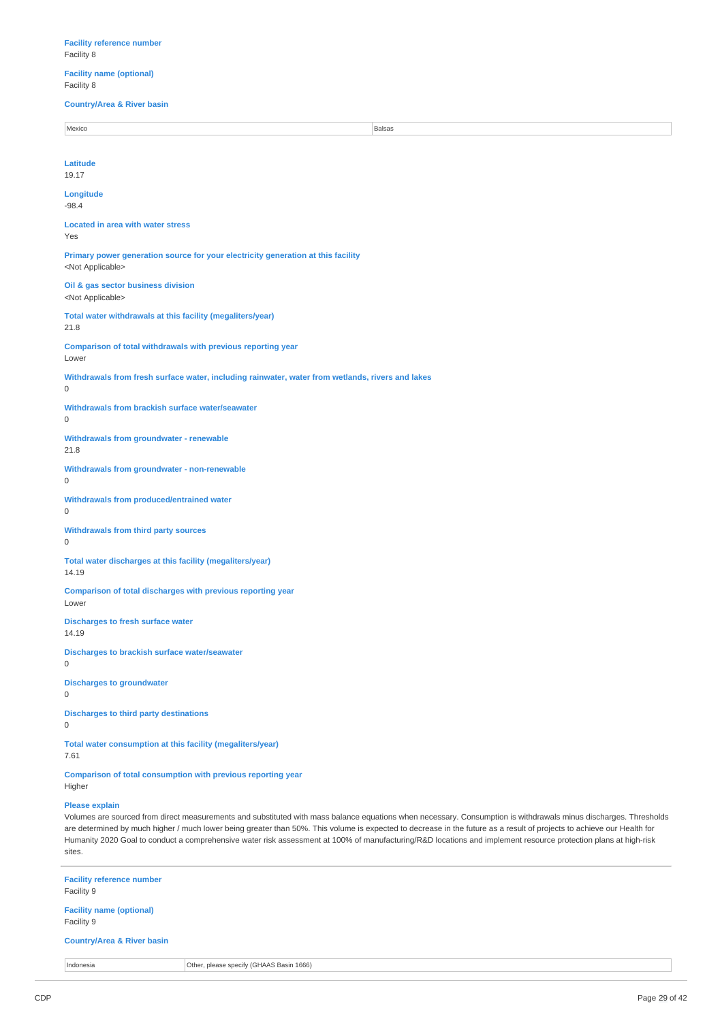# **Facility reference number** Facility 8

**Facility name (optional)** Facility 8

**Country/Area & River basin**

| Mexico                                                                                                                                                                                                                                                                                                                                                                                                                                                                                                                                           | <b>Balsas</b> |
|--------------------------------------------------------------------------------------------------------------------------------------------------------------------------------------------------------------------------------------------------------------------------------------------------------------------------------------------------------------------------------------------------------------------------------------------------------------------------------------------------------------------------------------------------|---------------|
|                                                                                                                                                                                                                                                                                                                                                                                                                                                                                                                                                  |               |
| Latitude<br>19.17                                                                                                                                                                                                                                                                                                                                                                                                                                                                                                                                |               |
| Longitude<br>$-98.4$                                                                                                                                                                                                                                                                                                                                                                                                                                                                                                                             |               |
| <b>Located in area with water stress</b><br>Yes                                                                                                                                                                                                                                                                                                                                                                                                                                                                                                  |               |
| Primary power generation source for your electricity generation at this facility<br><not applicable=""></not>                                                                                                                                                                                                                                                                                                                                                                                                                                    |               |
| Oil & gas sector business division<br><not applicable=""></not>                                                                                                                                                                                                                                                                                                                                                                                                                                                                                  |               |
| Total water withdrawals at this facility (megaliters/year)<br>21.8                                                                                                                                                                                                                                                                                                                                                                                                                                                                               |               |
| Comparison of total withdrawals with previous reporting year<br>Lower                                                                                                                                                                                                                                                                                                                                                                                                                                                                            |               |
| Withdrawals from fresh surface water, including rainwater, water from wetlands, rivers and lakes<br>$\mathbf 0$                                                                                                                                                                                                                                                                                                                                                                                                                                  |               |
| Withdrawals from brackish surface water/seawater<br>$\mathbf{0}$                                                                                                                                                                                                                                                                                                                                                                                                                                                                                 |               |
| <b>Withdrawals from groundwater - renewable</b><br>21.8                                                                                                                                                                                                                                                                                                                                                                                                                                                                                          |               |
| <b>Withdrawals from groundwater - non-renewable</b><br>$\mathbf 0$                                                                                                                                                                                                                                                                                                                                                                                                                                                                               |               |
| <b>Withdrawals from produced/entrained water</b><br>$\mathbf 0$                                                                                                                                                                                                                                                                                                                                                                                                                                                                                  |               |
| Withdrawals from third party sources<br>$\mathbf{0}$                                                                                                                                                                                                                                                                                                                                                                                                                                                                                             |               |
| Total water discharges at this facility (megaliters/year)<br>14.19                                                                                                                                                                                                                                                                                                                                                                                                                                                                               |               |
| Comparison of total discharges with previous reporting year<br>Lower                                                                                                                                                                                                                                                                                                                                                                                                                                                                             |               |
| <b>Discharges to fresh surface water</b><br>14.19                                                                                                                                                                                                                                                                                                                                                                                                                                                                                                |               |
| Discharges to brackish surface water/seawater<br>0                                                                                                                                                                                                                                                                                                                                                                                                                                                                                               |               |
| <b>Discharges to groundwater</b><br>$\mathbf 0$                                                                                                                                                                                                                                                                                                                                                                                                                                                                                                  |               |
| <b>Discharges to third party destinations</b><br>$\mathbf 0$                                                                                                                                                                                                                                                                                                                                                                                                                                                                                     |               |
| Total water consumption at this facility (megaliters/year)<br>7.61                                                                                                                                                                                                                                                                                                                                                                                                                                                                               |               |
| <b>Comparison of total consumption with previous reporting year</b><br>Higher                                                                                                                                                                                                                                                                                                                                                                                                                                                                    |               |
| <b>Please explain</b><br>Volumes are sourced from direct measurements and substituted with mass balance equations when necessary. Consumption is withdrawals minus discharges. Thresholds<br>are determined by much higher / much lower being greater than 50%. This volume is expected to decrease in the future as a result of projects to achieve our Health for<br>Humanity 2020 Goal to conduct a comprehensive water risk assessment at 100% of manufacturing/R&D locations and implement resource protection plans at high-risk<br>sites. |               |
| <b>Facility reference number</b><br>Facility 9                                                                                                                                                                                                                                                                                                                                                                                                                                                                                                   |               |
|                                                                                                                                                                                                                                                                                                                                                                                                                                                                                                                                                  |               |

**Facility name (optional)** Facility 9

# **Country/Area & River basin**

Indonesia **Other, please specify (GHAAS Basin 1666)**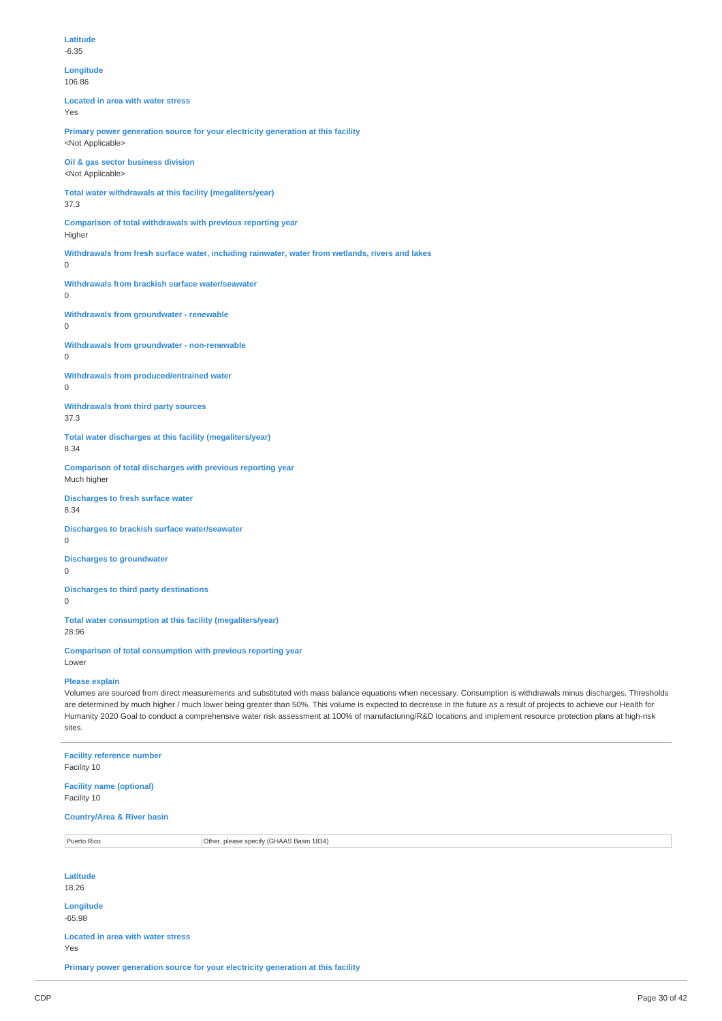```
Longitude
```
106.86

**Located in area with water stress** Yes

**Primary power generation source for your electricity generation at this facility** <Not Applicable>

**Oil & gas sector business division** <Not Applicable>

**Total water withdrawals at this facility (megaliters/year)** 37.3

**Comparison of total withdrawals with previous reporting year** Higher

**Withdrawals from fresh surface water, including rainwater, water from wetlands, rivers and lakes**

 $\Omega$ 

**Withdrawals from brackish surface water/seawater** 0

**Withdrawals from groundwater - renewable**

0

**Withdrawals from groundwater - non-renewable**

0

**Withdrawals from produced/entrained water**  $\Omega$ 

**Withdrawals from third party sources** 37.3

**Total water discharges at this facility (megaliters/year)** 8.34

**Comparison of total discharges with previous reporting year** Much higher

**Discharges to fresh surface water** 8.34

**Discharges to brackish surface water/seawater**

0

**Discharges to groundwater**

 $\Omega$ 

**Discharges to third party destinations**

 $\overline{0}$ 

**Total water consumption at this facility (megaliters/year)** 28.96

**Comparison of total consumption with previous reporting year** Lower

**Please explain**

Volumes are sourced from direct measurements and substituted with mass balance equations when necessary. Consumption is withdrawals minus discharges. Thresholds are determined by much higher / much lower being greater than 50%. This volume is expected to decrease in the future as a result of projects to achieve our Health for Humanity 2020 Goal to conduct a comprehensive water risk assessment at 100% of manufacturing/R&D locations and implement resource protection plans at high-risk sites.

**Facility reference number** Facility 10 **Facility name (optional)** Facility 10 **Country/Area & River basin** Puerto Rico **Puerto Rico Contract Contract Contract Contract Contract Contract Contract Contract Contract Contract Contract Contract Contract Contract Contract Contract Contract Contract Contract Contract Contract Contract Latitude** 18.26 **Longitude** -65.98 **Located in area with water stress** Yes

**Primary power generation source for your electricity generation at this facility**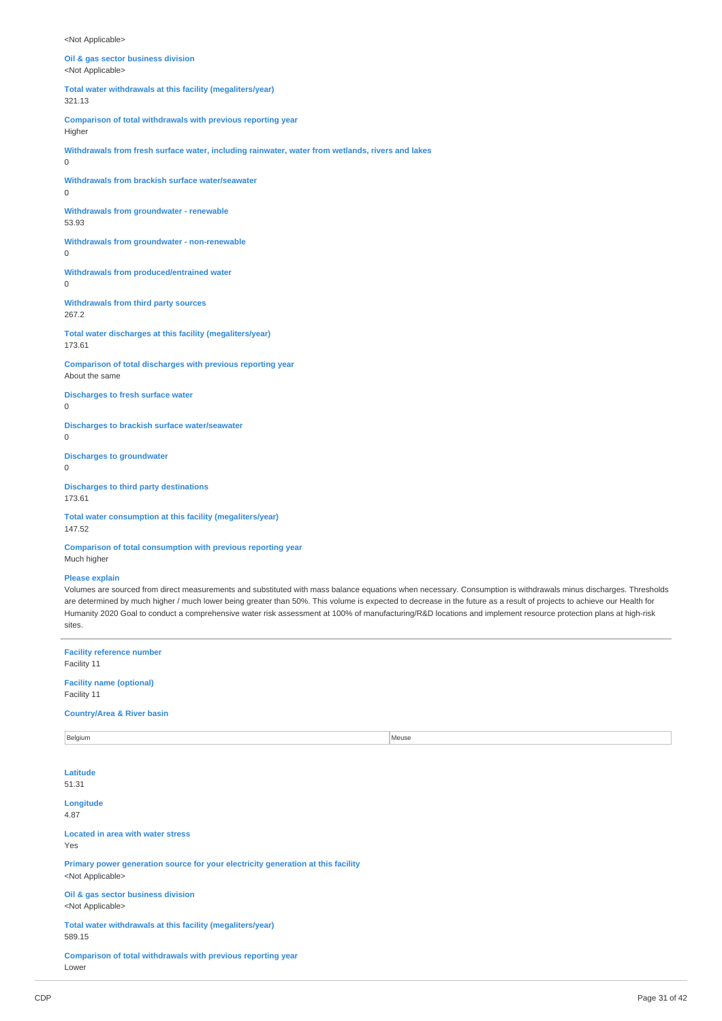<Not Applicable>

**Oil & gas sector business division** <Not Applicable>

**Total water withdrawals at this facility (megaliters/year)** 321.13

**Comparison of total withdrawals with previous reporting year**

Higher

**Withdrawals from fresh surface water, including rainwater, water from wetlands, rivers and lakes**  $\Omega$ 

**Withdrawals from brackish surface water/seawater**  $\Omega$ 

**Withdrawals from groundwater - renewable** 53.93

**Withdrawals from groundwater - non-renewable**  $\Omega$ 

**Withdrawals from produced/entrained water**  $\Omega$ 

**Withdrawals from third party sources** 267.2

**Total water discharges at this facility (megaliters/year)** 173.61

**Comparison of total discharges with previous reporting year** About the same

**Discharges to fresh surface water**  $\theta$ 

**Discharges to brackish surface water/seawater**  $\Omega$ 

**Discharges to groundwater**  $\Omega$ 

**Discharges to third party destinations** 173.61

**Total water consumption at this facility (megaliters/year)** 147.52

**Comparison of total consumption with previous reporting year** Much higher

#### **Please explain**

Volumes are sourced from direct measurements and substituted with mass balance equations when necessary. Consumption is withdrawals minus discharges. Thresholds are determined by much higher / much lower being greater than 50%. This volume is expected to decrease in the future as a result of projects to achieve our Health for Humanity 2020 Goal to conduct a comprehensive water risk assessment at 100% of manufacturing/R&D locations and implement resource protection plans at high-risk sites.

**Facility reference number** Facility 11 **Facility name (optional)** Facility 11 **Country/Area & River basin** Belgium and the state of the state of the state of the state of the state of the state of the state of the state of the state of the state of the state of the state of the state of the state of the state of the state of th **Latitude** 51.31 **Longitude** 4.87 **Located in area with water stress** Yes **Primary power generation source for your electricity generation at this facility** <Not Applicable> **Oil & gas sector business division** <Not Applicable> **Total water withdrawals at this facility (megaliters/year)** 589.15 **Comparison of total withdrawals with previous reporting year** Lower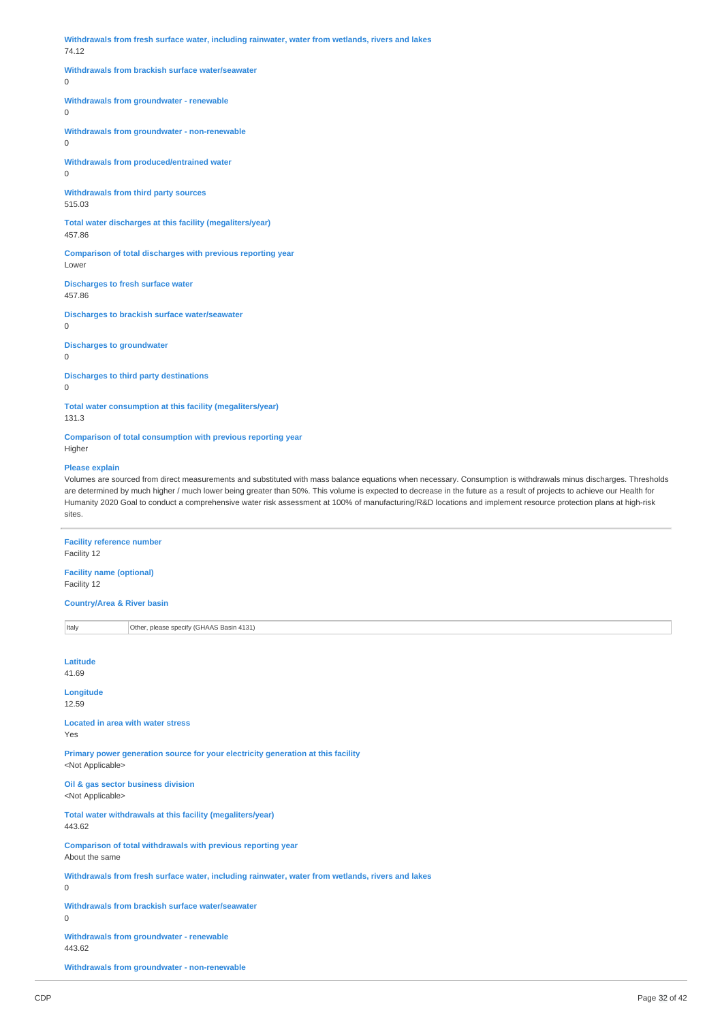**Withdrawals from fresh surface water, including rainwater, water from wetlands, rivers and lakes** 74.12

### **Withdrawals from brackish surface water/seawater**

 $\Omega$ 

#### **Withdrawals from groundwater - renewable**

 $\overline{0}$ 

**Withdrawals from groundwater - non-renewable**  $\Omega$ 

**Withdrawals from produced/entrained water**

0

**Withdrawals from third party sources** 515.03

**Total water discharges at this facility (megaliters/year)** 457.86

**Comparison of total discharges with previous reporting year** Lower

**Discharges to fresh surface water** 457.86

**Discharges to brackish surface water/seawater**

 $\overline{0}$ 

**Discharges to groundwater**

0

**Discharges to third party destinations**

 $\Omega$ 

**Total water consumption at this facility (megaliters/year)**

131.3

**Comparison of total consumption with previous reporting year** Higher

#### **Please explain**

Volumes are sourced from direct measurements and substituted with mass balance equations when necessary. Consumption is withdrawals minus discharges. Thresholds are determined by much higher / much lower being greater than 50%. This volume is expected to decrease in the future as a result of projects to achieve our Health for Humanity 2020 Goal to conduct a comprehensive water risk assessment at 100% of manufacturing/R&D locations and implement resource protection plans at high-risk sites.

# **Facility reference number**

Facility 12

**Facility name (optional)** Facility 12

**Country/Area & River basin**

Italy **Other, please specify (GHAAS Basin 4131) Latitude** 41.69 **Longitude** 12.59 **Located in area with water stress** Yes **Primary power generation source for your electricity generation at this facility** <Not Applicable> **Oil & gas sector business division** <Not Applicable> **Total water withdrawals at this facility (megaliters/year)** 443.62 **Comparison of total withdrawals with previous reporting year** About the same **Withdrawals from fresh surface water, including rainwater, water from wetlands, rivers and lakes**  $\Omega$ **Withdrawals from brackish surface water/seawater**  $\theta$ **Withdrawals from groundwater - renewable** 443.62 **Withdrawals from groundwater - non-renewable**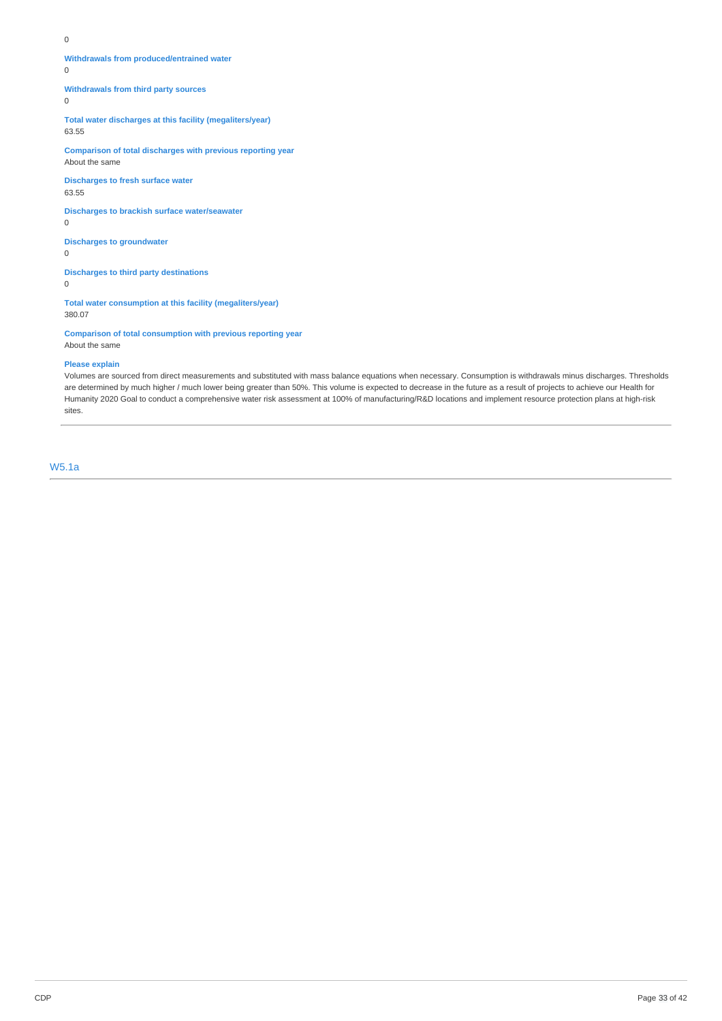**Withdrawals from produced/entrained water**

 $\Omega$ 

**Withdrawals from third party sources**

0

**Total water discharges at this facility (megaliters/year)** 63.55

**Comparison of total discharges with previous reporting year** About the same

**Discharges to fresh surface water** 63.55

**Discharges to brackish surface water/seawater**

0

**Discharges to groundwater**  $\Omega$ 

**Discharges to third party destinations** 0

**Total water consumption at this facility (megaliters/year)** 380.07

**Comparison of total consumption with previous reporting year** About the same

**Please explain**

Volumes are sourced from direct measurements and substituted with mass balance equations when necessary. Consumption is withdrawals minus discharges. Thresholds are determined by much higher / much lower being greater than 50%. This volume is expected to decrease in the future as a result of projects to achieve our Health for Humanity 2020 Goal to conduct a comprehensive water risk assessment at 100% of manufacturing/R&D locations and implement resource protection plans at high-risk sites.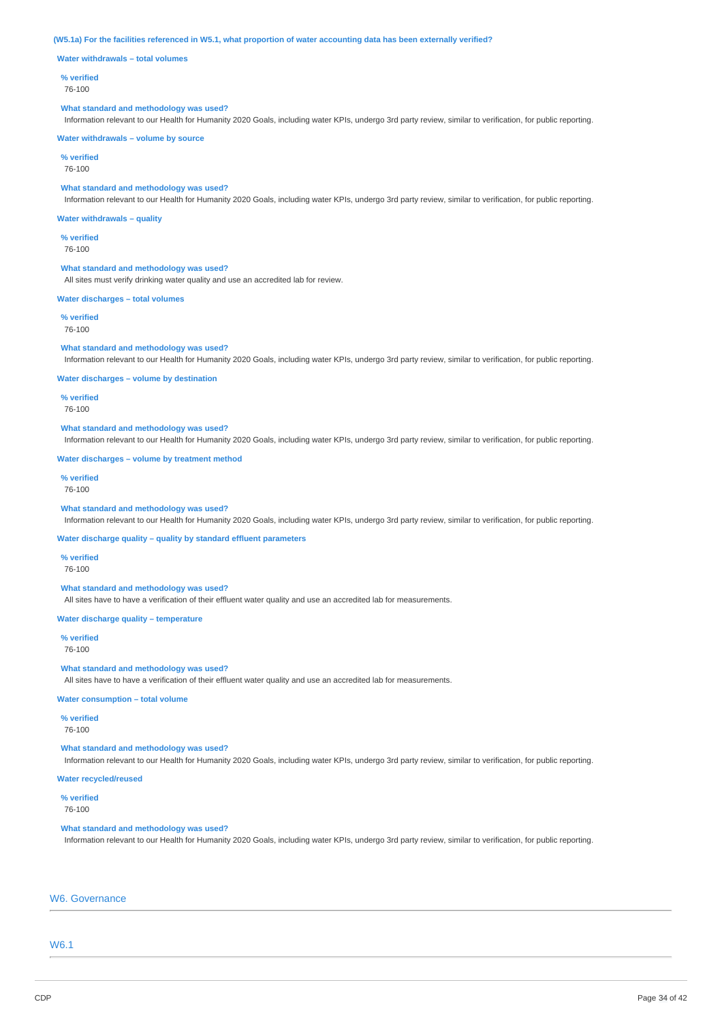(W5.1a) For the facilities referenced in W5.1, what proportion of water accounting data has been externally verified?

**Water withdrawals – total volumes**

#### **% verified**

76-100

#### **What standard and methodology was used?**

Information relevant to our Health for Humanity 2020 Goals, including water KPIs, undergo 3rd party review, similar to verification, for public reporting.

#### **Water withdrawals – volume by source**

**% verified**

76-100

#### **What standard and methodology was used?**

Information relevant to our Health for Humanity 2020 Goals, including water KPIs, undergo 3rd party review, similar to verification, for public reporting.

#### **Water withdrawals – quality**

**% verified** 76-100

### **What standard and methodology was used?**

All sites must verify drinking water quality and use an accredited lab for review.

#### **Water discharges – total volumes**

**% verified** 76-100

#### **What standard and methodology was used?**

Information relevant to our Health for Humanity 2020 Goals, including water KPIs, undergo 3rd party review, similar to verification, for public reporting.

#### **Water discharges – volume by destination**

**% verified** 76-100

#### **What standard and methodology was used?**

Information relevant to our Health for Humanity 2020 Goals, including water KPIs, undergo 3rd party review, similar to verification, for public reporting.

#### **Water discharges – volume by treatment method**

**% verified** 76-100

#### **What standard and methodology was used?**

Information relevant to our Health for Humanity 2020 Goals, including water KPIs, undergo 3rd party review, similar to verification, for public reporting.

#### **Water discharge quality – quality by standard effluent parameters**

**% verified**

#### 76-100

# **What standard and methodology was used?**

All sites have to have a verification of their effluent water quality and use an accredited lab for measurements.

# **Water discharge quality – temperature**

**% verified** 76-100

#### **What standard and methodology was used?**

All sites have to have a verification of their effluent water quality and use an accredited lab for measurements.

### **Water consumption – total volume**

### **% verified**

76-100

# **What standard and methodology was used?**

Information relevant to our Health for Humanity 2020 Goals, including water KPIs, undergo 3rd party review, similar to verification, for public reporting.

# **Water recycled/reused**

**% verified**

76-100

### **What standard and methodology was used?**

Information relevant to our Health for Humanity 2020 Goals, including water KPIs, undergo 3rd party review, similar to verification, for public reporting.

# W6. Governance

# W6.1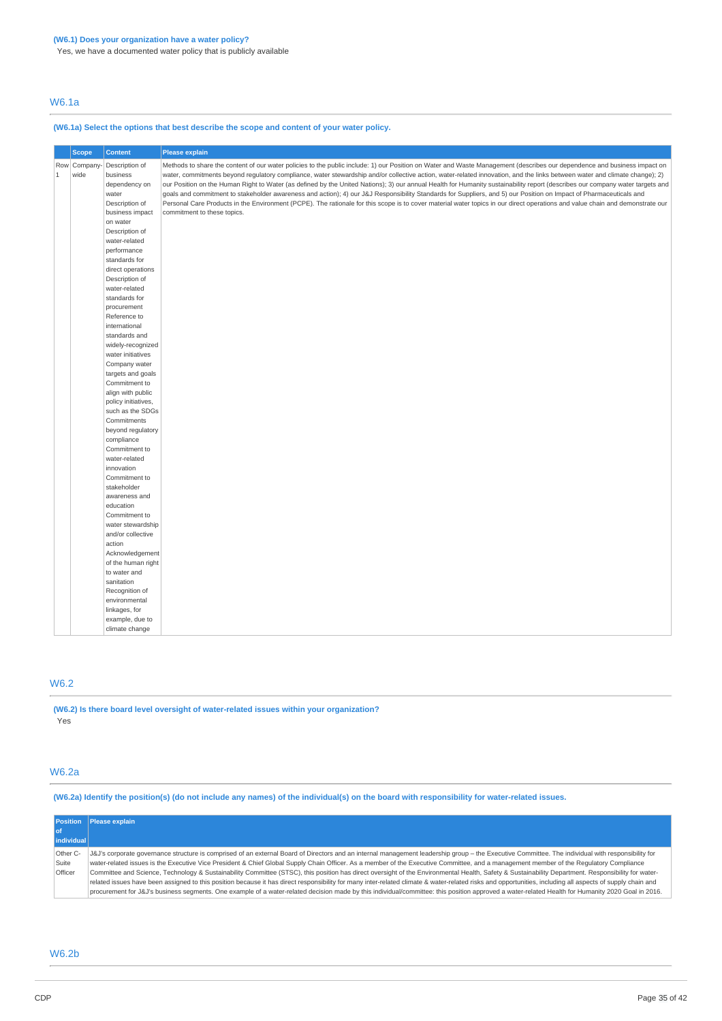Yes, we have a documented water policy that is publicly available

# W6.1a

# **(W6.1a) Select the options that best describe the scope and content of your water policy.**

|             | <b>Scope</b> | <b>Content</b>                 | Please explain                                                                                                                                                                |
|-------------|--------------|--------------------------------|-------------------------------------------------------------------------------------------------------------------------------------------------------------------------------|
|             | Row Company- | Description of                 | Methods to share the content of our water policies to the public include: 1) our Position on Water and Waste Management (describes our dependence and business impact on      |
| $\mathbf 1$ | wide         | business                       | water, commitments beyond regulatory compliance, water stewardship and/or collective action, water-related innovation, and the links between water and climate change); 2)    |
|             |              | dependency on                  | our Position on the Human Right to Water (as defined by the United Nations); 3) our annual Health for Humanity sustainability report (describes our company water targets and |
|             |              | water                          | goals and commitment to stakeholder awareness and action); 4) our J&J Responsibility Standards for Suppliers, and 5) our Position on Impact of Pharmaceuticals and            |
|             |              | Description of                 | Personal Care Products in the Environment (PCPE). The rationale for this scope is to cover material water topics in our direct operations and value chain and demonstrate our |
|             |              | business impact                | commitment to these topics.                                                                                                                                                   |
|             |              | on water                       |                                                                                                                                                                               |
|             |              | Description of                 |                                                                                                                                                                               |
|             |              | water-related                  |                                                                                                                                                                               |
|             |              | performance                    |                                                                                                                                                                               |
|             |              | standards for                  |                                                                                                                                                                               |
|             |              | direct operations              |                                                                                                                                                                               |
|             |              | Description of                 |                                                                                                                                                                               |
|             |              | water-related                  |                                                                                                                                                                               |
|             |              | standards for                  |                                                                                                                                                                               |
|             |              | procurement                    |                                                                                                                                                                               |
|             |              | Reference to                   |                                                                                                                                                                               |
|             |              | international                  |                                                                                                                                                                               |
|             |              | standards and                  |                                                                                                                                                                               |
|             |              | widely-recognized              |                                                                                                                                                                               |
|             |              | water initiatives              |                                                                                                                                                                               |
|             |              | Company water                  |                                                                                                                                                                               |
|             |              | targets and goals              |                                                                                                                                                                               |
|             |              | Commitment to                  |                                                                                                                                                                               |
|             |              | align with public              |                                                                                                                                                                               |
|             |              | policy initiatives,            |                                                                                                                                                                               |
|             |              | such as the SDGs               |                                                                                                                                                                               |
|             |              | Commitments                    |                                                                                                                                                                               |
|             |              | beyond regulatory              |                                                                                                                                                                               |
|             |              | compliance                     |                                                                                                                                                                               |
|             |              | Commitment to<br>water-related |                                                                                                                                                                               |
|             |              | innovation                     |                                                                                                                                                                               |
|             |              |                                |                                                                                                                                                                               |
|             |              | Commitment to<br>stakeholder   |                                                                                                                                                                               |
|             |              | awareness and                  |                                                                                                                                                                               |
|             |              | education                      |                                                                                                                                                                               |
|             |              | Commitment to                  |                                                                                                                                                                               |
|             |              | water stewardship              |                                                                                                                                                                               |
|             |              | and/or collective              |                                                                                                                                                                               |
|             |              | action                         |                                                                                                                                                                               |
|             |              | Acknowledgement                |                                                                                                                                                                               |
|             |              | of the human right             |                                                                                                                                                                               |
|             |              | to water and                   |                                                                                                                                                                               |
|             |              | sanitation                     |                                                                                                                                                                               |
|             |              | Recognition of                 |                                                                                                                                                                               |
|             |              | environmental                  |                                                                                                                                                                               |
|             |              | linkages, for                  |                                                                                                                                                                               |
|             |              | example, due to                |                                                                                                                                                                               |
|             |              | climate change                 |                                                                                                                                                                               |

# W6.2

**(W6.2) Is there board level oversight of water-related issues within your organization?** Yes

# W6.2a

(W6.2a) Identify the position(s) (do not include any names) of the individual(s) on the board with responsibility for water-related issues.

| <b>Position</b><br>l of<br>individual | <b>Please explain</b>                                                                                                                                                                                                                                                                                                                                                                                                                                                                                                                                                                                                                                                                                                                                                                                                                                                                                                                                                                                               |
|---------------------------------------|---------------------------------------------------------------------------------------------------------------------------------------------------------------------------------------------------------------------------------------------------------------------------------------------------------------------------------------------------------------------------------------------------------------------------------------------------------------------------------------------------------------------------------------------------------------------------------------------------------------------------------------------------------------------------------------------------------------------------------------------------------------------------------------------------------------------------------------------------------------------------------------------------------------------------------------------------------------------------------------------------------------------|
| Other C-<br>Suite<br>Officer          | J&J's corporate governance structure is comprised of an external Board of Directors and an internal management leadership group - the Executive Committee. The individual with responsibility for<br>water-related issues is the Executive Vice President & Chief Global Supply Chain Officer. As a member of the Executive Committee, and a management member of the Requlatory Compliance<br>Committee and Science, Technology & Sustainability Committee (STSC), this position has direct oversight of the Environmental Health, Safety & Sustainability Department. Responsibility for water-<br>related issues have been assigned to this position because it has direct responsibility for many inter-related climate & water-related risks and opportunities, including all aspects of supply chain and<br>orocurement for J&J's business segments. One example of a water-related decision made by this individual/committee: this position approved a water-related Health for Humanity 2020 Goal in 2016. |

# W6.2b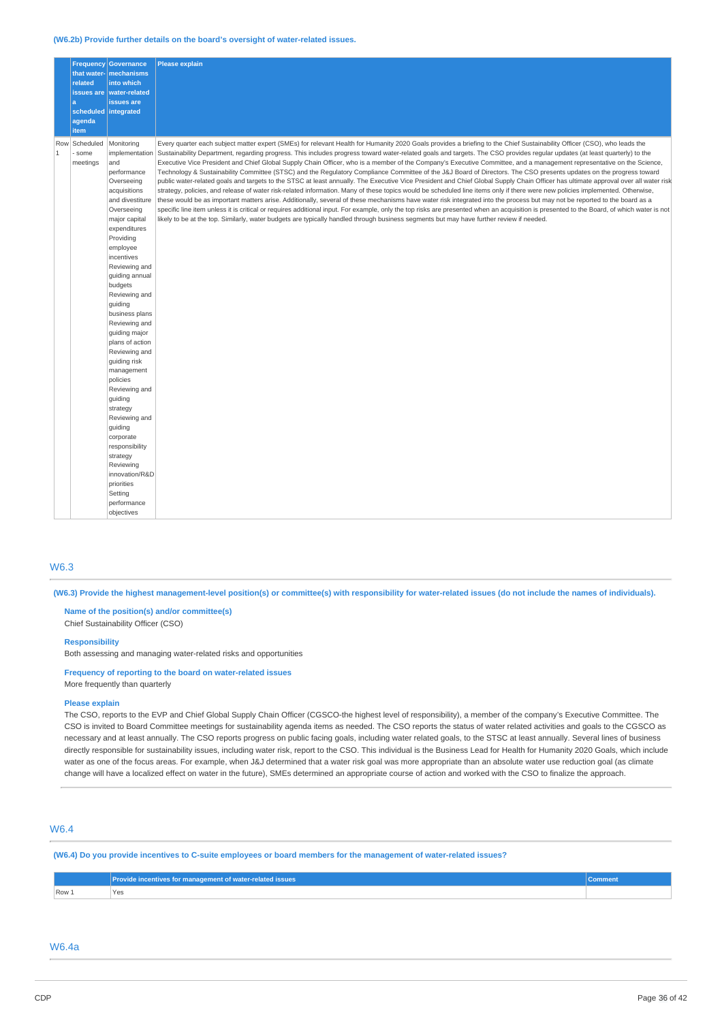#### **(W6.2b) Provide further details on the board's oversight of water-related issues.**

|                     | related<br>a<br>scheduled integrated<br>agenda<br>item | <b>Frequency Governance</b><br>that water- mechanisms<br>into which<br>issues are   water-related<br>issues are                                                                                                                                                                                                                                                                                                                                                                                                                                                                                           | <b>Please explain</b>                                                                                                                                                                                                                                                                                                                                                                                                                                                                                                                                                                                                                                                                                                                                                                                                                                                                                                                                                                                                                                                                                                                                                                                                                                                                                                                                                                                                                                                                                                                                                                                |
|---------------------|--------------------------------------------------------|-----------------------------------------------------------------------------------------------------------------------------------------------------------------------------------------------------------------------------------------------------------------------------------------------------------------------------------------------------------------------------------------------------------------------------------------------------------------------------------------------------------------------------------------------------------------------------------------------------------|------------------------------------------------------------------------------------------------------------------------------------------------------------------------------------------------------------------------------------------------------------------------------------------------------------------------------------------------------------------------------------------------------------------------------------------------------------------------------------------------------------------------------------------------------------------------------------------------------------------------------------------------------------------------------------------------------------------------------------------------------------------------------------------------------------------------------------------------------------------------------------------------------------------------------------------------------------------------------------------------------------------------------------------------------------------------------------------------------------------------------------------------------------------------------------------------------------------------------------------------------------------------------------------------------------------------------------------------------------------------------------------------------------------------------------------------------------------------------------------------------------------------------------------------------------------------------------------------------|
| Row<br>$\mathbf{1}$ | Scheduled<br>some<br>meetings                          | Monitoring<br>implementation<br>and<br>performance<br>Overseeing<br>acquisitions<br>and divestiture<br>Overseeing<br>major capital<br>expenditures<br>Providing<br>employee<br>incentives<br>Reviewing and<br>guiding annual<br>budgets<br>Reviewing and<br>quiding<br>business plans<br>Reviewing and<br>guiding major<br>plans of action<br>Reviewing and<br>quiding risk<br>management<br>policies<br>Reviewing and<br>guiding<br>strategy<br>Reviewing and<br>guiding<br>corporate<br>responsibility<br>strategy<br>Reviewing<br>innovation/R&D<br>priorities<br>Setting<br>performance<br>objectives | Every quarter each subject matter expert (SMEs) for relevant Health for Humanity 2020 Goals provides a briefing to the Chief Sustainability Officer (CSO), who leads the<br>Sustainability Department, regarding progress. This includes progress toward water-related goals and targets. The CSO provides regular updates (at least quarterly) to the<br>Executive Vice President and Chief Global Supply Chain Officer, who is a member of the Company's Executive Committee, and a management representative on the Science,<br>Technology & Sustainability Committee (STSC) and the Regulatory Compliance Committee of the J&J Board of Directors. The CSO presents updates on the progress toward<br>public water-related goals and targets to the STSC at least annually. The Executive Vice President and Chief Global Supply Chain Officer has ultimate approval over all water risk<br>strategy, policies, and release of water risk-related information. Many of these topics would be scheduled line items only if there were new policies implemented. Otherwise,<br>these would be as important matters arise. Additionally, several of these mechanisms have water risk integrated into the process but may not be reported to the board as a<br>specific line item unless it is critical or requires additional input. For example, only the top risks are presented when an acquisition is presented to the Board, of which water is not<br>likely to be at the top. Similarly, water budgets are typically handled through business segments but may have further review if needed. |

### W6.3

(W6.3) Provide the highest management-level position(s) or committee(s) with responsibility for water-related issues (do not include the names of individuals).

**Name of the position(s) and/or committee(s)** Chief Sustainability Officer (CSO)

#### **Responsibility**

Both assessing and managing water-related risks and opportunities

# **Frequency of reporting to the board on water-related issues**

More frequently than quarterly

#### **Please explain**

The CSO, reports to the EVP and Chief Global Supply Chain Officer (CGSCO-the highest level of responsibility), a member of the company's Executive Committee. The CSO is invited to Board Committee meetings for sustainability agenda items as needed. The CSO reports the status of water related activities and goals to the CGSCO as necessary and at least annually. The CSO reports progress on public facing goals, including water related goals, to the STSC at least annually. Several lines of business directly responsible for sustainability issues, including water risk, report to the CSO. This individual is the Business Lead for Health for Humanity 2020 Goals, which include water as one of the focus areas. For example, when J&J determined that a water risk goal was more appropriate than an absolute water use reduction goal (as climate change will have a localized effect on water in the future), SMEs determined an appropriate course of action and worked with the CSO to finalize the approach.

# W6.4

(W6.4) Do you provide incentives to C-suite employees or board members for the management of water-related issues?

|         | Provide incentives for management of water-related issues | -------<br>∪omment |
|---------|-----------------------------------------------------------|--------------------|
| $Row_1$ | <b>Yes</b><br>$\sim$ $\sim$                               |                    |

# W6.4a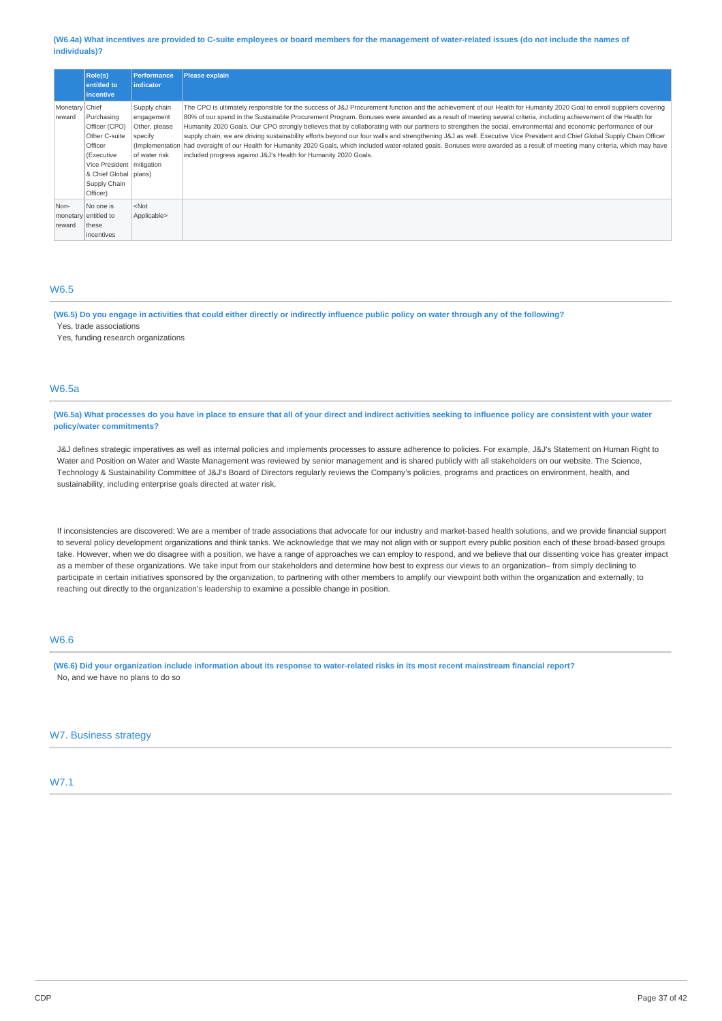#### (W6.4a) What incentives are provided to C-suite employees or board members for the management of water-related issues (do not include the names of **individuals)?**

|                          | <b>Role(s)</b><br>entitled to<br><i>incentive</i>                                                                                                           | <b>Performance</b><br><b>Indicator</b>                                  | Please explain                                                                                                                                                                                                                                                                                                                                                                                                                                                                                                                                                                                                                                                                                                                                                                                                                                                                                                                               |
|--------------------------|-------------------------------------------------------------------------------------------------------------------------------------------------------------|-------------------------------------------------------------------------|----------------------------------------------------------------------------------------------------------------------------------------------------------------------------------------------------------------------------------------------------------------------------------------------------------------------------------------------------------------------------------------------------------------------------------------------------------------------------------------------------------------------------------------------------------------------------------------------------------------------------------------------------------------------------------------------------------------------------------------------------------------------------------------------------------------------------------------------------------------------------------------------------------------------------------------------|
| Monetary Chief<br>reward | Purchasing<br>Officer (CPO)<br>Other C-suite<br>Officer<br>(Executive<br>Vice President   mitigation<br>& Chief Global   plans)<br>Supply Chain<br>Officer) | Supply chain<br>engagement<br>Other, please<br>specify<br>of water risk | The CPO is ultimately responsible for the success of J&J Procurement function and the achievement of our Health for Humanity 2020 Goal to enroll suppliers covering<br>80% of our spend in the Sustainable Procurement Program. Bonuses were awarded as a result of meeting several criteria, including achievement of the Health for<br>Humanity 2020 Goals. Our CPO strongly believes that by collaborating with our partners to strengthen the social, environmental and economic performance of our<br>supply chain, we are driving sustainability efforts beyond our four walls and strengthening J&J as well. Executive Vice President and Chief Global Supply Chain Officer<br>(Implementation) had oversight of our Health for Humanity 2020 Goals, which included water-related goals. Bonuses were awarded as a result of meeting many criteria, which may have<br>included progress against J&J's Health for Humanity 2020 Goals. |
| Non-<br>reward           | No one is<br>monetary entitled to<br>these<br>lincentives                                                                                                   | $<$ Not<br>Applicable>                                                  |                                                                                                                                                                                                                                                                                                                                                                                                                                                                                                                                                                                                                                                                                                                                                                                                                                                                                                                                              |

# W6.5

(W6.5) Do you engage in activities that could either directly or indirectly influence public policy on water through any of the following? Yes, trade associations

Yes, funding research organizations

# W6.5a

(W6.5a) What processes do you have in place to ensure that all of your direct and indirect activities seeking to influence policy are consistent with your water **policy/water commitments?**

J&J defines strategic imperatives as well as internal policies and implements processes to assure adherence to policies. For example, J&J's Statement on Human Right to Water and Position on Water and Waste Management was reviewed by senior management and is shared publicly with all stakeholders on our website. The Science, Technology & Sustainability Committee of J&J's Board of Directors regularly reviews the Company's policies, programs and practices on environment, health, and sustainability, including enterprise goals directed at water risk.

If inconsistencies are discovered: We are a member of trade associations that advocate for our industry and market-based health solutions, and we provide financial support to several policy development organizations and think tanks. We acknowledge that we may not align with or support every public position each of these broad-based groups take. However, when we do disagree with a position, we have a range of approaches we can employ to respond, and we believe that our dissenting voice has greater impact as a member of these organizations. We take input from our stakeholders and determine how best to express our views to an organization– from simply declining to participate in certain initiatives sponsored by the organization, to partnering with other members to amplify our viewpoint both within the organization and externally, to reaching out directly to the organization's leadership to examine a possible change in position.

# W6.6

(W6.6) Did your organization include information about its response to water-related risks in its most recent mainstream financial report? No, and we have no plans to do so

# W7. Business strategy

# W7.1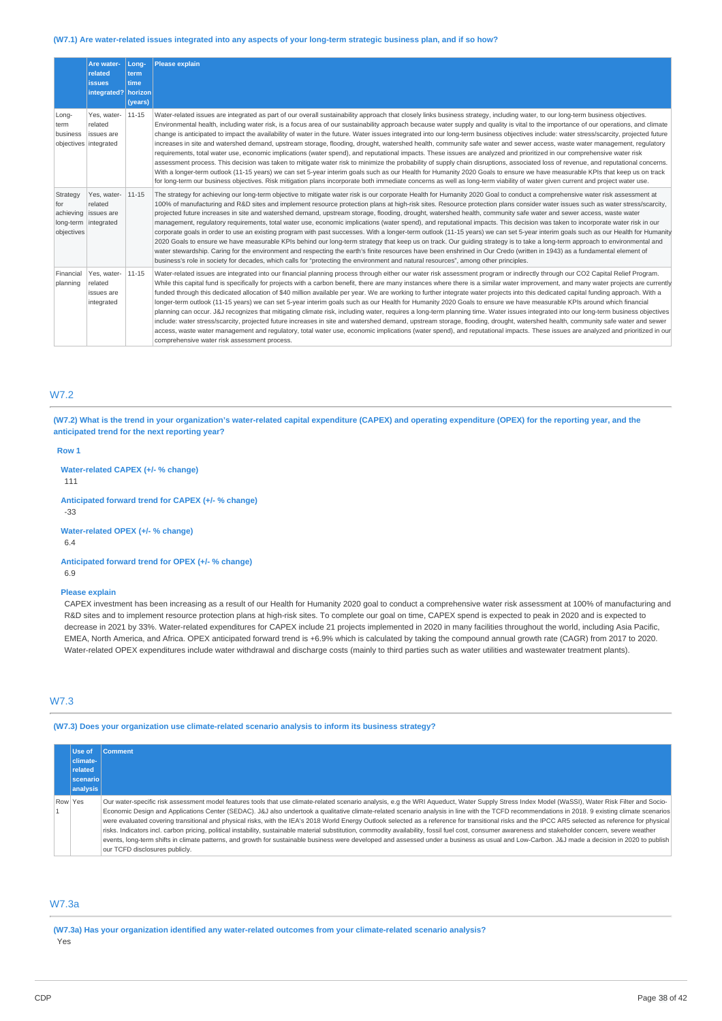#### (W7.1) Are water-related issues integrated into any aspects of your long-term strategic business plan, and if so how?

|                                                    | Are water-<br>related<br><b>issues</b><br>integrated?        | Long-<br>term<br>time<br>horizon<br>(years) | <b>Please explain</b>                                                                                                                                                                                                                                                                                                                                                                                                                                                                                                                                                                                                                                                                                                                                                                                                                                                                                                                                                                                                                                                                                                                                                                                                                                                                                                                                                                                                                                                             |
|----------------------------------------------------|--------------------------------------------------------------|---------------------------------------------|-----------------------------------------------------------------------------------------------------------------------------------------------------------------------------------------------------------------------------------------------------------------------------------------------------------------------------------------------------------------------------------------------------------------------------------------------------------------------------------------------------------------------------------------------------------------------------------------------------------------------------------------------------------------------------------------------------------------------------------------------------------------------------------------------------------------------------------------------------------------------------------------------------------------------------------------------------------------------------------------------------------------------------------------------------------------------------------------------------------------------------------------------------------------------------------------------------------------------------------------------------------------------------------------------------------------------------------------------------------------------------------------------------------------------------------------------------------------------------------|
| Long-<br>term<br>business<br>objectives integrated | Yes, water-<br>related<br>issues are                         | $11 - 15$                                   | Water-related issues are integrated as part of our overall sustainability approach that closely links business strategy, including water, to our long-term business objectives.<br>Environmental health, including water risk, is a focus area of our sustainability approach because water supply and quality is vital to the importance of our operations, and climate<br>change is anticipated to impact the availability of water in the future. Water issues integrated into our long-term business objectives include: water stress/scarcity, projected future<br>increases in site and watershed demand, upstream storage, flooding, drought, watershed health, community safe water and sewer access, waste water management, regulatory<br>requirements, total water use, economic implications (water spend), and reputational impacts. These issues are analyzed and prioritized in our comprehensive water risk<br>assessment process. This decision was taken to mitigate water risk to minimize the probability of supply chain disruptions, associated loss of revenue, and reputational concerns.<br>With a longer-term outlook (11-15 years) we can set 5-year interim goals such as our Health for Humanity 2020 Goals to ensure we have measurable KPIs that keep us on track<br>for long-term our business objectives. Risk mitigation plans incorporate both immediate concerns as well as long-term viability of water given current and project water use. |
| Strategy<br>for<br>achieving<br>objectives         | Yes, water-<br>related<br>issues are<br>long-term integrated | $11 - 15$                                   | The strategy for achieving our long-term objective to mitigate water risk is our corporate Health for Humanity 2020 Goal to conduct a comprehensive water risk assessment at<br>100% of manufacturing and R&D sites and implement resource protection plans at high-risk sites. Resource protection plans consider water issues such as water stress/scarcity,<br>projected future increases in site and watershed demand, upstream storage, flooding, drought, watershed health, community safe water and sewer access, waste water<br>management, regulatory requirements, total water use, economic implications (water spend), and reputational impacts. This decision was taken to incorporate water risk in our<br>corporate goals in order to use an existing program with past successes. With a longer-term outlook (11-15 years) we can set 5-year interim goals such as our Health for Humanity<br>2020 Goals to ensure we have measurable KPIs behind our long-term strategy that keep us on track. Our quiding strategy is to take a long-term approach to environmental and<br>water stewardship. Caring for the environment and respecting the earth's finite resources have been enshrined in Our Credo (written in 1943) as a fundamental element of<br>business's role in society for decades, which calls for "protecting the environment and natural resources", among other principles.                                                                      |
| Financial<br>planning                              | Yes, water-<br>related<br>issues are<br>integrated           | $11 - 15$                                   | Water-related issues are integrated into our financial planning process through either our water risk assessment program or indirectly through our CO2 Capital Relief Program.<br>While this capital fund is specifically for projects with a carbon benefit, there are many instances where there is a similar water improvement, and many water projects are currently<br>funded through this dedicated allocation of \$40 million available per year. We are working to further integrate water projects into this dedicated capital funding approach. With a<br>longer-term outlook (11-15 years) we can set 5-year interim goals such as our Health for Humanity 2020 Goals to ensure we have measurable KPIs around which financial<br>planning can occur. J&J recognizes that mitigating climate risk, including water, requires a long-term planning time. Water issues integrated into our long-term business objectives<br>include: water stress/scarcity, projected future increases in site and watershed demand, upstream storage, flooding, drought, watershed health, community safe water and sewer<br>access, waste water management and regulatory, total water use, economic implications (water spend), and reputational impacts. These issues are analyzed and prioritized in our<br>comprehensive water risk assessment process.                                                                                                                            |

# W7.2

(W7.2) What is the trend in your organization's water-related capital expenditure (CAPEX) and operating expenditure (OPEX) for the reporting year, and the **anticipated trend for the next reporting year?**

#### **Row 1**

**Water-related CAPEX (+/- % change)**

111

**Anticipated forward trend for CAPEX (+/- % change)** -33

**Water-related OPEX (+/- % change)**

6.4

**Anticipated forward trend for OPEX (+/- % change)** 6.9

#### **Please explain**

CAPEX investment has been increasing as a result of our Health for Humanity 2020 goal to conduct a comprehensive water risk assessment at 100% of manufacturing and R&D sites and to implement resource protection plans at high-risk sites. To complete our goal on time, CAPEX spend is expected to peak in 2020 and is expected to decrease in 2021 by 33%. Water-related expenditures for CAPEX include 21 projects implemented in 2020 in many facilities throughout the world, including Asia Pacific, EMEA, North America, and Africa. OPEX anticipated forward trend is +6.9% which is calculated by taking the compound annual growth rate (CAGR) from 2017 to 2020. Water-related OPEX expenditures include water withdrawal and discharge costs (mainly to third parties such as water utilities and wastewater treatment plants).

# W7.3

**(W7.3) Does your organization use climate-related scenario analysis to inform its business strategy?**

|         | Use of<br>climate-<br>related<br><b>scenario</b><br>analysis | <b>Comment</b>                                                                                                                                                                                                                                                                                                                                                                                                                                                                                                                                                                                                                                                                                                                                                                                                                                                                                                                                                                                                                                           |
|---------|--------------------------------------------------------------|----------------------------------------------------------------------------------------------------------------------------------------------------------------------------------------------------------------------------------------------------------------------------------------------------------------------------------------------------------------------------------------------------------------------------------------------------------------------------------------------------------------------------------------------------------------------------------------------------------------------------------------------------------------------------------------------------------------------------------------------------------------------------------------------------------------------------------------------------------------------------------------------------------------------------------------------------------------------------------------------------------------------------------------------------------|
| Row Yes |                                                              | Our water-specific risk assessment model features tools that use climate-related scenario analysis, e.g the WRI Aqueduct, Water Supply Stress Index Model (WaSSI), Water Risk Filter and Socio-<br>Economic Design and Applications Center (SEDAC). J&J also undertook a qualitative climate-related scenario analysis in line with the TCFD recommendations in 2018. 9 existing climate scenarios<br>were evaluated covering transitional and physical risks, with the IEA's 2018 World Energy Outlook selected as a reference for transitional risks and the IPCC AR5 selected as reference for physical<br>risks. Indicators incl. carbon pricing, political instability, sustainable material substitution, commodity availability, fossil fuel cost, consumer awareness and stakeholder concern, severe weather<br>events, long-term shifts in climate patterns, and growth for sustainable business were developed and assessed under a business as usual and Low-Carbon. J&J made a decision in 2020 to publish<br>our TCFD disclosures publicly. |

# W7.3a

**(W7.3a) Has your organization identified any water-related outcomes from your climate-related scenario analysis?** Yes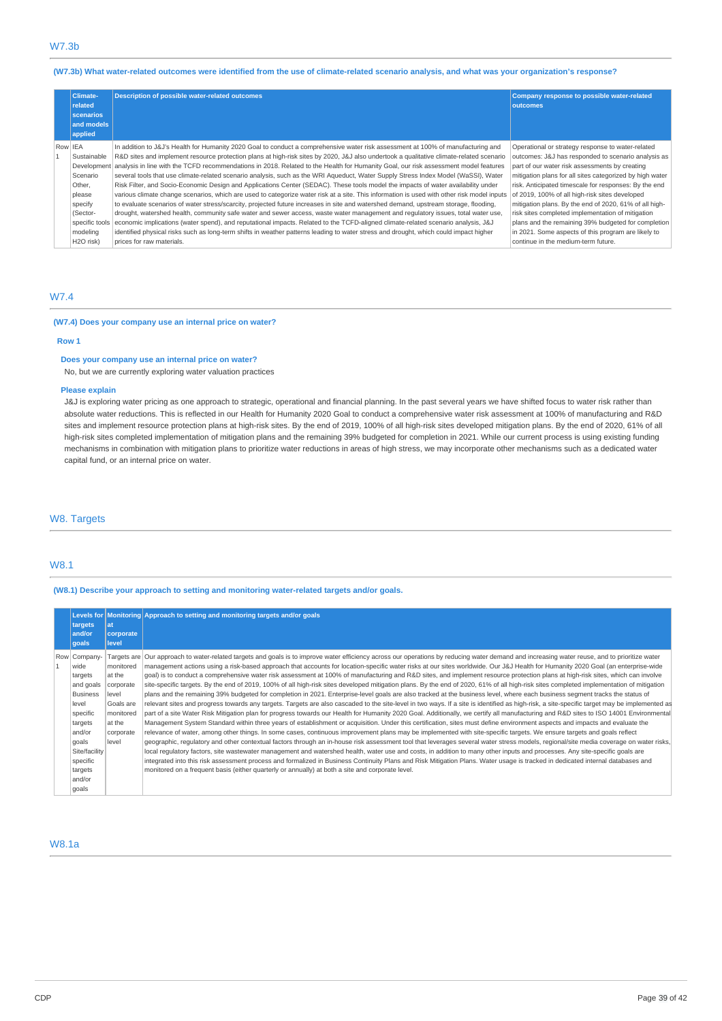# (W7.3b) What water-related outcomes were identified from the use of climate-related scenario analysis, and what was your organization's response?

| <b>Climate-</b><br>related<br>scenarios<br>and models<br>applied | <b>Description of possible water-related outcomes</b>                                                                                      | Company response to possible water-related<br>outcomes   |
|------------------------------------------------------------------|--------------------------------------------------------------------------------------------------------------------------------------------|----------------------------------------------------------|
| Row IEA                                                          | In addition to J&J's Health for Humanity 2020 Goal to conduct a comprehensive water risk assessment at 100% of manufacturing and           | Operational or strategy response to water-related        |
| Sustainable                                                      | R&D sites and implement resource protection plans at high-risk sites by 2020, J&J also undertook a qualitative climate-related scenario    | outcomes: J&J has responded to scenario analysis as      |
| Development                                                      | analysis in line with the TCFD recommendations in 2018. Related to the Health for Humanity Goal, our risk assessment model features        | part of our water risk assessments by creating           |
| Scenario                                                         | several tools that use climate-related scenario analysis, such as the WRI Aqueduct, Water Supply Stress Index Model (WaSSI), Water         | mitigation plans for all sites categorized by high water |
| Other,                                                           | Risk Filter, and Socio-Economic Design and Applications Center (SEDAC). These tools model the impacts of water availability under          | risk. Anticipated timescale for responses: By the end    |
| please                                                           | various climate change scenarios, which are used to categorize water risk at a site. This information is used with other risk model inputs | of 2019, 100% of all high-risk sites developed           |
| specify                                                          | to evaluate scenarios of water stress/scarcity, projected future increases in site and watershed demand, upstream storage, flooding,       | mitigation plans. By the end of 2020, 61% of all high-   |
| (Sector-                                                         | drought, watershed health, community safe water and sewer access, waste water management and regulatory issues, total water use,           | risk sites completed implementation of mitigation        |
| specific tools                                                   | economic implications (water spend), and reputational impacts. Related to the TCFD-aligned climate-related scenario analysis, J&J          | plans and the remaining 39% budgeted for completion      |
| modeling                                                         | identified physical risks such as long-term shifts in weather patterns leading to water stress and drought, which could impact higher      | in 2021. Some aspects of this program are likely to      |
| H <sub>2</sub> O risk)                                           | prices for raw materials.                                                                                                                  | continue in the medium-term future.                      |

# W7.4

#### **(W7.4) Does your company use an internal price on water?**

### **Row 1**

# **Does your company use an internal price on water?**

No, but we are currently exploring water valuation practices

# **Please explain**

J&J is exploring water pricing as one approach to strategic, operational and financial planning. In the past several years we have shifted focus to water risk rather than absolute water reductions. This is reflected in our Health for Humanity 2020 Goal to conduct a comprehensive water risk assessment at 100% of manufacturing and R&D sites and implement resource protection plans at high-risk sites. By the end of 2019, 100% of all high-risk sites developed mitigation plans. By the end of 2020, 61% of all high-risk sites completed implementation of mitigation plans and the remaining 39% budgeted for completion in 2021. While our current process is using existing funding mechanisms in combination with mitigation plans to prioritize water reductions in areas of high stress, we may incorporate other mechanisms such as a dedicated water capital fund, or an internal price on water.

# W8. Targets

# W8.1

# **(W8.1) Describe your approach to setting and monitoring water-related targets and/or goals.**

| targets<br>and/or<br>qoals                                                                                                                                                    | at<br>corporate<br>level                                                                            | Levels for Monitoring Approach to setting and monitoring targets and/or goals                                                                                                                                                                                                                                                                                                                                                                                                                                                                                                                                                                                                                                                                                                                                                                                                                                                                                                                                                                                                                                                                                                                                                                                                                                                                                                                                                                                                                                                                                                                                                                                                                                                                                                                                                                                                                                                                                                                                                                                                                                                                                                                                                                                                                                                                                    |
|-------------------------------------------------------------------------------------------------------------------------------------------------------------------------------|-----------------------------------------------------------------------------------------------------|------------------------------------------------------------------------------------------------------------------------------------------------------------------------------------------------------------------------------------------------------------------------------------------------------------------------------------------------------------------------------------------------------------------------------------------------------------------------------------------------------------------------------------------------------------------------------------------------------------------------------------------------------------------------------------------------------------------------------------------------------------------------------------------------------------------------------------------------------------------------------------------------------------------------------------------------------------------------------------------------------------------------------------------------------------------------------------------------------------------------------------------------------------------------------------------------------------------------------------------------------------------------------------------------------------------------------------------------------------------------------------------------------------------------------------------------------------------------------------------------------------------------------------------------------------------------------------------------------------------------------------------------------------------------------------------------------------------------------------------------------------------------------------------------------------------------------------------------------------------------------------------------------------------------------------------------------------------------------------------------------------------------------------------------------------------------------------------------------------------------------------------------------------------------------------------------------------------------------------------------------------------------------------------------------------------------------------------------------------------|
| Row Company-<br>wide<br>targets<br>and goals<br><b>Business</b><br>level<br>specific<br>targets<br>and/or<br>goals<br>Site/facility<br>specific<br>targets<br>and/or<br>goals | monitored<br>at the<br>corporate<br>level<br>Goals are<br>monitored<br>at the<br>corporate<br>level | Targets are Our approach to water-related targets and goals is to improve water efficiency across our operations by reducing water demand and increasing water reuse, and to prioritize water<br>management actions using a risk-based approach that accounts for location-specific water risks at our sites worldwide. Our J&J Health for Humanity 2020 Goal (an enterprise-wide<br>goal) is to conduct a comprehensive water risk assessment at 100% of manufacturing and R&D sites, and implement resource protection plans at high-risk sites, which can involve<br>site-specific targets. By the end of 2019, 100% of all high-risk sites developed mitigation plans. By the end of 2020, 61% of all high-risk sites completed implementation of mitigation<br>plans and the remaining 39% budgeted for completion in 2021. Enterprise-level goals are also tracked at the business level, where each business segment tracks the status of<br>relevant sites and progress towards any targets. Targets are also cascaded to the site-level in two ways. If a site is identified as high-risk, a site-specific target may be implemented as<br>part of a site Water Risk Mitigation plan for progress towards our Health for Humanity 2020 Goal. Additionally, we certify all manufacturing and R&D sites to ISO 14001 Environmental<br>Management System Standard within three years of establishment or acquisition. Under this certification, sites must define environment aspects and impacts and evaluate the<br>relevance of water, among other things. In some cases, continuous improvement plans may be implemented with site-specific targets. We ensure targets and goals reflect<br>geographic, requlatory and other contextual factors through an in-house risk assessment tool that leverages several water stress models, regional/site media coverage on water risks,<br>local regulatory factors, site wastewater management and watershed health, water use and costs, in addition to many other inputs and processes. Any site-specific goals are<br>integrated into this risk assessment process and formalized in Business Continuity Plans and Risk Mitigation Plans. Water usage is tracked in dedicated internal databases and<br>monitored on a frequent basis (either quarterly or annually) at both a site and corporate level. |

# W8.1a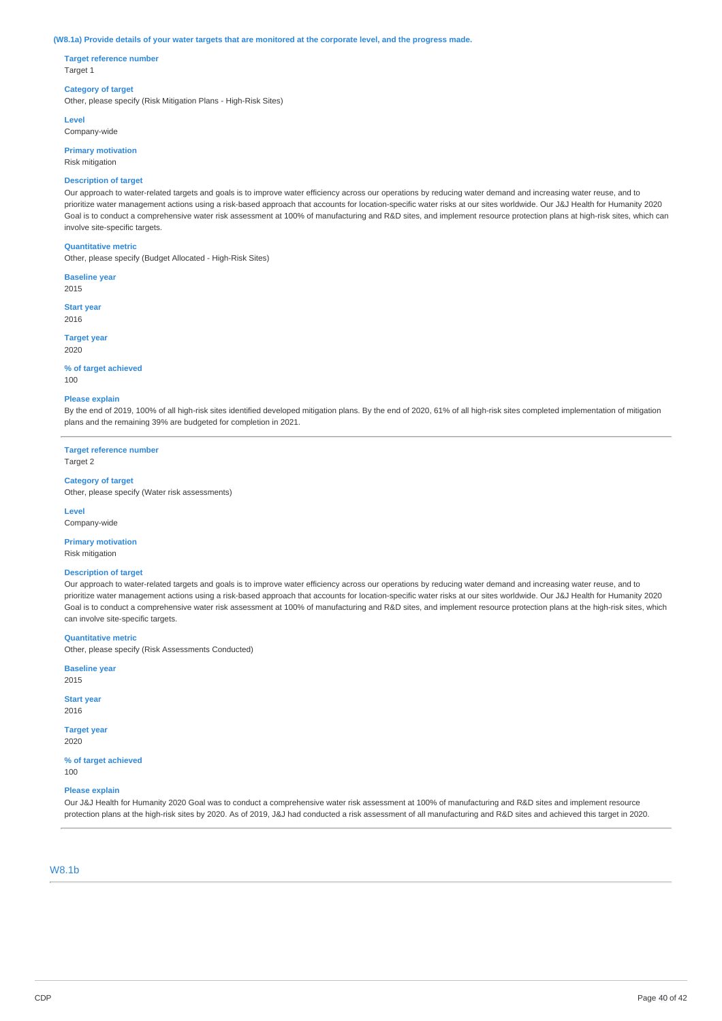#### (W8.1a) Provide details of your water targets that are monitored at the corporate level, and the progress made.

**Target reference number** Target 1

### **Category of target**

Other, please specify (Risk Mitigation Plans - High-Risk Sites)

**Level**

Company-wide

**Primary motivation** Risk mitigation

#### **Description of target**

Our approach to water-related targets and goals is to improve water efficiency across our operations by reducing water demand and increasing water reuse, and to prioritize water management actions using a risk-based approach that accounts for location-specific water risks at our sites worldwide. Our J&J Health for Humanity 2020 Goal is to conduct a comprehensive water risk assessment at 100% of manufacturing and R&D sites, and implement resource protection plans at high-risk sites, which can involve site-specific targets.

#### **Quantitative metric**

Other, please specify (Budget Allocated - High-Risk Sites)

**Baseline year** 2015

**Start year** 2016

**Target year** 2020

#### **% of target achieved**  $100$

#### **Please explain**

By the end of 2019, 100% of all high-risk sites identified developed mitigation plans. By the end of 2020, 61% of all high-risk sites completed implementation of mitigation plans and the remaining 39% are budgeted for completion in 2021.

**Target reference number** Target 2

#### **Category of target**

Other, please specify (Water risk assessments)

**Level** Company-wide

# **Primary motivation**

Risk mitigation

#### **Description of target**

Our approach to water-related targets and goals is to improve water efficiency across our operations by reducing water demand and increasing water reuse, and to prioritize water management actions using a risk-based approach that accounts for location-specific water risks at our sites worldwide. Our J&J Health for Humanity 2020 Goal is to conduct a comprehensive water risk assessment at 100% of manufacturing and R&D sites, and implement resource protection plans at the high-risk sites, which can involve site-specific targets.

**Quantitative metric**

Other, please specify (Risk Assessments Conducted)

**Baseline year** 2015

**Start year** 2016

**Target year** 2020

**% of target achieved** 100

# **Please explain**

Our J&J Health for Humanity 2020 Goal was to conduct a comprehensive water risk assessment at 100% of manufacturing and R&D sites and implement resource protection plans at the high-risk sites by 2020. As of 2019, J&J had conducted a risk assessment of all manufacturing and R&D sites and achieved this target in 2020.

## W8.1b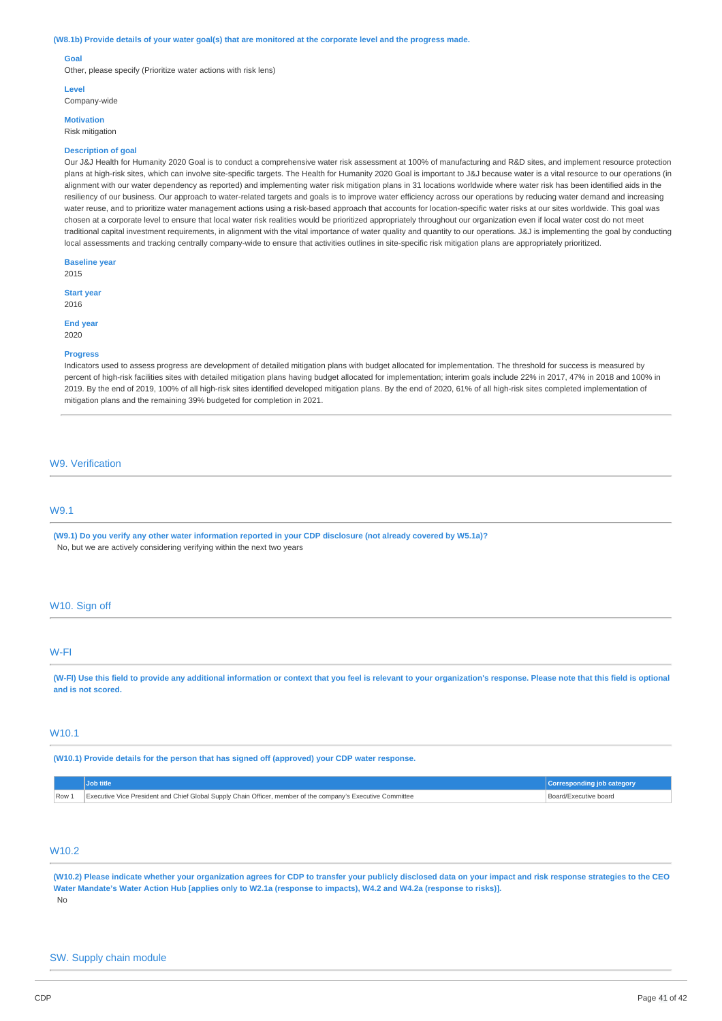#### (W8.1b) Provide details of your water goal(s) that are monitored at the corporate level and the progress made.

#### **Goal**

Other, please specify (Prioritize water actions with risk lens)

#### **Level**

Company-wide

**Motivation** Risk mitigation

# **Description of goal**

Our J&J Health for Humanity 2020 Goal is to conduct a comprehensive water risk assessment at 100% of manufacturing and R&D sites, and implement resource protection plans at high-risk sites, which can involve site-specific targets. The Health for Humanity 2020 Goal is important to J&J because water is a vital resource to our operations (in alignment with our water dependency as reported) and implementing water risk mitigation plans in 31 locations worldwide where water risk has been identified aids in the resiliency of our business. Our approach to water-related targets and goals is to improve water efficiency across our operations by reducing water demand and increasing water reuse, and to prioritize water management actions using a risk-based approach that accounts for location-specific water risks at our sites worldwide. This goal was chosen at a corporate level to ensure that local water risk realities would be prioritized appropriately throughout our organization even if local water cost do not meet traditional capital investment requirements, in alignment with the vital importance of water quality and quantity to our operations. J&J is implementing the goal by conducting local assessments and tracking centrally company-wide to ensure that activities outlines in site-specific risk mitigation plans are appropriately prioritized.

**Baseline year** 2015

**Start year** 2016

**End year** 2020

#### **Progress**

Indicators used to assess progress are development of detailed mitigation plans with budget allocated for implementation. The threshold for success is measured by percent of high-risk facilities sites with detailed mitigation plans having budget allocated for implementation; interim goals include 22% in 2017, 47% in 2018 and 100% in 2019. By the end of 2019, 100% of all high-risk sites identified developed mitigation plans. By the end of 2020, 61% of all high-risk sites completed implementation of mitigation plans and the remaining 39% budgeted for completion in 2021.

#### W9. Verification

# W9.1

(W9.1) Do you verify any other water information reported in your CDP disclosure (not already covered by W5.1a)? No, but we are actively considering verifying within the next two years

### W<sub>10</sub>. Sign off

## W-FI

(W-FI) Use this field to provide any additional information or context that you feel is relevant to your organization's response. Please note that this field is optional **and is not scored.**

# W10.1

**(W10.1) Provide details for the person that has signed off (approved) your CDP water response.**

| Row.<br>the contract of the contract of | Executive Vice President and Chief Global Supply Chain Officer, member of the company's Executive Committee | 'Board/Executive board |
|-----------------------------------------|-------------------------------------------------------------------------------------------------------------|------------------------|

# W10.2

(W10.2) Please indicate whether your organization agrees for CDP to transfer your publicly disclosed data on your impact and risk response strategies to the CEO Water Mandate's Water Action Hub [applies only to W2.1a (response to impacts), W4.2 and W4.2a (response to risks)]. No

#### SW. Supply chain module